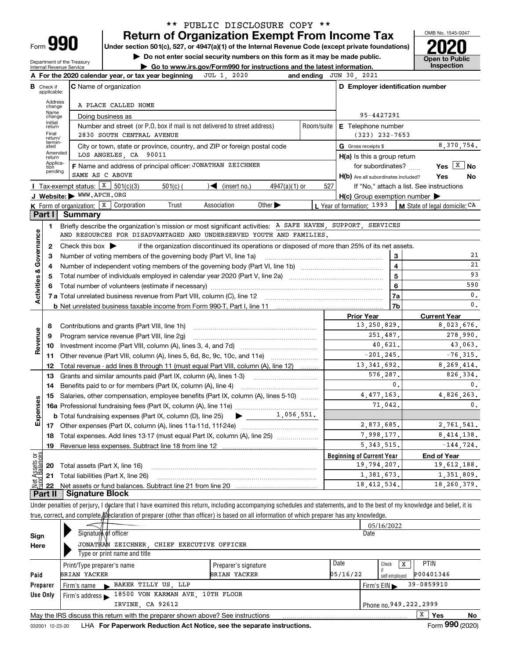| -orm |  |
|------|--|

## **Return of Organization Exempt From Income Tax** \*\* PUBLIC DISCLOSURE COPY \*\*

**Under section 501(c), 527, or 4947(a)(1) of the Internal Revenue Code (except private foundations) 2020**

**| Do not enter social security numbers on this form as it may be made public.**

Department of the Treasury Internal Revenue Service

**| Go to www.irs.gov/Form990 for instructions and the latest information. Inspection**



| C Name of organization<br>D Employer identification number<br><b>B</b> Check if<br>applicable:<br>Address<br>A PLACE CALLED HOME<br>change<br>Name<br>95-4427291<br>Doing business as<br>change<br>Initial<br>Number and street (or P.O. box if mail is not delivered to street address)<br>Room/suite<br>E Telephone number<br>return<br>Final<br>2830 SOUTH CENTRAL AVENUE<br>$(323)$ 232-7653<br>return/<br>termin-<br>8,370,754.<br>City or town, state or province, country, and ZIP or foreign postal code<br>G Gross receipts \$<br>ated<br>Amended<br>LOS ANGELES, CA 90011<br>$H(a)$ is this a group return<br>return<br>Applica-<br>F Name and address of principal officer: JONATHAN ZEICHNER<br>Yes $X$ No<br>for subordinates?<br>tion<br>pending<br>SAME AS C ABOVE<br>Yes<br>H(b) Are all subordinates included?<br>No<br>Tax-exempt status: $X \ 501(c)(3)$<br>$\sqrt{\frac{2}{1}}$ (insert no.)<br>$4947(a)(1)$ or<br>$501(c)$ (<br>527<br>If "No," attach a list. See instructions<br>J Website: WWW.APCH.ORG<br>$H(c)$ Group exemption number $\blacktriangleright$<br><b>K</b> Form of organization: $\boxed{\textbf{x}}$ Corporation<br>Other $\blacktriangleright$<br>Trust<br>Association<br>L Year of formation: $1993$   M State of legal domicile: CA<br><b>Part I</b> Summary<br>Briefly describe the organization's mission or most significant activities: A SAFE HAVEN, SUPPORT, SERVICES<br>1<br>Governance<br>AND RESOURCES FOR DISADVANTAGED AND UNDERSERVED YOUTH AND FAMILIES.<br>if the organization discontinued its operations or disposed of more than 25% of its net assets.<br>2<br>Check this box $\blacktriangleright$<br>21<br>Number of voting members of the governing body (Part VI, line 1a)<br>3<br>з<br>$\overline{\mathbf{4}}$<br>21<br>4<br><b>Activities &amp;</b><br>93<br>$5\phantom{a}$<br>5<br>590<br>6<br>6<br>0.<br>7a<br>0.<br>7b<br><b>Prior Year</b><br><b>Current Year</b><br>13,250,829.<br>8,023,676.<br>8<br>Revenue<br>278,990.<br>251,487.<br>9<br>Program service revenue (Part VIII, line 2g)<br>43,063.<br>40,621.<br>10<br>$-201, 245.$<br>$-76, 315.$<br>11 Other revenue (Part VIII, column (A), lines 5, 6d, 8c, 9c, 10c, and 11e)<br>13, 341, 692.<br>8,269,414.<br>Total revenue - add lines 8 through 11 (must equal Part VIII, column (A), line 12)<br>12<br>576,287.<br>Grants and similar amounts paid (Part IX, column (A), lines 1-3)<br>13<br>0.<br>0.<br>14<br>4, 477, 163.<br>4,826,263.<br>Salaries, other compensation, employee benefits (Part IX, column (A), lines 5-10)<br>15<br>Expenses<br>$\mathbf{0}$ .<br>71,042.<br>$\blacktriangleright$ $\frac{1}{1}$ , 056, 551.<br><b>b</b> Total fundraising expenses (Part IX, column (D), line 25)<br>2,873,685.<br>2.761.541.<br>7,998,177.<br>8, 414, 138.<br>18 Total expenses. Add lines 13-17 (must equal Part IX, column (A), line 25)<br>5,343,515.<br>$-144,724.$<br>19 Revenue less expenses. Subtract line 18 from line 12<br>Net Assets or<br>Eund Balances<br><b>Beginning of Current Year</b><br><b>End of Year</b><br>19,794,207.<br>19,612,188.<br>Total assets (Part X, line 16)<br>20<br>1,381,673.<br>Total liabilities (Part X, line 26)<br>21<br>18, 412, 534.<br>18, 260, 379.<br>22<br><b>Signature Block</b><br>Part II<br>Under penalties of perjury, I declare that I have examined this return, including accompanying schedules and statements, and to the best of my knowledge and belief, it is |  | A For the 2020 calendar year, or tax year beginning JUL 1, 2020 |  | and ending JUN 30, 2021 |  |  |  |  |  |  |
|-----------------------------------------------------------------------------------------------------------------------------------------------------------------------------------------------------------------------------------------------------------------------------------------------------------------------------------------------------------------------------------------------------------------------------------------------------------------------------------------------------------------------------------------------------------------------------------------------------------------------------------------------------------------------------------------------------------------------------------------------------------------------------------------------------------------------------------------------------------------------------------------------------------------------------------------------------------------------------------------------------------------------------------------------------------------------------------------------------------------------------------------------------------------------------------------------------------------------------------------------------------------------------------------------------------------------------------------------------------------------------------------------------------------------------------------------------------------------------------------------------------------------------------------------------------------------------------------------------------------------------------------------------------------------------------------------------------------------------------------------------------------------------------------------------------------------------------------------------------------------------------------------------------------------------------------------------------------------------------------------------------------------------------------------------------------------------------------------------------------------------------------------------------------------------------------------------------------------------------------------------------------------------------------------------------------------------------------------------------------------------------------------------------------------------------------------------------------------------------------------------------------------------------------------------------------------------------------------------------------------------------------------------------------------------------------------------------------------------------------------------------------------------------------------------------------------------------------------------------------------------------------------------------------------------------------------------------------------------------------------------------------------------------------------------------------------------------------------------------------------------------------------------------------------------------------------------------------------------------------------------------------------------------------------------------------------------------------------------------------------------------------------------------------------------------------------------------------------|--|-----------------------------------------------------------------|--|-------------------------|--|--|--|--|--|--|
|                                                                                                                                                                                                                                                                                                                                                                                                                                                                                                                                                                                                                                                                                                                                                                                                                                                                                                                                                                                                                                                                                                                                                                                                                                                                                                                                                                                                                                                                                                                                                                                                                                                                                                                                                                                                                                                                                                                                                                                                                                                                                                                                                                                                                                                                                                                                                                                                                                                                                                                                                                                                                                                                                                                                                                                                                                                                                                                                                                                                                                                                                                                                                                                                                                                                                                                                                                                                                                                                       |  |                                                                 |  |                         |  |  |  |  |  |  |
|                                                                                                                                                                                                                                                                                                                                                                                                                                                                                                                                                                                                                                                                                                                                                                                                                                                                                                                                                                                                                                                                                                                                                                                                                                                                                                                                                                                                                                                                                                                                                                                                                                                                                                                                                                                                                                                                                                                                                                                                                                                                                                                                                                                                                                                                                                                                                                                                                                                                                                                                                                                                                                                                                                                                                                                                                                                                                                                                                                                                                                                                                                                                                                                                                                                                                                                                                                                                                                                                       |  |                                                                 |  |                         |  |  |  |  |  |  |
|                                                                                                                                                                                                                                                                                                                                                                                                                                                                                                                                                                                                                                                                                                                                                                                                                                                                                                                                                                                                                                                                                                                                                                                                                                                                                                                                                                                                                                                                                                                                                                                                                                                                                                                                                                                                                                                                                                                                                                                                                                                                                                                                                                                                                                                                                                                                                                                                                                                                                                                                                                                                                                                                                                                                                                                                                                                                                                                                                                                                                                                                                                                                                                                                                                                                                                                                                                                                                                                                       |  |                                                                 |  |                         |  |  |  |  |  |  |
|                                                                                                                                                                                                                                                                                                                                                                                                                                                                                                                                                                                                                                                                                                                                                                                                                                                                                                                                                                                                                                                                                                                                                                                                                                                                                                                                                                                                                                                                                                                                                                                                                                                                                                                                                                                                                                                                                                                                                                                                                                                                                                                                                                                                                                                                                                                                                                                                                                                                                                                                                                                                                                                                                                                                                                                                                                                                                                                                                                                                                                                                                                                                                                                                                                                                                                                                                                                                                                                                       |  |                                                                 |  |                         |  |  |  |  |  |  |
|                                                                                                                                                                                                                                                                                                                                                                                                                                                                                                                                                                                                                                                                                                                                                                                                                                                                                                                                                                                                                                                                                                                                                                                                                                                                                                                                                                                                                                                                                                                                                                                                                                                                                                                                                                                                                                                                                                                                                                                                                                                                                                                                                                                                                                                                                                                                                                                                                                                                                                                                                                                                                                                                                                                                                                                                                                                                                                                                                                                                                                                                                                                                                                                                                                                                                                                                                                                                                                                                       |  |                                                                 |  |                         |  |  |  |  |  |  |
| 826,334.<br>1,351,809.                                                                                                                                                                                                                                                                                                                                                                                                                                                                                                                                                                                                                                                                                                                                                                                                                                                                                                                                                                                                                                                                                                                                                                                                                                                                                                                                                                                                                                                                                                                                                                                                                                                                                                                                                                                                                                                                                                                                                                                                                                                                                                                                                                                                                                                                                                                                                                                                                                                                                                                                                                                                                                                                                                                                                                                                                                                                                                                                                                                                                                                                                                                                                                                                                                                                                                                                                                                                                                                |  |                                                                 |  |                         |  |  |  |  |  |  |
|                                                                                                                                                                                                                                                                                                                                                                                                                                                                                                                                                                                                                                                                                                                                                                                                                                                                                                                                                                                                                                                                                                                                                                                                                                                                                                                                                                                                                                                                                                                                                                                                                                                                                                                                                                                                                                                                                                                                                                                                                                                                                                                                                                                                                                                                                                                                                                                                                                                                                                                                                                                                                                                                                                                                                                                                                                                                                                                                                                                                                                                                                                                                                                                                                                                                                                                                                                                                                                                                       |  |                                                                 |  |                         |  |  |  |  |  |  |
|                                                                                                                                                                                                                                                                                                                                                                                                                                                                                                                                                                                                                                                                                                                                                                                                                                                                                                                                                                                                                                                                                                                                                                                                                                                                                                                                                                                                                                                                                                                                                                                                                                                                                                                                                                                                                                                                                                                                                                                                                                                                                                                                                                                                                                                                                                                                                                                                                                                                                                                                                                                                                                                                                                                                                                                                                                                                                                                                                                                                                                                                                                                                                                                                                                                                                                                                                                                                                                                                       |  |                                                                 |  |                         |  |  |  |  |  |  |
|                                                                                                                                                                                                                                                                                                                                                                                                                                                                                                                                                                                                                                                                                                                                                                                                                                                                                                                                                                                                                                                                                                                                                                                                                                                                                                                                                                                                                                                                                                                                                                                                                                                                                                                                                                                                                                                                                                                                                                                                                                                                                                                                                                                                                                                                                                                                                                                                                                                                                                                                                                                                                                                                                                                                                                                                                                                                                                                                                                                                                                                                                                                                                                                                                                                                                                                                                                                                                                                                       |  |                                                                 |  |                         |  |  |  |  |  |  |
|                                                                                                                                                                                                                                                                                                                                                                                                                                                                                                                                                                                                                                                                                                                                                                                                                                                                                                                                                                                                                                                                                                                                                                                                                                                                                                                                                                                                                                                                                                                                                                                                                                                                                                                                                                                                                                                                                                                                                                                                                                                                                                                                                                                                                                                                                                                                                                                                                                                                                                                                                                                                                                                                                                                                                                                                                                                                                                                                                                                                                                                                                                                                                                                                                                                                                                                                                                                                                                                                       |  |                                                                 |  |                         |  |  |  |  |  |  |
|                                                                                                                                                                                                                                                                                                                                                                                                                                                                                                                                                                                                                                                                                                                                                                                                                                                                                                                                                                                                                                                                                                                                                                                                                                                                                                                                                                                                                                                                                                                                                                                                                                                                                                                                                                                                                                                                                                                                                                                                                                                                                                                                                                                                                                                                                                                                                                                                                                                                                                                                                                                                                                                                                                                                                                                                                                                                                                                                                                                                                                                                                                                                                                                                                                                                                                                                                                                                                                                                       |  |                                                                 |  |                         |  |  |  |  |  |  |
|                                                                                                                                                                                                                                                                                                                                                                                                                                                                                                                                                                                                                                                                                                                                                                                                                                                                                                                                                                                                                                                                                                                                                                                                                                                                                                                                                                                                                                                                                                                                                                                                                                                                                                                                                                                                                                                                                                                                                                                                                                                                                                                                                                                                                                                                                                                                                                                                                                                                                                                                                                                                                                                                                                                                                                                                                                                                                                                                                                                                                                                                                                                                                                                                                                                                                                                                                                                                                                                                       |  |                                                                 |  |                         |  |  |  |  |  |  |
|                                                                                                                                                                                                                                                                                                                                                                                                                                                                                                                                                                                                                                                                                                                                                                                                                                                                                                                                                                                                                                                                                                                                                                                                                                                                                                                                                                                                                                                                                                                                                                                                                                                                                                                                                                                                                                                                                                                                                                                                                                                                                                                                                                                                                                                                                                                                                                                                                                                                                                                                                                                                                                                                                                                                                                                                                                                                                                                                                                                                                                                                                                                                                                                                                                                                                                                                                                                                                                                                       |  |                                                                 |  |                         |  |  |  |  |  |  |
|                                                                                                                                                                                                                                                                                                                                                                                                                                                                                                                                                                                                                                                                                                                                                                                                                                                                                                                                                                                                                                                                                                                                                                                                                                                                                                                                                                                                                                                                                                                                                                                                                                                                                                                                                                                                                                                                                                                                                                                                                                                                                                                                                                                                                                                                                                                                                                                                                                                                                                                                                                                                                                                                                                                                                                                                                                                                                                                                                                                                                                                                                                                                                                                                                                                                                                                                                                                                                                                                       |  |                                                                 |  |                         |  |  |  |  |  |  |
|                                                                                                                                                                                                                                                                                                                                                                                                                                                                                                                                                                                                                                                                                                                                                                                                                                                                                                                                                                                                                                                                                                                                                                                                                                                                                                                                                                                                                                                                                                                                                                                                                                                                                                                                                                                                                                                                                                                                                                                                                                                                                                                                                                                                                                                                                                                                                                                                                                                                                                                                                                                                                                                                                                                                                                                                                                                                                                                                                                                                                                                                                                                                                                                                                                                                                                                                                                                                                                                                       |  |                                                                 |  |                         |  |  |  |  |  |  |
|                                                                                                                                                                                                                                                                                                                                                                                                                                                                                                                                                                                                                                                                                                                                                                                                                                                                                                                                                                                                                                                                                                                                                                                                                                                                                                                                                                                                                                                                                                                                                                                                                                                                                                                                                                                                                                                                                                                                                                                                                                                                                                                                                                                                                                                                                                                                                                                                                                                                                                                                                                                                                                                                                                                                                                                                                                                                                                                                                                                                                                                                                                                                                                                                                                                                                                                                                                                                                                                                       |  |                                                                 |  |                         |  |  |  |  |  |  |
|                                                                                                                                                                                                                                                                                                                                                                                                                                                                                                                                                                                                                                                                                                                                                                                                                                                                                                                                                                                                                                                                                                                                                                                                                                                                                                                                                                                                                                                                                                                                                                                                                                                                                                                                                                                                                                                                                                                                                                                                                                                                                                                                                                                                                                                                                                                                                                                                                                                                                                                                                                                                                                                                                                                                                                                                                                                                                                                                                                                                                                                                                                                                                                                                                                                                                                                                                                                                                                                                       |  |                                                                 |  |                         |  |  |  |  |  |  |
|                                                                                                                                                                                                                                                                                                                                                                                                                                                                                                                                                                                                                                                                                                                                                                                                                                                                                                                                                                                                                                                                                                                                                                                                                                                                                                                                                                                                                                                                                                                                                                                                                                                                                                                                                                                                                                                                                                                                                                                                                                                                                                                                                                                                                                                                                                                                                                                                                                                                                                                                                                                                                                                                                                                                                                                                                                                                                                                                                                                                                                                                                                                                                                                                                                                                                                                                                                                                                                                                       |  |                                                                 |  |                         |  |  |  |  |  |  |
|                                                                                                                                                                                                                                                                                                                                                                                                                                                                                                                                                                                                                                                                                                                                                                                                                                                                                                                                                                                                                                                                                                                                                                                                                                                                                                                                                                                                                                                                                                                                                                                                                                                                                                                                                                                                                                                                                                                                                                                                                                                                                                                                                                                                                                                                                                                                                                                                                                                                                                                                                                                                                                                                                                                                                                                                                                                                                                                                                                                                                                                                                                                                                                                                                                                                                                                                                                                                                                                                       |  |                                                                 |  |                         |  |  |  |  |  |  |
|                                                                                                                                                                                                                                                                                                                                                                                                                                                                                                                                                                                                                                                                                                                                                                                                                                                                                                                                                                                                                                                                                                                                                                                                                                                                                                                                                                                                                                                                                                                                                                                                                                                                                                                                                                                                                                                                                                                                                                                                                                                                                                                                                                                                                                                                                                                                                                                                                                                                                                                                                                                                                                                                                                                                                                                                                                                                                                                                                                                                                                                                                                                                                                                                                                                                                                                                                                                                                                                                       |  |                                                                 |  |                         |  |  |  |  |  |  |
|                                                                                                                                                                                                                                                                                                                                                                                                                                                                                                                                                                                                                                                                                                                                                                                                                                                                                                                                                                                                                                                                                                                                                                                                                                                                                                                                                                                                                                                                                                                                                                                                                                                                                                                                                                                                                                                                                                                                                                                                                                                                                                                                                                                                                                                                                                                                                                                                                                                                                                                                                                                                                                                                                                                                                                                                                                                                                                                                                                                                                                                                                                                                                                                                                                                                                                                                                                                                                                                                       |  |                                                                 |  |                         |  |  |  |  |  |  |
|                                                                                                                                                                                                                                                                                                                                                                                                                                                                                                                                                                                                                                                                                                                                                                                                                                                                                                                                                                                                                                                                                                                                                                                                                                                                                                                                                                                                                                                                                                                                                                                                                                                                                                                                                                                                                                                                                                                                                                                                                                                                                                                                                                                                                                                                                                                                                                                                                                                                                                                                                                                                                                                                                                                                                                                                                                                                                                                                                                                                                                                                                                                                                                                                                                                                                                                                                                                                                                                                       |  |                                                                 |  |                         |  |  |  |  |  |  |
|                                                                                                                                                                                                                                                                                                                                                                                                                                                                                                                                                                                                                                                                                                                                                                                                                                                                                                                                                                                                                                                                                                                                                                                                                                                                                                                                                                                                                                                                                                                                                                                                                                                                                                                                                                                                                                                                                                                                                                                                                                                                                                                                                                                                                                                                                                                                                                                                                                                                                                                                                                                                                                                                                                                                                                                                                                                                                                                                                                                                                                                                                                                                                                                                                                                                                                                                                                                                                                                                       |  |                                                                 |  |                         |  |  |  |  |  |  |
|                                                                                                                                                                                                                                                                                                                                                                                                                                                                                                                                                                                                                                                                                                                                                                                                                                                                                                                                                                                                                                                                                                                                                                                                                                                                                                                                                                                                                                                                                                                                                                                                                                                                                                                                                                                                                                                                                                                                                                                                                                                                                                                                                                                                                                                                                                                                                                                                                                                                                                                                                                                                                                                                                                                                                                                                                                                                                                                                                                                                                                                                                                                                                                                                                                                                                                                                                                                                                                                                       |  |                                                                 |  |                         |  |  |  |  |  |  |
|                                                                                                                                                                                                                                                                                                                                                                                                                                                                                                                                                                                                                                                                                                                                                                                                                                                                                                                                                                                                                                                                                                                                                                                                                                                                                                                                                                                                                                                                                                                                                                                                                                                                                                                                                                                                                                                                                                                                                                                                                                                                                                                                                                                                                                                                                                                                                                                                                                                                                                                                                                                                                                                                                                                                                                                                                                                                                                                                                                                                                                                                                                                                                                                                                                                                                                                                                                                                                                                                       |  |                                                                 |  |                         |  |  |  |  |  |  |
|                                                                                                                                                                                                                                                                                                                                                                                                                                                                                                                                                                                                                                                                                                                                                                                                                                                                                                                                                                                                                                                                                                                                                                                                                                                                                                                                                                                                                                                                                                                                                                                                                                                                                                                                                                                                                                                                                                                                                                                                                                                                                                                                                                                                                                                                                                                                                                                                                                                                                                                                                                                                                                                                                                                                                                                                                                                                                                                                                                                                                                                                                                                                                                                                                                                                                                                                                                                                                                                                       |  |                                                                 |  |                         |  |  |  |  |  |  |
|                                                                                                                                                                                                                                                                                                                                                                                                                                                                                                                                                                                                                                                                                                                                                                                                                                                                                                                                                                                                                                                                                                                                                                                                                                                                                                                                                                                                                                                                                                                                                                                                                                                                                                                                                                                                                                                                                                                                                                                                                                                                                                                                                                                                                                                                                                                                                                                                                                                                                                                                                                                                                                                                                                                                                                                                                                                                                                                                                                                                                                                                                                                                                                                                                                                                                                                                                                                                                                                                       |  |                                                                 |  |                         |  |  |  |  |  |  |
|                                                                                                                                                                                                                                                                                                                                                                                                                                                                                                                                                                                                                                                                                                                                                                                                                                                                                                                                                                                                                                                                                                                                                                                                                                                                                                                                                                                                                                                                                                                                                                                                                                                                                                                                                                                                                                                                                                                                                                                                                                                                                                                                                                                                                                                                                                                                                                                                                                                                                                                                                                                                                                                                                                                                                                                                                                                                                                                                                                                                                                                                                                                                                                                                                                                                                                                                                                                                                                                                       |  |                                                                 |  |                         |  |  |  |  |  |  |
|                                                                                                                                                                                                                                                                                                                                                                                                                                                                                                                                                                                                                                                                                                                                                                                                                                                                                                                                                                                                                                                                                                                                                                                                                                                                                                                                                                                                                                                                                                                                                                                                                                                                                                                                                                                                                                                                                                                                                                                                                                                                                                                                                                                                                                                                                                                                                                                                                                                                                                                                                                                                                                                                                                                                                                                                                                                                                                                                                                                                                                                                                                                                                                                                                                                                                                                                                                                                                                                                       |  |                                                                 |  |                         |  |  |  |  |  |  |
|                                                                                                                                                                                                                                                                                                                                                                                                                                                                                                                                                                                                                                                                                                                                                                                                                                                                                                                                                                                                                                                                                                                                                                                                                                                                                                                                                                                                                                                                                                                                                                                                                                                                                                                                                                                                                                                                                                                                                                                                                                                                                                                                                                                                                                                                                                                                                                                                                                                                                                                                                                                                                                                                                                                                                                                                                                                                                                                                                                                                                                                                                                                                                                                                                                                                                                                                                                                                                                                                       |  |                                                                 |  |                         |  |  |  |  |  |  |
|                                                                                                                                                                                                                                                                                                                                                                                                                                                                                                                                                                                                                                                                                                                                                                                                                                                                                                                                                                                                                                                                                                                                                                                                                                                                                                                                                                                                                                                                                                                                                                                                                                                                                                                                                                                                                                                                                                                                                                                                                                                                                                                                                                                                                                                                                                                                                                                                                                                                                                                                                                                                                                                                                                                                                                                                                                                                                                                                                                                                                                                                                                                                                                                                                                                                                                                                                                                                                                                                       |  |                                                                 |  |                         |  |  |  |  |  |  |
|                                                                                                                                                                                                                                                                                                                                                                                                                                                                                                                                                                                                                                                                                                                                                                                                                                                                                                                                                                                                                                                                                                                                                                                                                                                                                                                                                                                                                                                                                                                                                                                                                                                                                                                                                                                                                                                                                                                                                                                                                                                                                                                                                                                                                                                                                                                                                                                                                                                                                                                                                                                                                                                                                                                                                                                                                                                                                                                                                                                                                                                                                                                                                                                                                                                                                                                                                                                                                                                                       |  |                                                                 |  |                         |  |  |  |  |  |  |
|                                                                                                                                                                                                                                                                                                                                                                                                                                                                                                                                                                                                                                                                                                                                                                                                                                                                                                                                                                                                                                                                                                                                                                                                                                                                                                                                                                                                                                                                                                                                                                                                                                                                                                                                                                                                                                                                                                                                                                                                                                                                                                                                                                                                                                                                                                                                                                                                                                                                                                                                                                                                                                                                                                                                                                                                                                                                                                                                                                                                                                                                                                                                                                                                                                                                                                                                                                                                                                                                       |  |                                                                 |  |                         |  |  |  |  |  |  |
|                                                                                                                                                                                                                                                                                                                                                                                                                                                                                                                                                                                                                                                                                                                                                                                                                                                                                                                                                                                                                                                                                                                                                                                                                                                                                                                                                                                                                                                                                                                                                                                                                                                                                                                                                                                                                                                                                                                                                                                                                                                                                                                                                                                                                                                                                                                                                                                                                                                                                                                                                                                                                                                                                                                                                                                                                                                                                                                                                                                                                                                                                                                                                                                                                                                                                                                                                                                                                                                                       |  |                                                                 |  |                         |  |  |  |  |  |  |
|                                                                                                                                                                                                                                                                                                                                                                                                                                                                                                                                                                                                                                                                                                                                                                                                                                                                                                                                                                                                                                                                                                                                                                                                                                                                                                                                                                                                                                                                                                                                                                                                                                                                                                                                                                                                                                                                                                                                                                                                                                                                                                                                                                                                                                                                                                                                                                                                                                                                                                                                                                                                                                                                                                                                                                                                                                                                                                                                                                                                                                                                                                                                                                                                                                                                                                                                                                                                                                                                       |  |                                                                 |  |                         |  |  |  |  |  |  |
|                                                                                                                                                                                                                                                                                                                                                                                                                                                                                                                                                                                                                                                                                                                                                                                                                                                                                                                                                                                                                                                                                                                                                                                                                                                                                                                                                                                                                                                                                                                                                                                                                                                                                                                                                                                                                                                                                                                                                                                                                                                                                                                                                                                                                                                                                                                                                                                                                                                                                                                                                                                                                                                                                                                                                                                                                                                                                                                                                                                                                                                                                                                                                                                                                                                                                                                                                                                                                                                                       |  |                                                                 |  |                         |  |  |  |  |  |  |
|                                                                                                                                                                                                                                                                                                                                                                                                                                                                                                                                                                                                                                                                                                                                                                                                                                                                                                                                                                                                                                                                                                                                                                                                                                                                                                                                                                                                                                                                                                                                                                                                                                                                                                                                                                                                                                                                                                                                                                                                                                                                                                                                                                                                                                                                                                                                                                                                                                                                                                                                                                                                                                                                                                                                                                                                                                                                                                                                                                                                                                                                                                                                                                                                                                                                                                                                                                                                                                                                       |  |                                                                 |  |                         |  |  |  |  |  |  |
|                                                                                                                                                                                                                                                                                                                                                                                                                                                                                                                                                                                                                                                                                                                                                                                                                                                                                                                                                                                                                                                                                                                                                                                                                                                                                                                                                                                                                                                                                                                                                                                                                                                                                                                                                                                                                                                                                                                                                                                                                                                                                                                                                                                                                                                                                                                                                                                                                                                                                                                                                                                                                                                                                                                                                                                                                                                                                                                                                                                                                                                                                                                                                                                                                                                                                                                                                                                                                                                                       |  |                                                                 |  |                         |  |  |  |  |  |  |
|                                                                                                                                                                                                                                                                                                                                                                                                                                                                                                                                                                                                                                                                                                                                                                                                                                                                                                                                                                                                                                                                                                                                                                                                                                                                                                                                                                                                                                                                                                                                                                                                                                                                                                                                                                                                                                                                                                                                                                                                                                                                                                                                                                                                                                                                                                                                                                                                                                                                                                                                                                                                                                                                                                                                                                                                                                                                                                                                                                                                                                                                                                                                                                                                                                                                                                                                                                                                                                                                       |  |                                                                 |  |                         |  |  |  |  |  |  |
|                                                                                                                                                                                                                                                                                                                                                                                                                                                                                                                                                                                                                                                                                                                                                                                                                                                                                                                                                                                                                                                                                                                                                                                                                                                                                                                                                                                                                                                                                                                                                                                                                                                                                                                                                                                                                                                                                                                                                                                                                                                                                                                                                                                                                                                                                                                                                                                                                                                                                                                                                                                                                                                                                                                                                                                                                                                                                                                                                                                                                                                                                                                                                                                                                                                                                                                                                                                                                                                                       |  |                                                                 |  |                         |  |  |  |  |  |  |
|                                                                                                                                                                                                                                                                                                                                                                                                                                                                                                                                                                                                                                                                                                                                                                                                                                                                                                                                                                                                                                                                                                                                                                                                                                                                                                                                                                                                                                                                                                                                                                                                                                                                                                                                                                                                                                                                                                                                                                                                                                                                                                                                                                                                                                                                                                                                                                                                                                                                                                                                                                                                                                                                                                                                                                                                                                                                                                                                                                                                                                                                                                                                                                                                                                                                                                                                                                                                                                                                       |  |                                                                 |  |                         |  |  |  |  |  |  |

true, correct, and complete. Declaration of preparer (other than officer) is based on all information of which preparer has any knowledge.

|                                           |                                                                                 | 05/16/2022           |          |                            |  |  |  |  |
|-------------------------------------------|---------------------------------------------------------------------------------|----------------------|----------|----------------------------|--|--|--|--|
| Sign                                      | Signature of officer                                                            |                      | Date     |                            |  |  |  |  |
| Here                                      | JONATHAN ZEICHNER, CHIEF EXECUTIVE OFFICER                                      |                      |          |                            |  |  |  |  |
|                                           | Type or print name and title                                                    |                      |          |                            |  |  |  |  |
|                                           | Print/Type preparer's name                                                      | Preparer's signature | Date     | <b>PTIN</b><br>Check<br>X  |  |  |  |  |
| Paid                                      | <b>BRIAN YACKER</b>                                                             | <b>BRIAN YACKER</b>  | 05/16/22 | P00401346<br>self-employed |  |  |  |  |
| Preparer                                  | BAKER TILLY US, LLP<br>Firm's name<br>$\blacksquare$                            |                      |          | 39-0859910<br>Firm's $EIN$ |  |  |  |  |
| Use Only                                  | 18500 VON KARMAN AVE, 10TH FLOOR<br>Firm's address                              |                      |          |                            |  |  |  |  |
| IRVINE, CA 92612<br>Phone no.949.222.2999 |                                                                                 |                      |          |                            |  |  |  |  |
|                                           | May the IRS discuss this return with the preparer shown above? See instructions |                      |          | X<br>Yes<br>No             |  |  |  |  |
| 032001 12-23-20                           | LHA For Paperwork Reduction Act Notice, see the separate instructions.          |                      |          | Form 990 (2020)            |  |  |  |  |

032001 12-23-20 **For Paperwork Reduction Act Notice, see the separate instructions.** LHA Form (2020)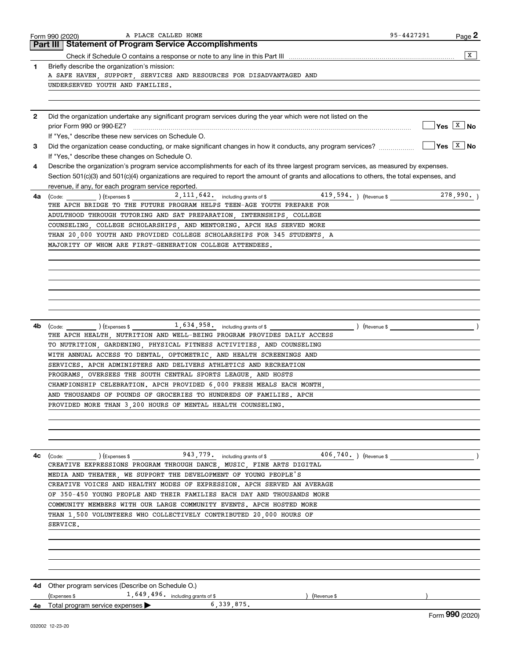|    | 95-4427291<br>A PLACE CALLED HOME<br>Page 2<br>Form 990 (2020)<br>Part III   Statement of Program Service Accomplishments                                                                                                                                                                                                                                                                               |
|----|---------------------------------------------------------------------------------------------------------------------------------------------------------------------------------------------------------------------------------------------------------------------------------------------------------------------------------------------------------------------------------------------------------|
|    | $\overline{X}$<br>Check if Schedule O contains a response or note to any line in this Part III <i>manumano content in contention</i> contains and the content of the content of the content of the content of the content of the content of the conte                                                                                                                                                   |
| 1  | Briefly describe the organization's mission:                                                                                                                                                                                                                                                                                                                                                            |
|    | A SAFE HAVEN, SUPPORT, SERVICES AND RESOURCES FOR DISADVANTAGED AND                                                                                                                                                                                                                                                                                                                                     |
|    | UNDERSERVED YOUTH AND FAMILIES.                                                                                                                                                                                                                                                                                                                                                                         |
|    |                                                                                                                                                                                                                                                                                                                                                                                                         |
|    | Did the organization undertake any significant program services during the year which were not listed on the                                                                                                                                                                                                                                                                                            |
|    | $\sqrt{Y}$ es $\sqrt{X}$ No                                                                                                                                                                                                                                                                                                                                                                             |
|    | If "Yes," describe these new services on Schedule O.                                                                                                                                                                                                                                                                                                                                                    |
|    | ∣Yes │ <sup>X</sup> │No<br>If "Yes," describe these changes on Schedule O.                                                                                                                                                                                                                                                                                                                              |
|    | Describe the organization's program service accomplishments for each of its three largest program services, as measured by expenses.                                                                                                                                                                                                                                                                    |
|    | Section 501(c)(3) and 501(c)(4) organizations are required to report the amount of grants and allocations to others, the total expenses, and<br>revenue, if any, for each program service reported.                                                                                                                                                                                                     |
| 4a | $(\text{Code:})$ $(\text{Expenses $})$ $(\text{Expenses $})$ $(\text{Expenses $})$ $(\text{Expenves $})$ $(\text{A11}, \text{A2}, \text{C11})$ $(\text{A2}, \text{C11})$ $(\text{A3}, \text{A4})$ $(\text{A4})$ $(\text{A5}, \text{A6})$ $(\text{A6})$ $(\text{A7}, \text{A8})$ $(\text{A8})$ $(\text{A9})$ $(\text{A11}, \text{A4})$ $(\text{A12}, \text{A2})$ $(\text{A2})$ $(\text{A3})$<br>278,990. |
|    | THE APCH BRIDGE TO THE FUTURE PROGRAM HELPS TEEN-AGE YOUTH PREPARE FOR                                                                                                                                                                                                                                                                                                                                  |
|    | ADULTHOOD THROUGH TUTORING AND SAT PREPARATION INTERNSHIPS COLLEGE                                                                                                                                                                                                                                                                                                                                      |
|    | COUNSELING, COLLEGE SCHOLARSHIPS, AND MENTORING. APCH HAS SERVED MORE                                                                                                                                                                                                                                                                                                                                   |
|    | THAN 20,000 YOUTH AND PROVIDED COLLEGE SCHOLARSHIPS FOR 345 STUDENTS, A                                                                                                                                                                                                                                                                                                                                 |
|    | MAJORITY OF WHOM ARE FIRST-GENERATION COLLEGE ATTENDEES.                                                                                                                                                                                                                                                                                                                                                |
|    |                                                                                                                                                                                                                                                                                                                                                                                                         |
|    |                                                                                                                                                                                                                                                                                                                                                                                                         |
|    |                                                                                                                                                                                                                                                                                                                                                                                                         |
|    |                                                                                                                                                                                                                                                                                                                                                                                                         |
|    |                                                                                                                                                                                                                                                                                                                                                                                                         |
|    |                                                                                                                                                                                                                                                                                                                                                                                                         |
|    | (Code: (Contermity) (Expenses \$1,634,958. including grants of \$1,000 mm > (Revenue \$)                                                                                                                                                                                                                                                                                                                |
| 4b | THE APCH HEALTH  NUTRITION AND WELL-BEING PROGRAM PROVIDES DAILY ACCESS                                                                                                                                                                                                                                                                                                                                 |
|    | TO NUTRITION, GARDENING, PHYSICAL FITNESS ACTIVITIES, AND COUNSELING                                                                                                                                                                                                                                                                                                                                    |
|    | WITH ANNUAL ACCESS TO DENTAL, OPTOMETRIC, AND HEALTH SCREENINGS AND                                                                                                                                                                                                                                                                                                                                     |
|    | SERVICES. APCH ADMINISTERS AND DELIVERS ATHLETICS AND RECREATION                                                                                                                                                                                                                                                                                                                                        |
|    | PROGRAMS, OVERSEES THE SOUTH CENTRAL SPORTS LEAGUE, AND HOSTS                                                                                                                                                                                                                                                                                                                                           |
|    | CHAMPIONSHIP CELEBRATION. APCH PROVIDED 6,000 FRESH MEALS EACH MONTH,                                                                                                                                                                                                                                                                                                                                   |
|    | AND THOUSANDS OF POUNDS OF GROCERIES TO HUNDREDS OF FAMILIES. APCH                                                                                                                                                                                                                                                                                                                                      |
|    | PROVIDED MORE THAN 3,200 HOURS OF MENTAL HEALTH COUNSELING.                                                                                                                                                                                                                                                                                                                                             |
|    |                                                                                                                                                                                                                                                                                                                                                                                                         |
|    |                                                                                                                                                                                                                                                                                                                                                                                                         |
| 4c | 406,740. ) (Revenue \$<br>(Code: (Code: ) (Expenses \$ 943, 779. including grants of \$                                                                                                                                                                                                                                                                                                                 |
|    | CREATIVE EXPRESSIONS PROGRAM THROUGH DANCE MUSIC FINE ARTS DIGITAL                                                                                                                                                                                                                                                                                                                                      |
|    | MEDIA AND THEATER, WE SUPPORT THE DEVELOPMENT OF YOUNG PEOPLE'S                                                                                                                                                                                                                                                                                                                                         |
|    | CREATIVE VOICES AND HEALTHY MODES OF EXPRESSION. APCH SERVED AN AVERAGE                                                                                                                                                                                                                                                                                                                                 |
|    | OF 350-450 YOUNG PEOPLE AND THEIR FAMILIES EACH DAY AND THOUSANDS MORE                                                                                                                                                                                                                                                                                                                                  |
|    | COMMUNITY MEMBERS WITH OUR LARGE COMMUNITY EVENTS. APCH HOSTED MORE                                                                                                                                                                                                                                                                                                                                     |
|    | THAN 1,500 VOLUNTEERS WHO COLLECTIVELY CONTRIBUTED 20,000 HOURS OF                                                                                                                                                                                                                                                                                                                                      |
|    | SERVICE.                                                                                                                                                                                                                                                                                                                                                                                                |
|    |                                                                                                                                                                                                                                                                                                                                                                                                         |
|    |                                                                                                                                                                                                                                                                                                                                                                                                         |
|    |                                                                                                                                                                                                                                                                                                                                                                                                         |
|    |                                                                                                                                                                                                                                                                                                                                                                                                         |
|    |                                                                                                                                                                                                                                                                                                                                                                                                         |
|    | 4d Other program services (Describe on Schedule O.)                                                                                                                                                                                                                                                                                                                                                     |
|    | 1,649,496. including grants of \$<br>Expenses \$<br>(Revenue \$                                                                                                                                                                                                                                                                                                                                         |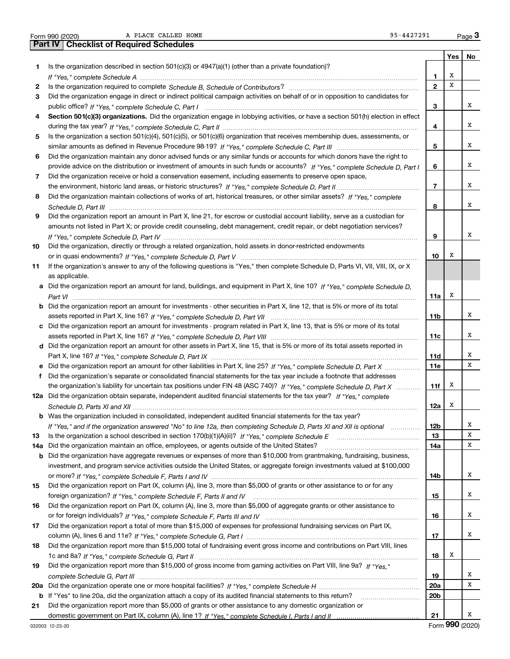|  | Form 990 (2020 |
|--|----------------|

Form 990 (2020) A PLACE CALLED HOME 95-4427291 Page

|     | A PLACE CALLED HOME<br>95-4427291<br>Form 990 (2020)                                                                             |                 |     | Page $3$ |
|-----|----------------------------------------------------------------------------------------------------------------------------------|-----------------|-----|----------|
|     | <b>Checklist of Required Schedules</b><br>  Part IV                                                                              |                 |     |          |
|     |                                                                                                                                  |                 | Yes | No       |
| 1.  | Is the organization described in section $501(c)(3)$ or $4947(a)(1)$ (other than a private foundation)?                          |                 |     |          |
|     |                                                                                                                                  | 1               | х   |          |
| 2   |                                                                                                                                  | $\overline{2}$  | x   |          |
| 3   | Did the organization engage in direct or indirect political campaign activities on behalf of or in opposition to candidates for  |                 |     |          |
|     |                                                                                                                                  | 3               |     | x        |
| 4   | Section 501(c)(3) organizations. Did the organization engage in lobbying activities, or have a section 501(h) election in effect |                 |     |          |
|     |                                                                                                                                  | 4               |     | х        |
| 5   | Is the organization a section 501(c)(4), 501(c)(5), or 501(c)(6) organization that receives membership dues, assessments, or     |                 |     |          |
|     |                                                                                                                                  | 5               |     | х        |
|     |                                                                                                                                  |                 |     |          |
| 6   | Did the organization maintain any donor advised funds or any similar funds or accounts for which donors have the right to        |                 |     |          |
|     | provide advice on the distribution or investment of amounts in such funds or accounts? If "Yes," complete Schedule D, Part I     | 6               |     | x        |
| 7   | Did the organization receive or hold a conservation easement, including easements to preserve open space,                        |                 |     |          |
|     |                                                                                                                                  | $\overline{7}$  |     | x        |
| 8   | Did the organization maintain collections of works of art, historical treasures, or other similar assets? If "Yes," complete     |                 |     |          |
|     |                                                                                                                                  | 8               |     | x        |
| 9   | Did the organization report an amount in Part X, line 21, for escrow or custodial account liability, serve as a custodian for    |                 |     |          |
|     | amounts not listed in Part X; or provide credit counseling, debt management, credit repair, or debt negotiation services?        |                 |     |          |
|     |                                                                                                                                  | 9               |     | х        |
| 10  | Did the organization, directly or through a related organization, hold assets in donor-restricted endowments                     |                 |     |          |
|     |                                                                                                                                  | 10              | x   |          |
| 11  | If the organization's answer to any of the following questions is "Yes," then complete Schedule D, Parts VI, VII, VIII, IX, or X |                 |     |          |
|     | as applicable.                                                                                                                   |                 |     |          |
|     | Did the organization report an amount for land, buildings, and equipment in Part X, line 10? If "Yes," complete Schedule D.      |                 |     |          |
|     |                                                                                                                                  | 11a             | х   |          |
| b   | Did the organization report an amount for investments - other securities in Part X, line 12, that is 5% or more of its total     |                 |     |          |
|     |                                                                                                                                  | 11 <sub>b</sub> |     | х        |
|     | c Did the organization report an amount for investments - program related in Part X, line 13, that is 5% or more of its total    |                 |     |          |
|     |                                                                                                                                  | 11c             |     | х        |
|     | d Did the organization report an amount for other assets in Part X, line 15, that is 5% or more of its total assets reported in  |                 |     |          |
|     |                                                                                                                                  | 11d             |     | х        |
|     | e Did the organization report an amount for other liabilities in Part X, line 25? If "Yes," complete Schedule D, Part X          | 11e             |     | X        |
|     | Did the organization's separate or consolidated financial statements for the tax year include a footnote that addresses          |                 |     |          |
| f.  |                                                                                                                                  |                 | х   |          |
|     | the organization's liability for uncertain tax positions under FIN 48 (ASC 740)? If "Yes," complete Schedule D, Part X           | 11f             |     |          |
|     | 12a Did the organization obtain separate, independent audited financial statements for the tax year? If "Yes," complete          |                 | X   |          |
|     |                                                                                                                                  | 12a             |     |          |
| b   | Was the organization included in consolidated, independent audited financial statements for the tax year?                        |                 |     |          |
|     | If "Yes," and if the organization answered "No" to line 12a, then completing Schedule D, Parts XI and XII is optional manum      | 12 <sub>b</sub> |     | х        |
| 13  |                                                                                                                                  | 13              |     | х        |
| 14a | Did the organization maintain an office, employees, or agents outside of the United States?                                      | 14a             |     | X        |
| b   | Did the organization have aggregate revenues or expenses of more than \$10,000 from grantmaking, fundraising, business,          |                 |     |          |
|     | investment, and program service activities outside the United States, or aggregate foreign investments valued at \$100,000       |                 |     |          |
|     |                                                                                                                                  | 14b             |     | x        |
| 15  | Did the organization report on Part IX, column (A), line 3, more than \$5,000 of grants or other assistance to or for any        |                 |     |          |
|     |                                                                                                                                  | 15              |     | x        |
| 16  | Did the organization report on Part IX, column (A), line 3, more than \$5,000 of aggregate grants or other assistance to         |                 |     |          |
|     |                                                                                                                                  | 16              |     | х        |
| 17  | Did the organization report a total of more than \$15,000 of expenses for professional fundraising services on Part IX,          |                 |     |          |
|     |                                                                                                                                  | 17              |     | x        |
| 18  | Did the organization report more than \$15,000 total of fundraising event gross income and contributions on Part VIII, lines     |                 |     |          |
|     |                                                                                                                                  | 18              | x   |          |
| 19  | Did the organization report more than \$15,000 of gross income from gaming activities on Part VIII, line 9a? If "Yes."           |                 |     |          |
|     |                                                                                                                                  | 19              |     | x        |
| 20a |                                                                                                                                  | 20a             |     | X        |
| b   | If "Yes" to line 20a, did the organization attach a copy of its audited financial statements to this return?                     | 20 <sub>b</sub> |     |          |
| 21  | Did the organization report more than \$5,000 of grants or other assistance to any domestic organization or                      |                 |     |          |
|     |                                                                                                                                  | 21              |     | x        |

Form (2020) **990**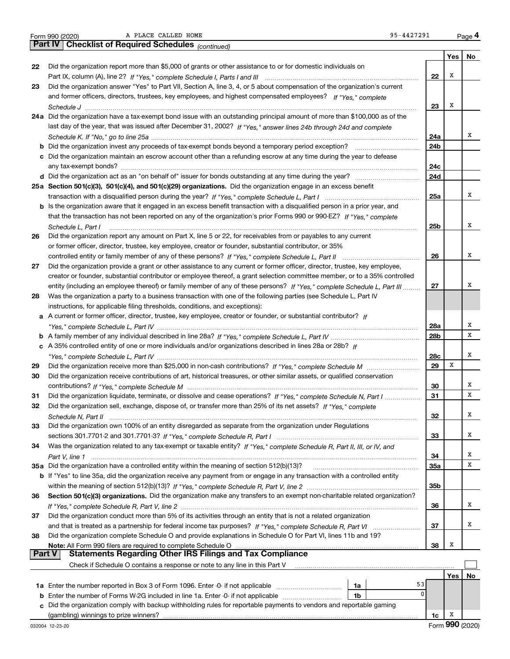|  | Form 990 (2020 |
|--|----------------|

A PLACE CALLED HOME 95-4427291

|               | A PLACE CALLED HOME<br>95-4427291<br>Form 990 (2020)                                                                                   |     |     | Page 4 |
|---------------|----------------------------------------------------------------------------------------------------------------------------------------|-----|-----|--------|
|               | Part IV   Checklist of Required Schedules (continued)                                                                                  |     |     |        |
|               |                                                                                                                                        |     | Yes | No     |
| 22            | Did the organization report more than \$5,000 of grants or other assistance to or for domestic individuals on                          |     |     |        |
|               |                                                                                                                                        | 22  | х   |        |
| 23            | Did the organization answer "Yes" to Part VII, Section A, line 3, 4, or 5 about compensation of the organization's current             |     |     |        |
|               | and former officers, directors, trustees, key employees, and highest compensated employees? If "Yes," complete                         |     |     |        |
|               |                                                                                                                                        | 23  | х   |        |
|               | 24a Did the organization have a tax-exempt bond issue with an outstanding principal amount of more than \$100,000 as of the            |     |     |        |
|               | last day of the year, that was issued after December 31, 2002? If "Yes," answer lines 24b through 24d and complete                     |     |     |        |
|               |                                                                                                                                        | 24a |     | х      |
|               | <b>b</b> Did the organization invest any proceeds of tax-exempt bonds beyond a temporary period exception?                             | 24b |     |        |
|               | c Did the organization maintain an escrow account other than a refunding escrow at any time during the year to defease                 |     |     |        |
|               |                                                                                                                                        | 24c |     |        |
|               |                                                                                                                                        | 24d |     |        |
|               | 25a Section 501(c)(3), 501(c)(4), and 501(c)(29) organizations. Did the organization engage in an excess benefit                       |     |     |        |
|               | transaction with a disqualified person during the year? If "Yes," complete Schedule L, Part I manual manual manual manual manual metal | 25a |     | х      |
|               | b Is the organization aware that it engaged in an excess benefit transaction with a disqualified person in a prior year, and           |     |     |        |
|               | that the transaction has not been reported on any of the organization's prior Forms 990 or 990-EZ? If "Yes," complete                  |     |     |        |
|               | Schedule L, Part I                                                                                                                     | 25b |     | х      |
| 26            | Did the organization report any amount on Part X, line 5 or 22, for receivables from or payables to any current                        |     |     |        |
|               | or former officer, director, trustee, key employee, creator or founder, substantial contributor, or 35%                                |     |     |        |
|               |                                                                                                                                        | 26  |     | х      |
| 27            | Did the organization provide a grant or other assistance to any current or former officer, director, trustee, key employee,            |     |     |        |
|               | creator or founder, substantial contributor or employee thereof, a grant selection committee member, or to a 35% controlled            |     |     |        |
|               | entity (including an employee thereof) or family member of any of these persons? If "Yes," complete Schedule L, Part III               | 27  |     | х      |
| 28            | Was the organization a party to a business transaction with one of the following parties (see Schedule L, Part IV                      |     |     |        |
|               | instructions, for applicable filing thresholds, conditions, and exceptions):                                                           |     |     |        |
|               | a A current or former officer, director, trustee, key employee, creator or founder, or substantial contributor? If                     |     |     |        |
|               |                                                                                                                                        | 28a |     | х      |
|               |                                                                                                                                        | 28b |     | X      |
|               | c A 35% controlled entity of one or more individuals and/or organizations described in lines 28a or 28b? If                            |     |     |        |
|               |                                                                                                                                        | 28c |     | х      |
| 29            |                                                                                                                                        | 29  | х   |        |
| 30            |                                                                                                                                        |     |     |        |
|               | Did the organization receive contributions of art, historical treasures, or other similar assets, or qualified conservation            |     |     | х      |
|               |                                                                                                                                        | 30  |     | X      |
| 31            | Did the organization liquidate, terminate, or dissolve and cease operations? If "Yes," complete Schedule N, Part I                     | 31  |     |        |
| 32            | Did the organization sell, exchange, dispose of, or transfer more than 25% of its net assets? If "Yes," complete                       |     |     | Χ      |
|               |                                                                                                                                        | 32  |     |        |
| 33            | Did the organization own 100% of an entity disregarded as separate from the organization under Regulations                             |     |     |        |
|               |                                                                                                                                        | 33  |     | х      |
| 34            | Was the organization related to any tax-exempt or taxable entity? If "Yes," complete Schedule R, Part II, III, or IV, and              |     |     |        |
|               |                                                                                                                                        | 34  |     | х      |
|               | 35a Did the organization have a controlled entity within the meaning of section 512(b)(13)?                                            | 35a |     | х      |
|               | b If "Yes" to line 35a, did the organization receive any payment from or engage in any transaction with a controlled entity            |     |     |        |
|               |                                                                                                                                        | 35b |     |        |
| 36            | Section 501(c)(3) organizations. Did the organization make any transfers to an exempt non-charitable related organization?             |     |     |        |
|               |                                                                                                                                        | 36  |     | х      |
| 37            | Did the organization conduct more than 5% of its activities through an entity that is not a related organization                       |     |     |        |
|               |                                                                                                                                        | 37  |     | x      |
| 38            | Did the organization complete Schedule O and provide explanations in Schedule O for Part VI, lines 11b and 19?                         |     |     |        |
|               | Note: All Form 990 filers are required to complete Schedule O                                                                          | 38  | х   |        |
| <b>Part V</b> | <b>Statements Regarding Other IRS Filings and Tax Compliance</b>                                                                       |     |     |        |
|               | Check if Schedule O contains a response or note to any line in this Part V                                                             |     |     |        |
|               |                                                                                                                                        |     | Yes | No     |
|               | 53<br>1a                                                                                                                               |     |     |        |
|               | 0<br><b>b</b> Enter the number of Forms W-2G included in line 1a. Enter -0- if not applicable<br>1b                                    |     |     |        |
| c.            | Did the organization comply with backup withholding rules for reportable payments to vendors and reportable gaming                     |     |     |        |
|               | (gambling) winnings to prize winners?                                                                                                  | 1c  | x   |        |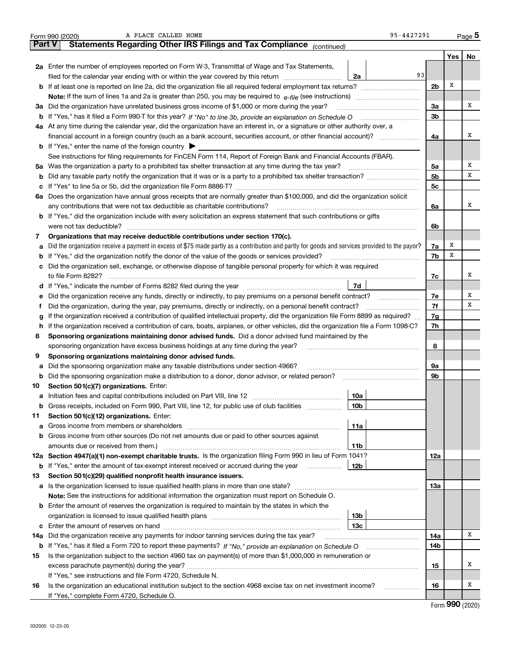|               | 95-4427291<br>A PLACE CALLED HOME<br>Form 990 (2020)                                                                                            |                |     | Page 5 |
|---------------|-------------------------------------------------------------------------------------------------------------------------------------------------|----------------|-----|--------|
| <b>Part V</b> | Statements Regarding Other IRS Filings and Tax Compliance (continued)                                                                           |                |     |        |
|               |                                                                                                                                                 |                | Yes | No     |
|               | 2a Enter the number of employees reported on Form W-3, Transmittal of Wage and Tax Statements,                                                  |                |     |        |
|               | 93<br>filed for the calendar year ending with or within the year covered by this return<br>2a                                                   |                |     |        |
|               |                                                                                                                                                 | 2 <sub>b</sub> | Х   |        |
|               |                                                                                                                                                 |                |     |        |
|               | 3a Did the organization have unrelated business gross income of \$1,000 or more during the year?                                                | 3a             |     | х      |
|               |                                                                                                                                                 | 3 <sub>b</sub> |     |        |
|               | 4a At any time during the calendar year, did the organization have an interest in, or a signature or other authority over, a                    |                |     |        |
|               | financial account in a foreign country (such as a bank account, securities account, or other financial account)?                                | 4a             |     | X      |
|               | <b>b</b> If "Yes," enter the name of the foreign country $\triangleright$                                                                       |                |     |        |
|               | See instructions for filing requirements for FinCEN Form 114, Report of Foreign Bank and Financial Accounts (FBAR).                             |                |     |        |
| 5a            | Was the organization a party to a prohibited tax shelter transaction at any time during the tax year?                                           | 5a             |     | х      |
| b             |                                                                                                                                                 | 5 <sub>b</sub> |     | х      |
| с             |                                                                                                                                                 | 5с             |     |        |
|               | 6a Does the organization have annual gross receipts that are normally greater than \$100,000, and did the organization solicit                  |                |     |        |
|               |                                                                                                                                                 | 6a             |     | х      |
|               | <b>b</b> If "Yes," did the organization include with every solicitation an express statement that such contributions or gifts                   |                |     |        |
|               | were not tax deductible?                                                                                                                        | 6b             |     |        |
| 7             | Organizations that may receive deductible contributions under section 170(c).                                                                   |                |     |        |
| a             | Did the organization receive a payment in excess of \$75 made partly as a contribution and partly for goods and services provided to the payor? | 7a             | х   |        |
| b             | If "Yes," did the organization notify the donor of the value of the goods or services provided?                                                 | 7b             | x   |        |
| c             | Did the organization sell, exchange, or otherwise dispose of tangible personal property for which it was required                               |                |     |        |
|               |                                                                                                                                                 | 7c             |     | х      |
| d             | 7d                                                                                                                                              |                |     |        |
| е             | Did the organization receive any funds, directly or indirectly, to pay premiums on a personal benefit contract?                                 | 7e             |     | х      |
| f             | Did the organization, during the year, pay premiums, directly or indirectly, on a personal benefit contract?                                    | 7f             |     | х      |
| g             | If the organization received a contribution of qualified intellectual property, did the organization file Form 8899 as required?                | 7g             |     |        |
| h.            | If the organization received a contribution of cars, boats, airplanes, or other vehicles, did the organization file a Form 1098-C?              | 7h             |     |        |
| 8             | Sponsoring organizations maintaining donor advised funds. Did a donor advised fund maintained by the                                            |                |     |        |
|               | sponsoring organization have excess business holdings at any time during the year?                                                              | 8              |     |        |
| 9             | Sponsoring organizations maintaining donor advised funds.                                                                                       |                |     |        |
| а             | Did the sponsoring organization make any taxable distributions under section 4966?                                                              | 9a             |     |        |
| b             | Did the sponsoring organization make a distribution to a donor, donor advisor, or related person?                                               | 9b             |     |        |
| 10            | Section 501(c)(7) organizations. Enter:                                                                                                         |                |     |        |
|               | 10a                                                                                                                                             |                |     |        |
|               | 10 <sub>b</sub><br>Gross receipts, included on Form 990, Part VIII, line 12, for public use of club facilities                                  |                |     |        |
| 11            | Section 501(c)(12) organizations. Enter:                                                                                                        |                |     |        |
| а             | Gross income from members or shareholders<br>11a                                                                                                |                |     |        |
| b             | Gross income from other sources (Do not net amounts due or paid to other sources against                                                        |                |     |        |
|               | 11b                                                                                                                                             |                |     |        |
|               | 12a Section 4947(a)(1) non-exempt charitable trusts. Is the organization filing Form 990 in lieu of Form 1041?                                  | 12a            |     |        |
|               | 12b<br><b>b</b> If "Yes," enter the amount of tax-exempt interest received or accrued during the year <i>manument</i> of                        |                |     |        |
| 13            | Section 501(c)(29) qualified nonprofit health insurance issuers.                                                                                |                |     |        |
|               | a Is the organization licensed to issue qualified health plans in more than one state?                                                          | 13a            |     |        |
|               | Note: See the instructions for additional information the organization must report on Schedule O.                                               |                |     |        |
| b             | Enter the amount of reserves the organization is required to maintain by the states in which the                                                |                |     |        |
|               | 13 <sub>b</sub>                                                                                                                                 |                |     |        |
|               | 13 <sub>c</sub>                                                                                                                                 |                |     |        |
| 14a           | Did the organization receive any payments for indoor tanning services during the tax year?                                                      | 14a            |     | х      |
|               | <b>b</b> If "Yes," has it filed a Form 720 to report these payments? If "No," provide an explanation on Schedule O                              | 14b            |     |        |
| 15            | Is the organization subject to the section 4960 tax on payment(s) of more than \$1,000,000 in remuneration or                                   |                |     |        |
|               |                                                                                                                                                 | 15             |     | x      |
|               | If "Yes," see instructions and file Form 4720, Schedule N.                                                                                      |                |     |        |
| 16            | Is the organization an educational institution subject to the section 4968 excise tax on net investment income?                                 | 16             |     | х      |
|               | If "Yes," complete Form 4720, Schedule O.                                                                                                       |                |     |        |

Form (2020) **990**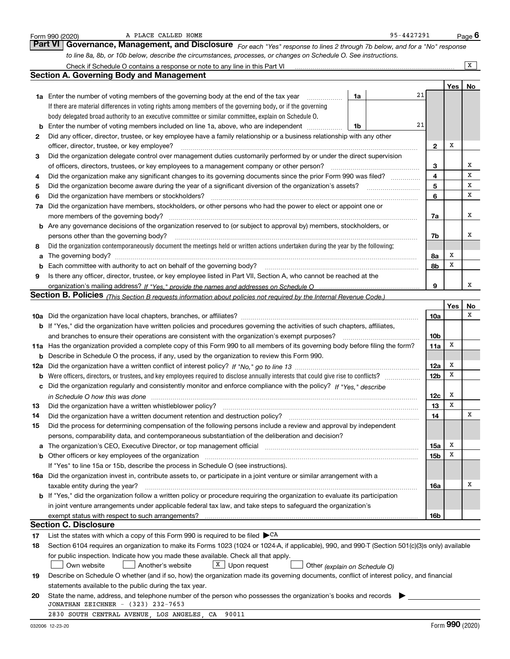|    | A PLACE CALLED HOME<br>Form 990 (2020)                                                                                                                                                                                        |    | 95-4427291 |                 |     | Page $6$ |
|----|-------------------------------------------------------------------------------------------------------------------------------------------------------------------------------------------------------------------------------|----|------------|-----------------|-----|----------|
|    | Governance, Management, and Disclosure For each "Yes" response to lines 2 through 7b below, and for a "No" response<br><b>Part VI</b>                                                                                         |    |            |                 |     |          |
|    | to line 8a, 8b, or 10b below, describe the circumstances, processes, or changes on Schedule O. See instructions.                                                                                                              |    |            |                 |     |          |
|    | Check if Schedule O contains a response or note to any line in this Part VI                                                                                                                                                   |    |            |                 |     | X        |
|    | <b>Section A. Governing Body and Management</b>                                                                                                                                                                               |    |            |                 |     |          |
|    |                                                                                                                                                                                                                               |    |            |                 | Yes | No       |
|    | <b>1a</b> Enter the number of voting members of the governing body at the end of the tax year                                                                                                                                 | 1a | 21         |                 |     |          |
|    | If there are material differences in voting rights among members of the governing body, or if the governing                                                                                                                   |    |            |                 |     |          |
|    | body delegated broad authority to an executive committee or similar committee, explain on Schedule O.                                                                                                                         |    |            |                 |     |          |
|    | Enter the number of voting members included on line 1a, above, who are independent                                                                                                                                            | 1b | 21         |                 |     |          |
| 2  | Did any officer, director, trustee, or key employee have a family relationship or a business relationship with any other                                                                                                      |    |            |                 |     |          |
|    | officer, director, trustee, or key employee?                                                                                                                                                                                  |    |            | $\mathbf{2}$    | X   |          |
| 3  | Did the organization delegate control over management duties customarily performed by or under the direct supervision                                                                                                         |    |            |                 |     |          |
|    | of officers, directors, trustees, or key employees to a management company or other person?                                                                                                                                   |    |            | З               |     | x        |
| 4  | Did the organization make any significant changes to its governing documents since the prior Form 990 was filed?                                                                                                              |    |            | 4               |     | x        |
| 5  | Did the organization become aware during the year of a significant diversion of the organization's assets?                                                                                                                    |    |            | 5               |     | x        |
| 6  | Did the organization have members or stockholders?                                                                                                                                                                            |    |            | 6               |     | x        |
| 7a | Did the organization have members, stockholders, or other persons who had the power to elect or appoint one or                                                                                                                |    |            |                 |     |          |
|    | more members of the governing body?                                                                                                                                                                                           |    |            | 7a              |     | x        |
| b  | Are any governance decisions of the organization reserved to (or subject to approval by) members, stockholders, or                                                                                                            |    |            |                 |     |          |
|    | persons other than the governing body?                                                                                                                                                                                        |    |            | 7b              |     | х        |
| 8  | Did the organization contemporaneously document the meetings held or written actions undertaken during the year by the following:                                                                                             |    |            |                 |     |          |
| a  |                                                                                                                                                                                                                               |    |            | 8а              | х   |          |
|    | Each committee with authority to act on behalf of the governing body?                                                                                                                                                         |    |            | 8b              | x   |          |
| 9  | Is there any officer, director, trustee, or key employee listed in Part VII, Section A, who cannot be reached at the                                                                                                          |    |            |                 |     |          |
|    |                                                                                                                                                                                                                               |    |            | 9               |     | x        |
|    | Section B. Policies <sub>(This</sub> Section B requests information about policies not required by the Internal Revenue Code.)                                                                                                |    |            |                 |     |          |
|    |                                                                                                                                                                                                                               |    |            |                 | Yes | No       |
|    |                                                                                                                                                                                                                               |    |            | 10a             |     | x        |
|    | <b>b</b> If "Yes," did the organization have written policies and procedures governing the activities of such chapters, affiliates,                                                                                           |    |            |                 |     |          |
|    | and branches to ensure their operations are consistent with the organization's exempt purposes?                                                                                                                               |    |            | 10 <sub>b</sub> |     |          |
|    | 11a Has the organization provided a complete copy of this Form 990 to all members of its governing body before filing the form?                                                                                               |    |            | 11a             | х   |          |
| b  | Describe in Schedule O the process, if any, used by the organization to review this Form 990.                                                                                                                                 |    |            |                 |     |          |
|    |                                                                                                                                                                                                                               |    |            | 12a             | Х   |          |
| b  | Were officers, directors, or trustees, and key employees required to disclose annually interests that could give rise to conflicts?                                                                                           |    |            | 12 <sub>b</sub> | X   |          |
| с  | Did the organization regularly and consistently monitor and enforce compliance with the policy? If "Yes," describe                                                                                                            |    |            |                 |     |          |
|    | in Schedule O how this was done manufactured and continuum and contact the O how this was done                                                                                                                                |    |            | 12c             | х   |          |
| 13 | Did the organization have a written whistleblower policy?                                                                                                                                                                     |    |            | 13              | х   |          |
| 14 | Did the organization have a written document retention and destruction policy?                                                                                                                                                |    |            | 14              |     | х        |
| 15 | Did the process for determining compensation of the following persons include a review and approval by independent                                                                                                            |    |            |                 |     |          |
|    | persons, comparability data, and contemporaneous substantiation of the deliberation and decision?                                                                                                                             |    |            |                 |     |          |
| а  | The organization's CEO, Executive Director, or top management official manufactured contains and contained and the Director, or top management official manufactured and contain an except of the Director of the Director of |    |            | 15a             | х   |          |
| b  | Other officers or key employees of the organization                                                                                                                                                                           |    |            | 15 <sub>b</sub> | X   |          |
|    | If "Yes" to line 15a or 15b, describe the process in Schedule O (see instructions).                                                                                                                                           |    |            |                 |     |          |
|    | 16a Did the organization invest in, contribute assets to, or participate in a joint venture or similar arrangement with a                                                                                                     |    |            |                 |     |          |
|    | taxable entity during the year?                                                                                                                                                                                               |    |            | 16a             |     | х        |
|    | <b>b</b> If "Yes," did the organization follow a written policy or procedure requiring the organization to evaluate its participation                                                                                         |    |            |                 |     |          |
|    | in joint venture arrangements under applicable federal tax law, and take steps to safeguard the organization's                                                                                                                |    |            |                 |     |          |
|    | exempt status with respect to such arrangements?                                                                                                                                                                              |    |            | 16b             |     |          |
|    | <b>Section C. Disclosure</b>                                                                                                                                                                                                  |    |            |                 |     |          |
| 17 | List the states with which a copy of this Form 990 is required to be filed $\blacktriangleright^{\mathsf{CA}}$                                                                                                                |    |            |                 |     |          |
| 18 | Section 6104 requires an organization to make its Forms 1023 (1024 or 1024-A, if applicable), 990, and 990-T (Section 501(c)(3)s only) available                                                                              |    |            |                 |     |          |
|    | for public inspection. Indicate how you made these available. Check all that apply.                                                                                                                                           |    |            |                 |     |          |
|    | X Upon request<br>Own website<br>Another's website<br>Other (explain on Schedule O)                                                                                                                                           |    |            |                 |     |          |
| 19 | Describe on Schedule O whether (and if so, how) the organization made its governing documents, conflict of interest policy, and financial                                                                                     |    |            |                 |     |          |
|    | statements available to the public during the tax year.                                                                                                                                                                       |    |            |                 |     |          |
| 20 | State the name, address, and telephone number of the person who possesses the organization's books and records                                                                                                                |    |            |                 |     |          |
|    | JONATHAN ZEICHNER - (323) 232-7653                                                                                                                                                                                            |    |            |                 |     |          |
|    | 2830 SOUTH CENTRAL AVENUE, LOS ANGELES, CA<br>90011                                                                                                                                                                           |    |            |                 |     |          |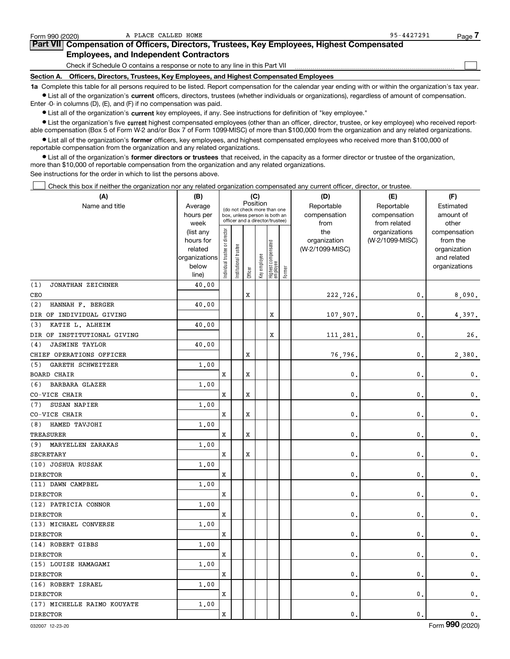| Form 990 (2020) | A PLACE CALLED HOME                                                                                                                                        | 95-4427291 | Page |
|-----------------|------------------------------------------------------------------------------------------------------------------------------------------------------------|------------|------|
|                 | Part VII Compensation of Officers, Directors, Trustees, Key Employees, Highest Compensated                                                                 |            |      |
|                 | <b>Employees, and Independent Contractors</b>                                                                                                              |            |      |
|                 | Check if Schedule O contains a response or note to any line in this Part VII                                                                               |            |      |
|                 | Section A. Officers, Directors, Trustees, Key Employees, and Highest Compensated Employees                                                                 |            |      |
|                 | 1a Complete this table for all persons required to be listed. Report compensation for the calendar year ending with or within the organization's tax year. |            |      |

**•** List all of the organization's current officers, directors, trustees (whether individuals or organizations), regardless of amount of compensation. Enter -0- in columns (D), (E), and (F) if no compensation was paid.

 $\bullet$  List all of the organization's  $\,$ current key employees, if any. See instructions for definition of "key employee."

**•** List the organization's five current highest compensated employees (other than an officer, director, trustee, or key employee) who received reportable compensation (Box 5 of Form W-2 and/or Box 7 of Form 1099-MISC) of more than \$100,000 from the organization and any related organizations.

**•** List all of the organization's former officers, key employees, and highest compensated employees who received more than \$100,000 of reportable compensation from the organization and any related organizations.

**former directors or trustees**  ¥ List all of the organization's that received, in the capacity as a former director or trustee of the organization, more than \$10,000 of reportable compensation from the organization and any related organizations.

See instructions for the order in which to list the persons above.

Check this box if neither the organization nor any related organization compensated any current officer, director, or trustee.  $\mathcal{L}^{\text{max}}$ 

| (A)                          | (B)                      | (C)                           |                                                                  |         |              |                                 | (D)    | (E)             | (F)             |                             |
|------------------------------|--------------------------|-------------------------------|------------------------------------------------------------------|---------|--------------|---------------------------------|--------|-----------------|-----------------|-----------------------------|
| Name and title               | Average                  |                               | (do not check more than one                                      |         | Position     |                                 |        | Reportable      | Reportable      | Estimated                   |
|                              | hours per                |                               | box, unless person is both an<br>officer and a director/trustee) |         |              |                                 |        | compensation    | compensation    | amount of                   |
|                              | week                     |                               |                                                                  |         |              |                                 |        | from            | from related    | other                       |
|                              | (list any                |                               |                                                                  |         |              |                                 |        | the             | organizations   | compensation                |
|                              | hours for                |                               |                                                                  |         |              |                                 |        | organization    | (W-2/1099-MISC) | from the                    |
|                              | related<br>organizations |                               |                                                                  |         |              |                                 |        | (W-2/1099-MISC) |                 | organization<br>and related |
|                              | below                    |                               |                                                                  |         |              |                                 |        |                 |                 | organizations               |
|                              | line)                    | ndividual trustee or director | Institutional trustee                                            | Officer | Key employee | Highest compensated<br>employee | Former |                 |                 |                             |
| (1)<br>JONATHAN ZEICHNER     | 40.00                    |                               |                                                                  |         |              |                                 |        |                 |                 |                             |
| CEO                          |                          |                               |                                                                  | x       |              |                                 |        | 222,726.        | $\mathbf 0$ .   | 8,090.                      |
| HANNAH F. BERGER<br>(2)      | 40.00                    |                               |                                                                  |         |              |                                 |        |                 |                 |                             |
| DIR OF INDIVIDUAL GIVING     |                          |                               |                                                                  |         |              | X                               |        | 107,907.        | $\mathbf{0}$    | 4,397.                      |
| KATIE L. ALHEIM<br>(3)       | 40.00                    |                               |                                                                  |         |              |                                 |        |                 |                 |                             |
| DIR OF INSTITUTIONAL GIVING  |                          |                               |                                                                  |         |              | X                               |        | 111,281         | $\mathbf{0}$    | 26.                         |
| <b>JASMINE TAYLOR</b><br>(4) | 40.00                    |                               |                                                                  |         |              |                                 |        |                 |                 |                             |
| CHIEF OPERATIONS OFFICER     |                          |                               |                                                                  | X       |              |                                 |        | 76,796          | $\mathbf{0}$    | 2,380.                      |
| GARETH SCHWEITZER<br>(5)     | 1.00                     |                               |                                                                  |         |              |                                 |        |                 |                 |                             |
| BOARD CHAIR                  |                          | x                             |                                                                  | x       |              |                                 |        | 0               | $\mathbf{0}$    | $\mathbf 0$ .               |
| <b>BARBARA GLAZER</b><br>(6) | 1.00                     |                               |                                                                  |         |              |                                 |        |                 |                 |                             |
| CO-VICE CHAIR                |                          | x                             |                                                                  | X       |              |                                 |        | 0               | $\mathbf{0}$    | $\mathbf 0$ .               |
| SUSAN NAPIER<br>(7)          | 1.00                     |                               |                                                                  |         |              |                                 |        |                 |                 |                             |
| CO-VICE CHAIR                |                          | x                             |                                                                  | X       |              |                                 |        | 0               | $\mathbf{0}$    | $\mathbf 0$ .               |
| HAMED TAVJOHI<br>(8)         | 1.00                     |                               |                                                                  |         |              |                                 |        |                 |                 |                             |
| TREASURER                    |                          | x                             |                                                                  | X       |              |                                 |        | 0               | 0               | $\mathbf 0$ .               |
| (9) MARYELLEN ZARAKAS        | 1.00                     |                               |                                                                  |         |              |                                 |        |                 |                 |                             |
| <b>SECRETARY</b>             |                          | x                             |                                                                  | X       |              |                                 |        | $\mathbf{0}$    | $\mathbf{0}$    | $\mathbf 0$ .               |
| (10) JOSHUA RUSSAK           | 1.00                     |                               |                                                                  |         |              |                                 |        |                 |                 |                             |
| <b>DIRECTOR</b>              |                          | x                             |                                                                  |         |              |                                 |        | 0               | $\mathbf{0}$    | $\mathbf 0$ .               |
| (11) DAWN CAMPBEL            | 1.00                     |                               |                                                                  |         |              |                                 |        |                 |                 |                             |
| <b>DIRECTOR</b>              |                          | x                             |                                                                  |         |              |                                 |        | $\mathbf{0}$    | $\mathbf{0}$    | $\mathbf 0$ .               |
| (12) PATRICIA CONNOR         | 1,00                     |                               |                                                                  |         |              |                                 |        |                 |                 |                             |
| <b>DIRECTOR</b>              |                          | X                             |                                                                  |         |              |                                 |        | $\pmb{0}$       | 0               | $\mathbf 0$ .               |
| (13) MICHAEL CONVERSE        | 1,00                     |                               |                                                                  |         |              |                                 |        |                 |                 |                             |
| <b>DIRECTOR</b>              |                          | X                             |                                                                  |         |              |                                 |        | 0.              | $\mathbf 0$     | $\mathbf 0$ .               |
| (14) ROBERT GIBBS            | 1,00                     |                               |                                                                  |         |              |                                 |        |                 |                 |                             |
| <b>DIRECTOR</b>              |                          | x                             |                                                                  |         |              |                                 |        | 0               | 0               | $\mathbf 0$ .               |
| (15) LOUISE HAMAGAMI         | 1,00                     |                               |                                                                  |         |              |                                 |        |                 |                 |                             |
| <b>DIRECTOR</b>              |                          | x                             |                                                                  |         |              |                                 |        | 0.              | $\mathbf 0$     | $\mathbf 0$ .               |
| (16) ROBERT ISRAEL           | 1,00                     |                               |                                                                  |         |              |                                 |        |                 |                 |                             |
| <b>DIRECTOR</b>              |                          | x                             |                                                                  |         |              |                                 |        | $\mathbf 0$ .   | $\mathbf{0}$    | 0.                          |
| (17) MICHELLE RAIMO KOUYATE  | 1.00                     |                               |                                                                  |         |              |                                 |        |                 |                 |                             |
| <b>DIRECTOR</b>              |                          | X                             |                                                                  |         |              |                                 |        | 0.              | $\mathbf{0}$    | $\mathsf{0}\,.$             |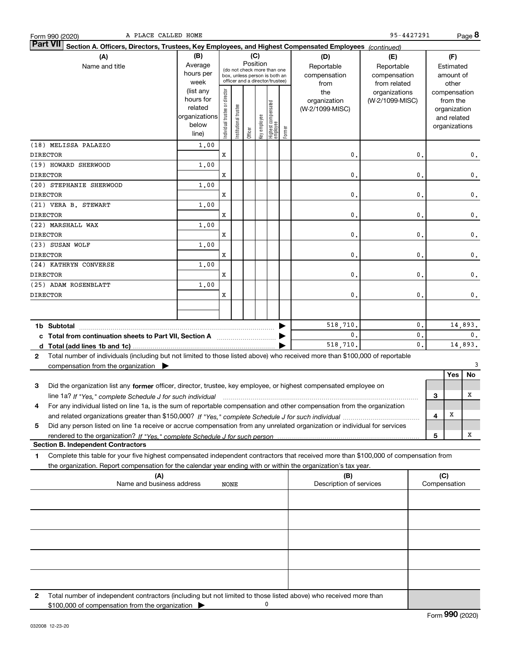| A PLACE CALLED HOME<br>Form 990 (2020)                                                                                                    |                                                                              |                                                                                                                      |                       |         |              |                                                                        |                                   |                                                | 95-4427291                                       |                               |         |                                                                                   | Page 8  |
|-------------------------------------------------------------------------------------------------------------------------------------------|------------------------------------------------------------------------------|----------------------------------------------------------------------------------------------------------------------|-----------------------|---------|--------------|------------------------------------------------------------------------|-----------------------------------|------------------------------------------------|--------------------------------------------------|-------------------------------|---------|-----------------------------------------------------------------------------------|---------|
| <b>Part VII</b><br>Section A. Officers, Directors, Trustees, Key Employees, and Highest Compensated Employees (continued)                 |                                                                              |                                                                                                                      |                       |         |              |                                                                        |                                   |                                                |                                                  |                               |         |                                                                                   |         |
| (A)<br>Name and title                                                                                                                     | (B)<br>Average<br>hours per                                                  | (C)<br>(D)<br>Position<br>Reportable<br>(do not check more than one<br>compensation<br>box, unless person is both an |                       |         |              |                                                                        | (E)<br>Reportable<br>compensation |                                                |                                                  | (F)<br>Estimated<br>amount of |         |                                                                                   |         |
|                                                                                                                                           | week<br>(list any<br>hours for<br>related<br>organizations<br>below<br>line) | ndividual trustee or director                                                                                        | Institutional trustee | Officer | key employee | officer and a director/trustee)<br>  Highest compensated<br>  employee | Former                            | from<br>the<br>organization<br>(W-2/1099-MISC) | from related<br>organizations<br>(W-2/1099-MISC) |                               |         | other<br>compensation<br>from the<br>organization<br>and related<br>organizations |         |
| (18) MELISSA PALAZZO                                                                                                                      | 1,00                                                                         |                                                                                                                      |                       |         |              |                                                                        |                                   |                                                |                                                  |                               |         |                                                                                   |         |
| <b>DIRECTOR</b>                                                                                                                           |                                                                              | X                                                                                                                    |                       |         |              |                                                                        |                                   | 0                                              |                                                  | 0.                            |         |                                                                                   | 0.      |
| (19) HOWARD SHERWOOD                                                                                                                      | 1,00                                                                         |                                                                                                                      |                       |         |              |                                                                        |                                   |                                                |                                                  |                               |         |                                                                                   |         |
| <b>DIRECTOR</b>                                                                                                                           |                                                                              | x                                                                                                                    |                       |         |              |                                                                        |                                   | 0                                              |                                                  | 0                             |         |                                                                                   | 0.      |
| (20) STEPHANIE SHERWOOD                                                                                                                   | 1,00                                                                         |                                                                                                                      |                       |         |              |                                                                        |                                   |                                                |                                                  |                               |         |                                                                                   |         |
| <b>DIRECTOR</b>                                                                                                                           |                                                                              | x                                                                                                                    |                       |         |              |                                                                        |                                   | $\mathbf 0$                                    |                                                  | $\mathbf{0}$                  |         |                                                                                   | 0.      |
| (21) VERA B. STEWART                                                                                                                      | 1,00                                                                         |                                                                                                                      |                       |         |              |                                                                        |                                   |                                                |                                                  |                               |         |                                                                                   |         |
| <b>DIRECTOR</b>                                                                                                                           |                                                                              | x                                                                                                                    |                       |         |              |                                                                        |                                   | 0                                              |                                                  | $\mathbf{0}$                  |         |                                                                                   | 0.      |
| (22) MARSHALL WAX                                                                                                                         | 1,00                                                                         |                                                                                                                      |                       |         |              |                                                                        |                                   |                                                |                                                  |                               |         |                                                                                   |         |
| <b>DIRECTOR</b>                                                                                                                           |                                                                              | X                                                                                                                    |                       |         |              |                                                                        |                                   | 0                                              |                                                  | 0                             |         |                                                                                   | 0.      |
| (23) SUSAN WOLF                                                                                                                           | 1,00                                                                         |                                                                                                                      |                       |         |              |                                                                        |                                   |                                                |                                                  |                               |         |                                                                                   |         |
| <b>DIRECTOR</b>                                                                                                                           |                                                                              | X                                                                                                                    |                       |         |              |                                                                        |                                   | 0                                              |                                                  | 0                             |         |                                                                                   | 0.      |
| (24) KATHRYN CONVERSE                                                                                                                     | 1,00                                                                         |                                                                                                                      |                       |         |              |                                                                        |                                   |                                                |                                                  |                               |         |                                                                                   |         |
| <b>DIRECTOR</b>                                                                                                                           |                                                                              | X                                                                                                                    |                       |         |              |                                                                        |                                   | 0                                              |                                                  | $\mathbf{0}$                  |         |                                                                                   | 0.      |
| (25) ADAM ROSENBLATT                                                                                                                      | 1,00                                                                         |                                                                                                                      |                       |         |              |                                                                        |                                   |                                                |                                                  |                               |         |                                                                                   |         |
| <b>DIRECTOR</b>                                                                                                                           |                                                                              | X                                                                                                                    |                       |         |              |                                                                        |                                   | $\mathbf 0$                                    |                                                  | 0.                            |         |                                                                                   | 0.      |
|                                                                                                                                           |                                                                              |                                                                                                                      |                       |         |              |                                                                        |                                   |                                                |                                                  |                               |         |                                                                                   |         |
|                                                                                                                                           |                                                                              |                                                                                                                      |                       |         |              |                                                                        |                                   | 518,710.                                       |                                                  | 0.                            |         |                                                                                   | 14,893. |
| c Total from continuation sheets to Part VII, Section A                                                                                   |                                                                              |                                                                                                                      |                       |         |              |                                                                        |                                   | 0.                                             |                                                  | 0.                            |         |                                                                                   | 0.      |
|                                                                                                                                           |                                                                              |                                                                                                                      |                       |         |              |                                                                        |                                   | 518,710.                                       |                                                  | $\mathbf{0}$ .                | 14,893. |                                                                                   |         |
| Total number of individuals (including but not limited to those listed above) who received more than \$100,000 of reportable<br>2         |                                                                              |                                                                                                                      |                       |         |              |                                                                        |                                   |                                                |                                                  |                               |         |                                                                                   |         |
| compensation from the organization $\blacktriangleright$                                                                                  |                                                                              |                                                                                                                      |                       |         |              |                                                                        |                                   |                                                |                                                  |                               |         |                                                                                   | 3       |
|                                                                                                                                           |                                                                              |                                                                                                                      |                       |         |              |                                                                        |                                   |                                                |                                                  |                               |         | Yes                                                                               | No      |
| 3<br>Did the organization list any former officer, director, trustee, key employee, or highest compensated employee on                    |                                                                              |                                                                                                                      |                       |         |              |                                                                        |                                   |                                                |                                                  |                               |         |                                                                                   |         |
| line 1a? If "Yes," complete Schedule J for such individual manufactured contained and the Yes," complete Schedule J for such individual   |                                                                              |                                                                                                                      |                       |         |              |                                                                        |                                   |                                                |                                                  |                               | З       |                                                                                   | х       |
| For any individual listed on line 1a, is the sum of reportable compensation and other compensation from the organization<br>4             |                                                                              |                                                                                                                      |                       |         |              |                                                                        |                                   |                                                |                                                  |                               | 4       | х                                                                                 |         |
| Did any person listed on line 1a receive or accrue compensation from any unrelated organization or individual for services<br>5           |                                                                              |                                                                                                                      |                       |         |              |                                                                        |                                   |                                                |                                                  |                               |         |                                                                                   |         |
|                                                                                                                                           |                                                                              |                                                                                                                      |                       |         |              |                                                                        |                                   |                                                |                                                  |                               | 5       |                                                                                   | х       |
| <b>Section B. Independent Contractors</b>                                                                                                 |                                                                              |                                                                                                                      |                       |         |              |                                                                        |                                   |                                                |                                                  |                               |         |                                                                                   |         |
| Complete this table for your five highest compensated independent contractors that received more than \$100,000 of compensation from<br>1 |                                                                              |                                                                                                                      |                       |         |              |                                                                        |                                   |                                                |                                                  |                               |         |                                                                                   |         |
| the organization. Report compensation for the calendar year ending with or within the organization's tax year.                            |                                                                              |                                                                                                                      |                       |         |              |                                                                        |                                   |                                                |                                                  |                               |         |                                                                                   |         |
| (A)<br>Name and business address                                                                                                          |                                                                              | NONE                                                                                                                 |                       |         |              |                                                                        |                                   | (B)<br>Description of services                 |                                                  |                               | (C)     | Compensation                                                                      |         |
|                                                                                                                                           |                                                                              |                                                                                                                      |                       |         |              |                                                                        |                                   |                                                |                                                  |                               |         |                                                                                   |         |
|                                                                                                                                           |                                                                              |                                                                                                                      |                       |         |              |                                                                        |                                   |                                                |                                                  |                               |         |                                                                                   |         |
|                                                                                                                                           |                                                                              |                                                                                                                      |                       |         |              |                                                                        |                                   |                                                |                                                  |                               |         |                                                                                   |         |
|                                                                                                                                           |                                                                              |                                                                                                                      |                       |         |              |                                                                        |                                   |                                                |                                                  |                               |         |                                                                                   |         |
|                                                                                                                                           |                                                                              |                                                                                                                      |                       |         |              |                                                                        |                                   |                                                |                                                  |                               |         |                                                                                   |         |
|                                                                                                                                           |                                                                              |                                                                                                                      |                       |         |              |                                                                        |                                   |                                                |                                                  |                               |         |                                                                                   |         |
|                                                                                                                                           |                                                                              |                                                                                                                      |                       |         |              |                                                                        |                                   |                                                |                                                  |                               |         |                                                                                   |         |
| 2<br>Total number of independent contractors (including but not limited to those listed above) who received more than                     |                                                                              |                                                                                                                      |                       |         |              |                                                                        |                                   |                                                |                                                  |                               |         |                                                                                   |         |
| \$100,000 of compensation from the organization                                                                                           |                                                                              |                                                                                                                      |                       |         |              | 0                                                                      |                                   |                                                |                                                  |                               |         |                                                                                   |         |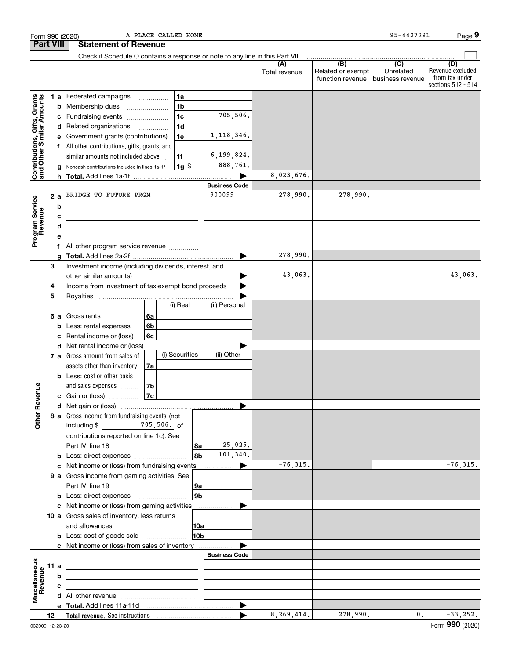|                                                           |                                                         |    | Form 990 (2020)                                                               |                          | A PLACE CALLED HOME |                      |                      |                                              | 95-4427291                           | Page 9                                                          |
|-----------------------------------------------------------|---------------------------------------------------------|----|-------------------------------------------------------------------------------|--------------------------|---------------------|----------------------|----------------------|----------------------------------------------|--------------------------------------|-----------------------------------------------------------------|
|                                                           | <b>Part VIII</b>                                        |    | <b>Statement of Revenue</b>                                                   |                          |                     |                      |                      |                                              |                                      |                                                                 |
|                                                           |                                                         |    | Check if Schedule O contains a response or note to any line in this Part VIII |                          |                     |                      |                      |                                              |                                      |                                                                 |
|                                                           |                                                         |    |                                                                               |                          |                     |                      | (A)<br>Total revenue | (B)<br>Related or exempt<br>function revenue | (C)<br>Unrelated<br>business revenue | (D)<br>Revenue excluded<br>from tax under<br>sections 512 - 514 |
|                                                           |                                                         |    | <b>1 a</b> Federated campaigns                                                | .                        | 1a                  |                      |                      |                                              |                                      |                                                                 |
| Contributions, Gifts, Grants<br>and Other Similar Amounts |                                                         |    | <b>b</b> Membership dues                                                      |                          | 1 <sub>b</sub>      |                      |                      |                                              |                                      |                                                                 |
|                                                           |                                                         |    | c Fundraising events                                                          |                          | 1 <sub>c</sub>      | 705,506.             |                      |                                              |                                      |                                                                 |
|                                                           |                                                         |    | d Related organizations                                                       | $\overline{\phantom{a}}$ | 1 <sub>d</sub>      |                      |                      |                                              |                                      |                                                                 |
|                                                           |                                                         |    | e Government grants (contributions)                                           |                          | 1e                  | 1, 118, 346.         |                      |                                              |                                      |                                                                 |
|                                                           |                                                         |    | f All other contributions, gifts, grants, and                                 |                          |                     |                      |                      |                                              |                                      |                                                                 |
|                                                           |                                                         |    | similar amounts not included above                                            |                          | 1f                  | 6,199,824.           |                      |                                              |                                      |                                                                 |
|                                                           |                                                         |    | g Noncash contributions included in lines 1a-1f                               |                          | $1g$ \$             | 888,761.             |                      |                                              |                                      |                                                                 |
|                                                           |                                                         |    |                                                                               |                          |                     |                      | 8,023,676.           |                                              |                                      |                                                                 |
|                                                           |                                                         |    |                                                                               |                          |                     | <b>Business Code</b> |                      |                                              |                                      |                                                                 |
|                                                           | 2a                                                      |    | BRIDGE TO FUTURE PRGM                                                         |                          |                     | 900099               | 278,990.             | 278,990.                                     |                                      |                                                                 |
|                                                           |                                                         | b  |                                                                               |                          |                     |                      |                      |                                              |                                      |                                                                 |
|                                                           |                                                         | с  |                                                                               |                          |                     |                      |                      |                                              |                                      |                                                                 |
| Program Service<br>Revenue                                |                                                         | d  |                                                                               |                          |                     |                      |                      |                                              |                                      |                                                                 |
|                                                           |                                                         |    |                                                                               |                          |                     |                      |                      |                                              |                                      |                                                                 |
|                                                           |                                                         | Τ. | All other program service revenue                                             |                          |                     |                      | 278,990.             |                                              |                                      |                                                                 |
|                                                           | 3                                                       | a  | Investment income (including dividends, interest, and                         |                          |                     |                      |                      |                                              |                                      |                                                                 |
|                                                           |                                                         |    |                                                                               |                          |                     |                      | 43,063.              |                                              |                                      | 43,063.                                                         |
|                                                           | Income from investment of tax-exempt bond proceeds<br>4 |    |                                                                               |                          |                     |                      |                      |                                              |                                      |                                                                 |
|                                                           | 5                                                       |    |                                                                               |                          |                     |                      |                      |                                              |                                      |                                                                 |
|                                                           |                                                         |    |                                                                               |                          | (i) Real            | (ii) Personal        |                      |                                              |                                      |                                                                 |
|                                                           |                                                         |    | 6 a Gross rents<br>.                                                          | 6a                       |                     |                      |                      |                                              |                                      |                                                                 |
|                                                           |                                                         | b  | Less: rental expenses                                                         | 6b                       |                     |                      |                      |                                              |                                      |                                                                 |
|                                                           |                                                         | с  | Rental income or (loss)                                                       | 6c                       |                     |                      |                      |                                              |                                      |                                                                 |
|                                                           |                                                         |    | d Net rental income or (loss)                                                 |                          |                     |                      |                      |                                              |                                      |                                                                 |
|                                                           |                                                         |    | 7 a Gross amount from sales of                                                |                          | (i) Securities      | (ii) Other           |                      |                                              |                                      |                                                                 |
|                                                           |                                                         |    | assets other than inventory                                                   | 7a                       |                     |                      |                      |                                              |                                      |                                                                 |
|                                                           |                                                         |    | <b>b</b> Less: cost or other basis                                            |                          |                     |                      |                      |                                              |                                      |                                                                 |
| venue                                                     |                                                         |    | and sales expenses                                                            | 7b                       |                     |                      |                      |                                              |                                      |                                                                 |
|                                                           |                                                         |    | c Gain or (loss)                                                              | 7c                       |                     |                      |                      |                                              |                                      |                                                                 |
| <u>ଝ</u>                                                  |                                                         |    |                                                                               |                          |                     |                      |                      |                                              |                                      |                                                                 |
| Other                                                     |                                                         |    | 8 a Gross income from fundraising events (not<br>including $$$ 705,506. of    |                          |                     |                      |                      |                                              |                                      |                                                                 |
|                                                           |                                                         |    | contributions reported on line 1c). See                                       |                          |                     |                      |                      |                                              |                                      |                                                                 |
|                                                           |                                                         |    |                                                                               |                          | 8a                  | 25,025.              |                      |                                              |                                      |                                                                 |
|                                                           |                                                         |    | <b>b</b> Less: direct expenses                                                |                          | 8b                  | 101,340.             |                      |                                              |                                      |                                                                 |
|                                                           |                                                         |    | c Net income or (loss) from fundraising events                                |                          |                     | ▶<br>.               | $-76, 315.$          |                                              |                                      | $-76, 315.$                                                     |
|                                                           |                                                         |    | 9 a Gross income from gaming activities. See                                  |                          |                     |                      |                      |                                              |                                      |                                                                 |
|                                                           |                                                         |    |                                                                               |                          | 9а                  |                      |                      |                                              |                                      |                                                                 |
|                                                           |                                                         |    |                                                                               |                          | 9 <sub>b</sub>      |                      |                      |                                              |                                      |                                                                 |
|                                                           |                                                         |    | c Net income or (loss) from gaming activities                                 |                          |                     | ▶<br>.               |                      |                                              |                                      |                                                                 |
|                                                           |                                                         |    | 10 a Gross sales of inventory, less returns                                   |                          |                     |                      |                      |                                              |                                      |                                                                 |
|                                                           |                                                         |    |                                                                               |                          | 10a                 |                      |                      |                                              |                                      |                                                                 |
|                                                           |                                                         |    | <b>b</b> Less: cost of goods sold                                             |                          | 10b                 |                      |                      |                                              |                                      |                                                                 |
|                                                           |                                                         |    | c Net income or (loss) from sales of inventory                                |                          |                     |                      |                      |                                              |                                      |                                                                 |
|                                                           |                                                         |    |                                                                               |                          |                     | <b>Business Code</b> |                      |                                              |                                      |                                                                 |
| Miscellaneous<br>Revenue                                  | 11 a                                                    |    |                                                                               |                          |                     |                      |                      |                                              |                                      |                                                                 |
|                                                           |                                                         | b  |                                                                               |                          |                     |                      |                      |                                              |                                      |                                                                 |
|                                                           |                                                         | с  |                                                                               |                          |                     |                      |                      |                                              |                                      |                                                                 |
|                                                           |                                                         |    |                                                                               |                          |                     |                      |                      |                                              |                                      |                                                                 |
|                                                           | 12                                                      |    |                                                                               |                          |                     | ▶                    | 8, 269, 414.         | 278,990.                                     | 0.                                   | $-33,252.$                                                      |
|                                                           |                                                         |    |                                                                               |                          |                     |                      |                      |                                              |                                      |                                                                 |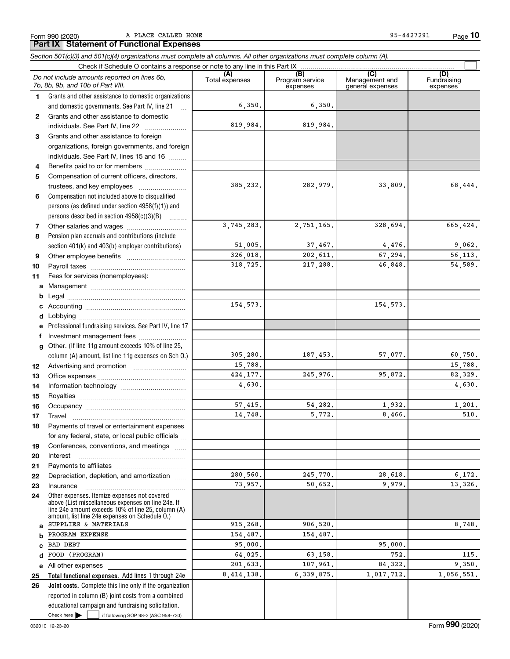Form 990 (2020) Page **Part IX Statement of Functional Expenses** A PLACE CALLED HOME 95-4427291

**10**

|              | Section 501(c)(3) and 501(c)(4) organizations must complete all columns. All other organizations must complete column (A).                                                                                 |                |                             |                                    |                         |
|--------------|------------------------------------------------------------------------------------------------------------------------------------------------------------------------------------------------------------|----------------|-----------------------------|------------------------------------|-------------------------|
|              | Check if Schedule O contains a response or note to any line in this Part IX                                                                                                                                | (A)            | (B)                         | (C)                                | (D)                     |
|              | Do not include amounts reported on lines 6b,<br>7b, 8b, 9b, and 10b of Part VIII.                                                                                                                          | Total expenses | Program service<br>expenses | Management and<br>general expenses | Fundraising<br>expenses |
| 1.           | Grants and other assistance to domestic organizations                                                                                                                                                      |                |                             |                                    |                         |
|              | and domestic governments. See Part IV, line 21                                                                                                                                                             | 6,350.         | 6,350.                      |                                    |                         |
| $\mathbf{2}$ | Grants and other assistance to domestic                                                                                                                                                                    |                |                             |                                    |                         |
|              | individuals. See Part IV, line 22                                                                                                                                                                          | 819,984.       | 819,984.                    |                                    |                         |
| 3            | Grants and other assistance to foreign                                                                                                                                                                     |                |                             |                                    |                         |
|              | organizations, foreign governments, and foreign                                                                                                                                                            |                |                             |                                    |                         |
|              | individuals. See Part IV, lines 15 and 16                                                                                                                                                                  |                |                             |                                    |                         |
| 4            | Benefits paid to or for members                                                                                                                                                                            |                |                             |                                    |                         |
| 5            | Compensation of current officers, directors,                                                                                                                                                               |                |                             |                                    |                         |
|              | trustees, and key employees                                                                                                                                                                                | 385,232.       | 282,979.                    | 33,809.                            | 68,444.                 |
| 6            | Compensation not included above to disqualified                                                                                                                                                            |                |                             |                                    |                         |
|              | persons (as defined under section 4958(f)(1)) and                                                                                                                                                          |                |                             |                                    |                         |
|              | persons described in section 4958(c)(3)(B)                                                                                                                                                                 |                |                             |                                    |                         |
| 7            |                                                                                                                                                                                                            | 3,745,283.     | 2.751.165.                  | 328,694.                           | 665,424.                |
| 8            | Pension plan accruals and contributions (include                                                                                                                                                           |                |                             |                                    |                         |
|              | section 401(k) and 403(b) employer contributions)                                                                                                                                                          | 51,005.        | 37,467.                     | 4,476.                             | 9,062.                  |
| 9            |                                                                                                                                                                                                            | 326,018.       | 202,611.                    | 67,294.                            | 56,113.                 |
| 10           |                                                                                                                                                                                                            | 318,725.       | 217,288.                    | 46,848.                            | 54,589.                 |
| 11           | Fees for services (nonemployees):                                                                                                                                                                          |                |                             |                                    |                         |
| a            |                                                                                                                                                                                                            |                |                             |                                    |                         |
| b            |                                                                                                                                                                                                            |                |                             |                                    |                         |
| c            |                                                                                                                                                                                                            | 154, 573.      |                             | 154, 573.                          |                         |
| d            |                                                                                                                                                                                                            |                |                             |                                    |                         |
| e            | Professional fundraising services. See Part IV, line 17                                                                                                                                                    |                |                             |                                    |                         |
| f            | Investment management fees                                                                                                                                                                                 |                |                             |                                    |                         |
| g            | Other. (If line 11g amount exceeds 10% of line 25,                                                                                                                                                         |                |                             |                                    |                         |
|              | column (A) amount, list line 11g expenses on Sch O.)                                                                                                                                                       | 305, 280.      | 187,453.                    | 57,077.                            | 60,750.                 |
| 12           |                                                                                                                                                                                                            | 15,788.        |                             |                                    | 15,788.                 |
| 13           |                                                                                                                                                                                                            | 424, 177.      | 245,976.                    | 95,872.                            | 82,329.                 |
| 14           |                                                                                                                                                                                                            | 4,630.         |                             |                                    | 4,630.                  |
| 15           |                                                                                                                                                                                                            |                |                             |                                    |                         |
| 16           |                                                                                                                                                                                                            | 57,415.        | 54,282.                     | 1,932.                             | 1,201.                  |
| 17           |                                                                                                                                                                                                            | 14.748.        | 5,772.                      | 8,466.                             | $510.$                  |
| 18           | Payments of travel or entertainment expenses                                                                                                                                                               |                |                             |                                    |                         |
|              | for any federal, state, or local public officials                                                                                                                                                          |                |                             |                                    |                         |
| 19           | Conferences, conventions, and meetings                                                                                                                                                                     |                |                             |                                    |                         |
| 20           | Interest                                                                                                                                                                                                   |                |                             |                                    |                         |
| 21           |                                                                                                                                                                                                            |                |                             |                                    |                         |
| 22           | Depreciation, depletion, and amortization                                                                                                                                                                  | 280,560.       | 245,770.                    | 28,618.                            | 6, 172.                 |
| 23           | Insurance                                                                                                                                                                                                  | 73,957.        | 50,652.                     | 9.979.                             | 13,326.                 |
| 24           | Other expenses. Itemize expenses not covered<br>above (List miscellaneous expenses on line 24e. If<br>line 24e amount exceeds 10% of line 25, column (A)<br>amount, list line 24e expenses on Schedule 0.) |                |                             |                                    |                         |
| a            | SUPPLIES & MATERIALS                                                                                                                                                                                       | 915,268.       | 906,520.                    |                                    | 8,748.                  |
| b            | PROGRAM EXPENSE                                                                                                                                                                                            | 154,487.       | 154,487.                    |                                    |                         |
| C            | BAD DEBT                                                                                                                                                                                                   | 95,000.        |                             | 95,000.                            |                         |
| d            | FOOD (PROGRAM)                                                                                                                                                                                             | 64,025.        | 63,158.                     | 752.                               | 115.                    |
| е            | All other expenses                                                                                                                                                                                         | 201,633.       | 107,961.                    | 84,322.                            | 9,350.                  |
| 25           | Total functional expenses. Add lines 1 through 24e                                                                                                                                                         | 8, 414, 138.   | 6,339,875.                  | 1,017,712.                         | 1,056,551.              |
| 26           | Joint costs. Complete this line only if the organization                                                                                                                                                   |                |                             |                                    |                         |
|              | reported in column (B) joint costs from a combined                                                                                                                                                         |                |                             |                                    |                         |
|              | educational campaign and fundraising solicitation.                                                                                                                                                         |                |                             |                                    |                         |
|              | Check here $\blacktriangleright$<br>if following SOP 98-2 (ASC 958-720)                                                                                                                                    |                |                             |                                    |                         |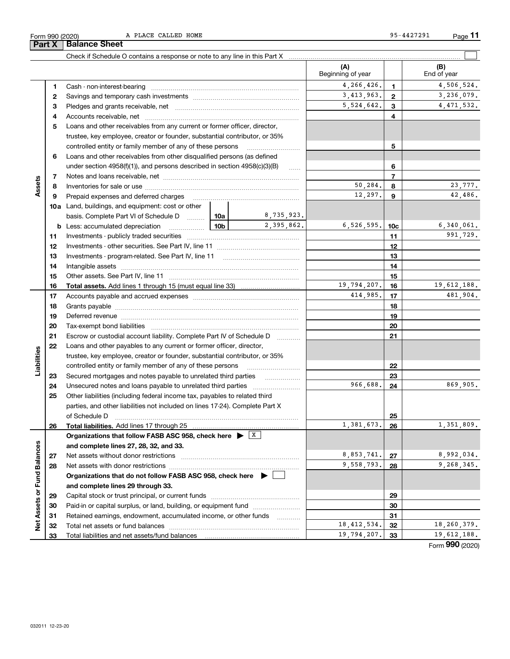| OLIII AAN (SASA)     |  |  |
|----------------------|--|--|
| Part X Balance Sheet |  |  |

A PLACE CALLED HOME 95-4427291

**33** Total liabilities and net assets/fund balances

|                      |          |                                                                                                                  |                 |             | (A)<br>Beginning of year |              | (B)<br>End of year |
|----------------------|----------|------------------------------------------------------------------------------------------------------------------|-----------------|-------------|--------------------------|--------------|--------------------|
|                      | 1        |                                                                                                                  |                 |             | 4,266,426.               | 1            | 4,506,524.         |
|                      | 2        |                                                                                                                  |                 |             | 3,413,963.               | $\mathbf{2}$ | 3,236,079.         |
|                      | з        |                                                                                                                  |                 |             | 5,524,642.               | 3            | 4, 471, 532.       |
|                      | 4        |                                                                                                                  |                 | 4           |                          |              |                    |
|                      | 5        | Loans and other receivables from any current or former officer, director,                                        |                 |             |                          |              |                    |
|                      |          | trustee, key employee, creator or founder, substantial contributor, or 35%                                       |                 |             |                          |              |                    |
|                      |          | controlled entity or family member of any of these persons                                                       |                 | 5           |                          |              |                    |
|                      | 6        | Loans and other receivables from other disqualified persons (as defined                                          |                 |             |                          |              |                    |
|                      |          | under section $4958(f)(1)$ , and persons described in section $4958(c)(3)(B)$                                    |                 | 6           |                          |              |                    |
|                      | 7        |                                                                                                                  |                 | 1.1.1.1     |                          | 7            |                    |
| Assets               | 8        |                                                                                                                  |                 |             | 50,284.                  | 8            | 23,777.            |
|                      | 9        |                                                                                                                  |                 |             | 12,297.                  | 9            | 42,486.            |
|                      |          | <b>10a</b> Land, buildings, and equipment: cost or other                                                         |                 |             |                          |              |                    |
|                      |          | basis. Complete Part VI of Schedule D  10a                                                                       |                 | 8,735,923.  |                          |              |                    |
|                      |          |                                                                                                                  | 10 <sub>b</sub> | 2,395,862.  | 6, 526, 595.             | 10c          | 6,340,061.         |
|                      | 11       |                                                                                                                  |                 |             |                          | 11           | 991,729.           |
|                      | 12       |                                                                                                                  |                 | 12          |                          |              |                    |
|                      |          |                                                                                                                  |                 |             | 13                       |              |                    |
|                      | 13<br>14 |                                                                                                                  |                 | 14          |                          |              |                    |
|                      |          |                                                                                                                  |                 |             |                          |              |                    |
|                      | 15       |                                                                                                                  |                 | 19,794,207. | 15<br>16                 | 19,612,188.  |                    |
|                      | 16       |                                                                                                                  |                 |             | 414,985.                 |              | 481,904.           |
|                      | 17       |                                                                                                                  |                 |             | 17                       |              |                    |
|                      | 18       |                                                                                                                  |                 | 18          |                          |              |                    |
|                      | 19       | Deferred revenue manual contracts and contracts are all the contracts and contracts are contracted and contracts |                 |             | 19                       |              |                    |
|                      | 20       |                                                                                                                  |                 |             | 20                       |              |                    |
|                      | 21       | Escrow or custodial account liability. Complete Part IV of Schedule D                                            |                 |             |                          | 21           |                    |
|                      | 22       | Loans and other payables to any current or former officer, director,                                             |                 |             |                          |              |                    |
| Liabilities          |          | trustee, key employee, creator or founder, substantial contributor, or 35%                                       |                 |             |                          |              |                    |
|                      |          | controlled entity or family member of any of these persons                                                       |                 |             |                          | 22           |                    |
|                      | 23       |                                                                                                                  |                 |             |                          | 23           |                    |
|                      | 24       |                                                                                                                  |                 |             | 966,688.                 | 24           | 869,905.           |
|                      | 25       | Other liabilities (including federal income tax, payables to related third                                       |                 |             |                          |              |                    |
|                      |          | parties, and other liabilities not included on lines 17-24). Complete Part X                                     |                 |             |                          |              |                    |
|                      |          |                                                                                                                  |                 |             |                          | 25           |                    |
|                      | 26       | Total liabilities. Add lines 17 through 25                                                                       |                 |             | 1,381,673.               | 26           | 1,351,809.         |
|                      |          | Organizations that follow FASB ASC 958, check here $\blacktriangleright \lfloor X \rfloor$                       |                 |             |                          |              |                    |
|                      |          | and complete lines 27, 28, 32, and 33.                                                                           |                 |             |                          |              |                    |
| <b>Fund Balances</b> | 27       | Net assets without donor restrictions                                                                            | 8,853,741.      | 27          | 8,992,034.               |              |                    |
|                      | 28       |                                                                                                                  |                 |             | 9,558,793.               | 28           | 9,268,345.         |
|                      |          | Organizations that do not follow FASB ASC 958, check here $\blacktriangleright$                                  |                 |             |                          |              |                    |
|                      |          | and complete lines 29 through 33.                                                                                |                 |             |                          |              |                    |
|                      | 29       |                                                                                                                  |                 |             |                          | 29           |                    |
| Net Assets or        | 30       | Paid-in or capital surplus, or land, building, or equipment fund                                                 |                 |             |                          | 30           |                    |
|                      | 31       | Retained earnings, endowment, accumulated income, or other funds                                                 |                 | .           |                          | 31           |                    |
|                      | 32       |                                                                                                                  |                 |             | 18, 412, 534.            | 32           | 18,260,379.        |
|                      | 33       | Total liabilities and net assets/fund balances                                                                   |                 |             | 19,794,207.              | - 33         | 19,612,188.        |

Form (2020) **990**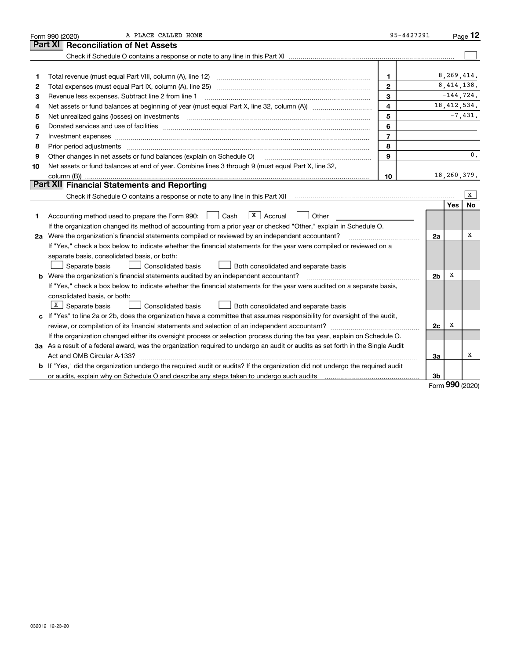|    | A PLACE CALLED HOME<br>Form 990 (2020)                                                                                                                                                                                        | 95-4427291     |                |               | Page $12$      |
|----|-------------------------------------------------------------------------------------------------------------------------------------------------------------------------------------------------------------------------------|----------------|----------------|---------------|----------------|
|    | <b>Reconciliation of Net Assets</b><br>Part XI                                                                                                                                                                                |                |                |               |                |
|    |                                                                                                                                                                                                                               |                |                |               |                |
|    |                                                                                                                                                                                                                               |                |                |               |                |
| 1  |                                                                                                                                                                                                                               | 1              |                | 8,269,414.    |                |
| 2  |                                                                                                                                                                                                                               | $\mathbf{2}$   |                | 8, 414, 138.  |                |
| з  | Revenue less expenses. Subtract line 2 from line 1                                                                                                                                                                            | 3              |                | $-144, 724.$  |                |
| 4  |                                                                                                                                                                                                                               | 4              |                | 18, 412, 534. |                |
| 5  | Net unrealized gains (losses) on investments [11] matter continuum matter is a set of the set of the set of the                                                                                                               | 5              |                |               | $-7,431.$      |
| 6  |                                                                                                                                                                                                                               | 6              |                |               |                |
| 7  | Investment expenses www.communication.com/www.communication.com/www.communication.com/www.com                                                                                                                                 | $\overline{7}$ |                |               |                |
| 8  | Prior period adjustments manufactured and content and content and content and content and content and content and content and content and content and content and content and content and content and content and content and | 8              |                |               |                |
| 9  | Other changes in net assets or fund balances (explain on Schedule O)                                                                                                                                                          | 9              |                |               | $\mathbf{0}$ . |
| 10 | Net assets or fund balances at end of year. Combine lines 3 through 9 (must equal Part X, line 32,                                                                                                                            |                |                |               |                |
|    |                                                                                                                                                                                                                               | 10             |                | 18,260,379.   |                |
|    | Part XII Financial Statements and Reporting                                                                                                                                                                                   |                |                |               |                |
|    |                                                                                                                                                                                                                               |                |                |               | X              |
|    |                                                                                                                                                                                                                               |                |                | <b>Yes</b>    | No             |
| 1  | $X$ Accrual<br>Accounting method used to prepare the Form 990: <u>I</u> Cash<br>Other                                                                                                                                         |                |                |               |                |
|    | If the organization changed its method of accounting from a prior year or checked "Other," explain in Schedule O.                                                                                                             |                |                |               |                |
|    | 2a Were the organization's financial statements compiled or reviewed by an independent accountant?                                                                                                                            |                | 2a             |               | x              |
|    | If "Yes," check a box below to indicate whether the financial statements for the year were compiled or reviewed on a                                                                                                          |                |                |               |                |
|    | separate basis, consolidated basis, or both:                                                                                                                                                                                  |                |                |               |                |
|    | Separate basis<br>Consolidated basis<br>Both consolidated and separate basis                                                                                                                                                  |                |                |               |                |
|    | <b>b</b> Were the organization's financial statements audited by an independent accountant?                                                                                                                                   |                | 2 <sub>b</sub> | х             |                |
|    | If "Yes," check a box below to indicate whether the financial statements for the year were audited on a separate basis,                                                                                                       |                |                |               |                |
|    | consolidated basis, or both:                                                                                                                                                                                                  |                |                |               |                |
|    | $X$ Separate basis<br>Consolidated basis<br>Both consolidated and separate basis                                                                                                                                              |                |                |               |                |
|    | c If "Yes" to line 2a or 2b, does the organization have a committee that assumes responsibility for oversight of the audit,                                                                                                   |                |                |               |                |
|    |                                                                                                                                                                                                                               |                | 2c             | x             |                |
|    | If the organization changed either its oversight process or selection process during the tax year, explain on Schedule O.                                                                                                     |                |                |               |                |
|    | 3a As a result of a federal award, was the organization required to undergo an audit or audits as set forth in the Single Audit                                                                                               |                |                |               |                |
|    |                                                                                                                                                                                                                               |                | 3a             |               | x              |
|    | b If "Yes," did the organization undergo the required audit or audits? If the organization did not undergo the required audit                                                                                                 |                |                |               |                |
|    |                                                                                                                                                                                                                               |                | 3b             | ההה           |                |

Form (2020) **990**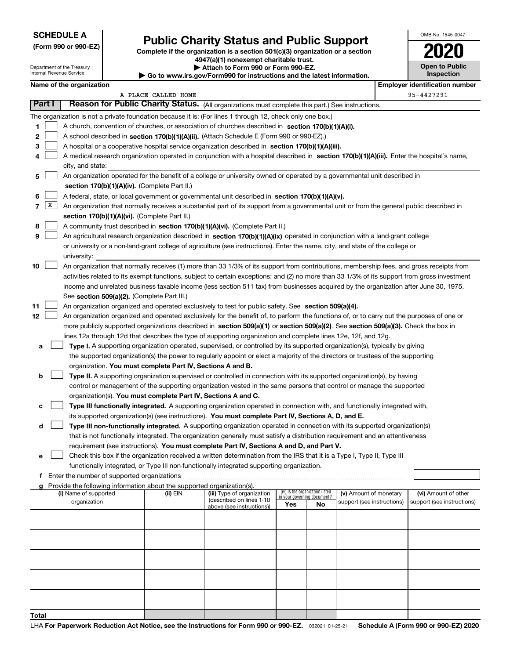### **SCHEDULE A**

Department of the Treasury Internal Revenue Service

**(Form 990 or 990-EZ)**

# **Public Charity Status and Public Support**

**Complete if the organization is a section 501(c)(3) organization or a section 4947(a)(1) nonexempt charitable trust. | Attach to Form 990 or Form 990-EZ.**   $\blacktriangleright$  Go to

| OMB No. 1545-0047 |  |
|-------------------|--|
|                   |  |

| <b>Open to Public</b> |
|-----------------------|
| <b>Inspection</b>     |

|        | Name of the organization |                                                                                                                                              |                     |                                                       |     |                                                                |                            |  | <b>Employer identification number</b> |  |
|--------|--------------------------|----------------------------------------------------------------------------------------------------------------------------------------------|---------------------|-------------------------------------------------------|-----|----------------------------------------------------------------|----------------------------|--|---------------------------------------|--|
|        |                          |                                                                                                                                              | A PLACE CALLED HOME |                                                       |     |                                                                |                            |  | 95-4427291                            |  |
| Part I |                          | Reason for Public Charity Status. (All organizations must complete this part.) See instructions.                                             |                     |                                                       |     |                                                                |                            |  |                                       |  |
|        |                          | The organization is not a private foundation because it is: (For lines 1 through 12, check only one box.)                                    |                     |                                                       |     |                                                                |                            |  |                                       |  |
| 1.     |                          | A church, convention of churches, or association of churches described in section 170(b)(1)(A)(i).                                           |                     |                                                       |     |                                                                |                            |  |                                       |  |
| 2      |                          | A school described in section 170(b)(1)(A)(ii). (Attach Schedule E (Form 990 or 990-EZ).)                                                    |                     |                                                       |     |                                                                |                            |  |                                       |  |
| 3      |                          | A hospital or a cooperative hospital service organization described in section 170(b)(1)(A)(iii).                                            |                     |                                                       |     |                                                                |                            |  |                                       |  |
|        |                          | A medical research organization operated in conjunction with a hospital described in section 170(b)(1)(A)(iii). Enter the hospital's name,   |                     |                                                       |     |                                                                |                            |  |                                       |  |
|        |                          | city, and state:                                                                                                                             |                     |                                                       |     |                                                                |                            |  |                                       |  |
| 5      |                          | An organization operated for the benefit of a college or university owned or operated by a governmental unit described in                    |                     |                                                       |     |                                                                |                            |  |                                       |  |
|        |                          | section 170(b)(1)(A)(iv). (Complete Part II.)                                                                                                |                     |                                                       |     |                                                                |                            |  |                                       |  |
| 6      |                          | A federal, state, or local government or governmental unit described in section 170(b)(1)(A)(v).                                             |                     |                                                       |     |                                                                |                            |  |                                       |  |
| 7      | X                        | An organization that normally receives a substantial part of its support from a governmental unit or from the general public described in    |                     |                                                       |     |                                                                |                            |  |                                       |  |
|        |                          | section 170(b)(1)(A)(vi). (Complete Part II.)                                                                                                |                     |                                                       |     |                                                                |                            |  |                                       |  |
| 8      |                          | A community trust described in section 170(b)(1)(A)(vi). (Complete Part II.)                                                                 |                     |                                                       |     |                                                                |                            |  |                                       |  |
| 9      |                          | An agricultural research organization described in section 170(b)(1)(A)(ix) operated in conjunction with a land-grant college                |                     |                                                       |     |                                                                |                            |  |                                       |  |
|        |                          | or university or a non-land-grant college of agriculture (see instructions). Enter the name, city, and state of the college or               |                     |                                                       |     |                                                                |                            |  |                                       |  |
|        |                          | university:                                                                                                                                  |                     |                                                       |     |                                                                |                            |  |                                       |  |
| 10     |                          | An organization that normally receives (1) more than 33 1/3% of its support from contributions, membership fees, and gross receipts from     |                     |                                                       |     |                                                                |                            |  |                                       |  |
|        |                          | activities related to its exempt functions, subject to certain exceptions; and (2) no more than 33 1/3% of its support from gross investment |                     |                                                       |     |                                                                |                            |  |                                       |  |
|        |                          | income and unrelated business taxable income (less section 511 tax) from businesses acquired by the organization after June 30, 1975.        |                     |                                                       |     |                                                                |                            |  |                                       |  |
|        |                          | See section 509(a)(2). (Complete Part III.)                                                                                                  |                     |                                                       |     |                                                                |                            |  |                                       |  |
| 11     |                          | An organization organized and operated exclusively to test for public safety. See section 509(a)(4).                                         |                     |                                                       |     |                                                                |                            |  |                                       |  |
| 12     |                          | An organization organized and operated exclusively for the benefit of, to perform the functions of, or to carry out the purposes of one or   |                     |                                                       |     |                                                                |                            |  |                                       |  |
|        |                          | more publicly supported organizations described in section 509(a)(1) or section 509(a)(2). See section 509(a)(3). Check the box in           |                     |                                                       |     |                                                                |                            |  |                                       |  |
|        |                          | lines 12a through 12d that describes the type of supporting organization and complete lines 12e, 12f, and 12g.                               |                     |                                                       |     |                                                                |                            |  |                                       |  |
| a      |                          | Type I. A supporting organization operated, supervised, or controlled by its supported organization(s), typically by giving                  |                     |                                                       |     |                                                                |                            |  |                                       |  |
|        |                          | the supported organization(s) the power to regularly appoint or elect a majority of the directors or trustees of the supporting              |                     |                                                       |     |                                                                |                            |  |                                       |  |
|        |                          | organization. You must complete Part IV, Sections A and B.                                                                                   |                     |                                                       |     |                                                                |                            |  |                                       |  |
| b      |                          | Type II. A supporting organization supervised or controlled in connection with its supported organization(s), by having                      |                     |                                                       |     |                                                                |                            |  |                                       |  |
|        |                          | control or management of the supporting organization vested in the same persons that control or manage the supported                         |                     |                                                       |     |                                                                |                            |  |                                       |  |
|        |                          | organization(s). You must complete Part IV, Sections A and C.                                                                                |                     |                                                       |     |                                                                |                            |  |                                       |  |
| c      |                          | Type III functionally integrated. A supporting organization operated in connection with, and functionally integrated with,                   |                     |                                                       |     |                                                                |                            |  |                                       |  |
|        |                          | its supported organization(s) (see instructions). You must complete Part IV, Sections A, D, and E.                                           |                     |                                                       |     |                                                                |                            |  |                                       |  |
| d      |                          | Type III non-functionally integrated. A supporting organization operated in connection with its supported organization(s)                    |                     |                                                       |     |                                                                |                            |  |                                       |  |
|        |                          | that is not functionally integrated. The organization generally must satisfy a distribution requirement and an attentiveness                 |                     |                                                       |     |                                                                |                            |  |                                       |  |
|        |                          | requirement (see instructions). You must complete Part IV, Sections A and D, and Part V.                                                     |                     |                                                       |     |                                                                |                            |  |                                       |  |
|        |                          | Check this box if the organization received a written determination from the IRS that it is a Type I, Type II, Type III                      |                     |                                                       |     |                                                                |                            |  |                                       |  |
|        |                          | functionally integrated, or Type III non-functionally integrated supporting organization.                                                    |                     |                                                       |     |                                                                |                            |  |                                       |  |
|        |                          | f Enter the number of supported organizations                                                                                                |                     |                                                       |     |                                                                |                            |  |                                       |  |
|        |                          | g Provide the following information about the supported organization(s).                                                                     |                     |                                                       |     |                                                                |                            |  |                                       |  |
|        |                          | (i) Name of supported                                                                                                                        | (ii) EIN            | (iii) Type of organization                            |     | (iv) Is the organization listed<br>in your governing document? | (v) Amount of monetary     |  | (vi) Amount of other                  |  |
|        |                          | organization                                                                                                                                 |                     | (described on lines 1-10<br>above (see instructions)) | Yes | No                                                             | support (see instructions) |  | support (see instructions)            |  |
|        |                          |                                                                                                                                              |                     |                                                       |     |                                                                |                            |  |                                       |  |
|        |                          |                                                                                                                                              |                     |                                                       |     |                                                                |                            |  |                                       |  |
|        |                          |                                                                                                                                              |                     |                                                       |     |                                                                |                            |  |                                       |  |
|        |                          |                                                                                                                                              |                     |                                                       |     |                                                                |                            |  |                                       |  |
|        |                          |                                                                                                                                              |                     |                                                       |     |                                                                |                            |  |                                       |  |
|        |                          |                                                                                                                                              |                     |                                                       |     |                                                                |                            |  |                                       |  |
|        |                          |                                                                                                                                              |                     |                                                       |     |                                                                |                            |  |                                       |  |
|        |                          |                                                                                                                                              |                     |                                                       |     |                                                                |                            |  |                                       |  |
|        |                          |                                                                                                                                              |                     |                                                       |     |                                                                |                            |  |                                       |  |
| Total  |                          |                                                                                                                                              |                     |                                                       |     |                                                                |                            |  |                                       |  |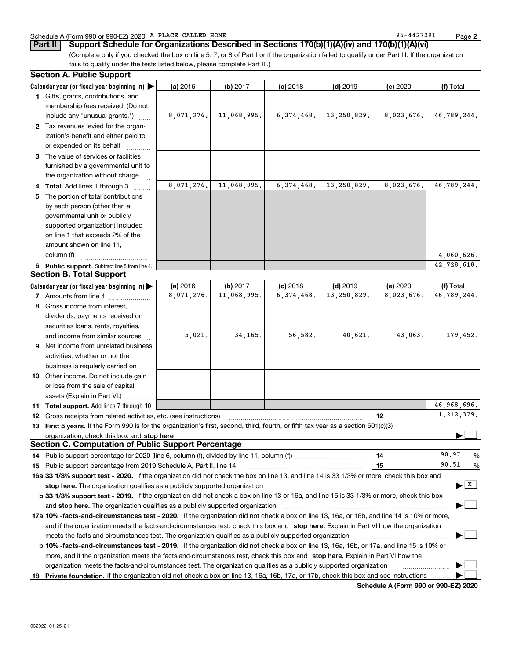### Schedule A (Form 990 or 990-EZ) 2020 Page A PLACE CALLED HOME 95-4427291

**2**

**Part II Support Schedule for Organizations Described in Sections 170(b)(1)(A)(iv) and 170(b)(1)(A)(vi)**

(Complete only if you checked the box on line 5, 7, or 8 of Part I or if the organization failed to qualify under Part III. If the organization fails to qualify under the tests listed below, please complete Part III.)

|           | <b>Section A. Public Support</b>                                                                                                                                                                                                                                                             |            |             |              |               |                 |                           |
|-----------|----------------------------------------------------------------------------------------------------------------------------------------------------------------------------------------------------------------------------------------------------------------------------------------------|------------|-------------|--------------|---------------|-----------------|---------------------------|
|           | Calendar year (or fiscal year beginning in) $\blacktriangleright$                                                                                                                                                                                                                            | (a) 2016   | (b) 2017    | $(c)$ 2018   | $(d)$ 2019    | (e) 2020        | (f) Total                 |
|           | 1 Gifts, grants, contributions, and<br>membership fees received. (Do not                                                                                                                                                                                                                     |            |             |              |               |                 |                           |
|           | include any "unusual grants.")                                                                                                                                                                                                                                                               | 8,071,276. | 11,068,995. | 6,374,468.   | 13, 250, 829. | 8,023,676.      | 46,789,244.               |
|           | 2 Tax revenues levied for the organ-<br>ization's benefit and either paid to<br>or expended on its behalf                                                                                                                                                                                    |            |             |              |               |                 |                           |
|           | 3 The value of services or facilities<br>furnished by a governmental unit to                                                                                                                                                                                                                 |            |             |              |               |                 |                           |
|           | the organization without charge                                                                                                                                                                                                                                                              | 8,071,276. | 11,068,995. | 6,374,468.   | 13,250,829.   | 8,023,676.      | 46,789,244.               |
| 5         | Total. Add lines 1 through 3<br>The portion of total contributions<br>by each person (other than a<br>governmental unit or publicly                                                                                                                                                          |            |             |              |               |                 |                           |
|           | supported organization) included<br>on line 1 that exceeds 2% of the<br>amount shown on line 11,                                                                                                                                                                                             |            |             |              |               |                 |                           |
|           | column (f)                                                                                                                                                                                                                                                                                   |            |             |              |               |                 | 4,060,626.                |
|           | 6 Public support. Subtract line 5 from line 4.                                                                                                                                                                                                                                               |            |             |              |               |                 | 42,728,618.               |
|           | <b>Section B. Total Support</b>                                                                                                                                                                                                                                                              |            |             |              |               |                 |                           |
|           | Calendar year (or fiscal year beginning in)                                                                                                                                                                                                                                                  | (a) 2016   | (b) 2017    | $(c)$ 2018   | $(d)$ 2019    | (e) 2020        | (f) Total                 |
|           | 7 Amounts from line 4                                                                                                                                                                                                                                                                        | 8,071,276. | 11,068,995. | 6, 374, 468. | 13,250,829.   | 8,023,676.      | 46,789,244.               |
|           | 8 Gross income from interest,                                                                                                                                                                                                                                                                |            |             |              |               |                 |                           |
|           | dividends, payments received on                                                                                                                                                                                                                                                              |            |             |              |               |                 |                           |
|           | securities loans, rents, royalties,                                                                                                                                                                                                                                                          |            |             |              |               |                 |                           |
|           | and income from similar sources                                                                                                                                                                                                                                                              | 5,021.     | 34, 165.    | 56,582.      | 40,621.       | 43,063.         | 179,452.                  |
| 9         | Net income from unrelated business                                                                                                                                                                                                                                                           |            |             |              |               |                 |                           |
|           | activities, whether or not the                                                                                                                                                                                                                                                               |            |             |              |               |                 |                           |
|           | business is regularly carried on                                                                                                                                                                                                                                                             |            |             |              |               |                 |                           |
|           | 10 Other income. Do not include gain                                                                                                                                                                                                                                                         |            |             |              |               |                 |                           |
|           | or loss from the sale of capital                                                                                                                                                                                                                                                             |            |             |              |               |                 |                           |
|           | assets (Explain in Part VI.)                                                                                                                                                                                                                                                                 |            |             |              |               |                 | 46.968.696.               |
|           | 11 Total support. Add lines 7 through 10                                                                                                                                                                                                                                                     |            |             |              |               |                 | 1, 212, 379.              |
|           | <b>12</b> Gross receipts from related activities, etc. (see instructions)                                                                                                                                                                                                                    |            |             |              |               | 12 <sub>2</sub> |                           |
|           | 13 First 5 years. If the Form 990 is for the organization's first, second, third, fourth, or fifth tax year as a section 501(c)(3)                                                                                                                                                           |            |             |              |               |                 |                           |
|           | organization, check this box and stop here manufactured and according to the state of the state of the state of the state of the state of the state of the state of the state of the state of the state of the state of the st<br><b>Section C. Computation of Public Support Percentage</b> |            |             |              |               |                 |                           |
|           |                                                                                                                                                                                                                                                                                              |            |             |              |               | 14              | 90.97                     |
| 14.<br>15 | Public support percentage from 2019 Schedule A, Part II, line 14 [2010] contains a manuscription of Public support percentage from 2019 Schedule A, Part II, line 14                                                                                                                         |            |             |              |               | 15              | %<br>90.51<br>%           |
|           | 16a 33 1/3% support test - 2020. If the organization did not check the box on line 13, and line 14 is 33 1/3% or more, check this box and                                                                                                                                                    |            |             |              |               |                 |                           |
|           | stop here. The organization qualifies as a publicly supported organization                                                                                                                                                                                                                   |            |             |              |               |                 | $\blacktriangleright$   X |
|           | b 33 1/3% support test - 2019. If the organization did not check a box on line 13 or 16a, and line 15 is 33 1/3% or more, check this box                                                                                                                                                     |            |             |              |               |                 |                           |
|           | and stop here. The organization qualifies as a publicly supported organization                                                                                                                                                                                                               |            |             |              |               |                 |                           |
|           | 17a 10% -facts-and-circumstances test - 2020. If the organization did not check a box on line 13, 16a, or 16b, and line 14 is 10% or more,                                                                                                                                                   |            |             |              |               |                 |                           |
|           | and if the organization meets the facts-and-circumstances test, check this box and stop here. Explain in Part VI how the organization                                                                                                                                                        |            |             |              |               |                 |                           |
|           | meets the facts-and-circumstances test. The organization qualifies as a publicly supported organization                                                                                                                                                                                      |            |             |              |               |                 |                           |
|           | <b>b 10% -facts-and-circumstances test - 2019.</b> If the organization did not check a box on line 13, 16a, 16b, or 17a, and line 15 is 10% or                                                                                                                                               |            |             |              |               |                 |                           |
|           | more, and if the organization meets the facts-and-circumstances test, check this box and stop here. Explain in Part VI how the                                                                                                                                                               |            |             |              |               |                 |                           |
| 18        | organization meets the facts-and-circumstances test. The organization qualifies as a publicly supported organization<br>Private foundation. If the organization did not check a box on line 13, 16a, 16b, 17a, or 17b, check this box and see instructions                                   |            |             |              |               |                 |                           |
|           |                                                                                                                                                                                                                                                                                              |            |             |              |               |                 |                           |

**Schedule A (Form 990 or 990-EZ) 2020**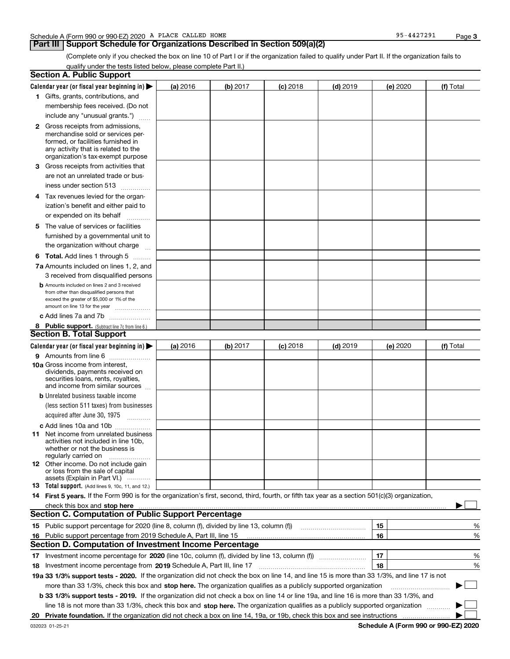### **Part III** | Support Schedule for Organizations Described in Section 509(a)(2)

**3**

(Complete only if you checked the box on line 10 of Part I or if the organization failed to qualify under Part II. If the organization fails to qualify under the tests listed below, please complete Part II.)

|    | <b>Section A. Public Support</b>                                                                                                                                                                                                                                         |          |          |            |            |          |           |
|----|--------------------------------------------------------------------------------------------------------------------------------------------------------------------------------------------------------------------------------------------------------------------------|----------|----------|------------|------------|----------|-----------|
|    | Calendar year (or fiscal year beginning in) $\blacktriangleright$                                                                                                                                                                                                        | (a) 2016 | (b) 2017 | $(c)$ 2018 | $(d)$ 2019 | (e) 2020 | (f) Total |
|    | 1 Gifts, grants, contributions, and                                                                                                                                                                                                                                      |          |          |            |            |          |           |
|    | membership fees received. (Do not                                                                                                                                                                                                                                        |          |          |            |            |          |           |
|    | include any "unusual grants.")                                                                                                                                                                                                                                           |          |          |            |            |          |           |
|    | <b>2</b> Gross receipts from admissions,                                                                                                                                                                                                                                 |          |          |            |            |          |           |
|    | merchandise sold or services per-                                                                                                                                                                                                                                        |          |          |            |            |          |           |
|    | formed, or facilities furnished in                                                                                                                                                                                                                                       |          |          |            |            |          |           |
|    | any activity that is related to the<br>organization's tax-exempt purpose                                                                                                                                                                                                 |          |          |            |            |          |           |
|    | 3 Gross receipts from activities that                                                                                                                                                                                                                                    |          |          |            |            |          |           |
|    | are not an unrelated trade or bus-                                                                                                                                                                                                                                       |          |          |            |            |          |           |
|    | iness under section 513                                                                                                                                                                                                                                                  |          |          |            |            |          |           |
|    | 4 Tax revenues levied for the organ-                                                                                                                                                                                                                                     |          |          |            |            |          |           |
|    | ization's benefit and either paid to                                                                                                                                                                                                                                     |          |          |            |            |          |           |
|    | or expended on its behalf<br>.                                                                                                                                                                                                                                           |          |          |            |            |          |           |
|    | 5 The value of services or facilities                                                                                                                                                                                                                                    |          |          |            |            |          |           |
|    | furnished by a governmental unit to                                                                                                                                                                                                                                      |          |          |            |            |          |           |
|    | the organization without charge                                                                                                                                                                                                                                          |          |          |            |            |          |           |
|    | <b>6 Total.</b> Add lines 1 through 5                                                                                                                                                                                                                                    |          |          |            |            |          |           |
|    | 7a Amounts included on lines 1, 2, and                                                                                                                                                                                                                                   |          |          |            |            |          |           |
|    | 3 received from disqualified persons                                                                                                                                                                                                                                     |          |          |            |            |          |           |
|    | <b>b</b> Amounts included on lines 2 and 3 received                                                                                                                                                                                                                      |          |          |            |            |          |           |
|    | from other than disqualified persons that                                                                                                                                                                                                                                |          |          |            |            |          |           |
|    | exceed the greater of \$5,000 or 1% of the<br>amount on line 13 for the year                                                                                                                                                                                             |          |          |            |            |          |           |
|    | c Add lines 7a and 7b                                                                                                                                                                                                                                                    |          |          |            |            |          |           |
|    | 8 Public support. (Subtract line 7c from line 6.)                                                                                                                                                                                                                        |          |          |            |            |          |           |
|    | <b>Section B. Total Support</b>                                                                                                                                                                                                                                          |          |          |            |            |          |           |
|    | Calendar year (or fiscal year beginning in)                                                                                                                                                                                                                              | (a) 2016 | (b) 2017 | $(c)$ 2018 | $(d)$ 2019 | (e) 2020 | (f) Total |
|    | 9 Amounts from line 6                                                                                                                                                                                                                                                    |          |          |            |            |          |           |
|    | <b>10a</b> Gross income from interest,                                                                                                                                                                                                                                   |          |          |            |            |          |           |
|    | dividends, payments received on                                                                                                                                                                                                                                          |          |          |            |            |          |           |
|    | securities loans, rents, royalties,<br>and income from similar sources                                                                                                                                                                                                   |          |          |            |            |          |           |
|    | <b>b</b> Unrelated business taxable income                                                                                                                                                                                                                               |          |          |            |            |          |           |
|    | (less section 511 taxes) from businesses                                                                                                                                                                                                                                 |          |          |            |            |          |           |
|    | acquired after June 30, 1975                                                                                                                                                                                                                                             |          |          |            |            |          |           |
|    | c Add lines 10a and 10b                                                                                                                                                                                                                                                  |          |          |            |            |          |           |
|    | 11 Net income from unrelated business                                                                                                                                                                                                                                    |          |          |            |            |          |           |
|    | activities not included in line 10b,                                                                                                                                                                                                                                     |          |          |            |            |          |           |
|    | whether or not the business is<br>regularly carried on                                                                                                                                                                                                                   |          |          |            |            |          |           |
|    | <b>12</b> Other income. Do not include gain                                                                                                                                                                                                                              |          |          |            |            |          |           |
|    | or loss from the sale of capital                                                                                                                                                                                                                                         |          |          |            |            |          |           |
|    | assets (Explain in Part VI.)<br><b>13</b> Total support. (Add lines 9, 10c, 11, and 12.)                                                                                                                                                                                 |          |          |            |            |          |           |
|    | 14 First 5 years. If the Form 990 is for the organization's first, second, third, fourth, or fifth tax year as a section 501(c)(3) organization,                                                                                                                         |          |          |            |            |          |           |
|    |                                                                                                                                                                                                                                                                          |          |          |            |            |          |           |
|    | check this box and stop here <i>macuum macuum macuum macuum macuum macuum macuum macuum macuum</i><br><b>Section C. Computation of Public Support Percentage</b>                                                                                                         |          |          |            |            |          |           |
|    | 15 Public support percentage for 2020 (line 8, column (f), divided by line 13, column (f))                                                                                                                                                                               |          |          |            |            | 15       | ℀         |
|    | 16 Public support percentage from 2019 Schedule A, Part III, line 15                                                                                                                                                                                                     |          |          |            |            | 16       | %         |
|    | <b>Section D. Computation of Investment Income Percentage</b>                                                                                                                                                                                                            |          |          |            |            |          |           |
|    | Investment income percentage for 2020 (line 10c, column (f), divided by line 13, column (f))                                                                                                                                                                             |          |          |            |            | 17       | %         |
| 17 |                                                                                                                                                                                                                                                                          |          |          |            |            | 18       | %         |
|    | <b>18</b> Investment income percentage from <b>2019</b> Schedule A, Part III, line 17<br>19a 33 1/3% support tests - 2020. If the organization did not check the box on line 14, and line 15 is more than 33 1/3%, and line 17 is not                                    |          |          |            |            |          |           |
|    | more than 33 1/3%, check this box and stop here. The organization qualifies as a publicly supported organization                                                                                                                                                         |          |          |            |            |          |           |
|    |                                                                                                                                                                                                                                                                          |          |          |            |            |          |           |
|    | b 33 1/3% support tests - 2019. If the organization did not check a box on line 14 or line 19a, and line 16 is more than 33 1/3%, and<br>line 18 is not more than 33 1/3%, check this box and stop here. The organization qualifies as a publicly supported organization |          |          |            |            |          |           |
|    |                                                                                                                                                                                                                                                                          |          |          |            |            |          |           |
| 20 |                                                                                                                                                                                                                                                                          |          |          |            |            |          |           |

**Schedule A (Form 990 or 990-EZ) 2020**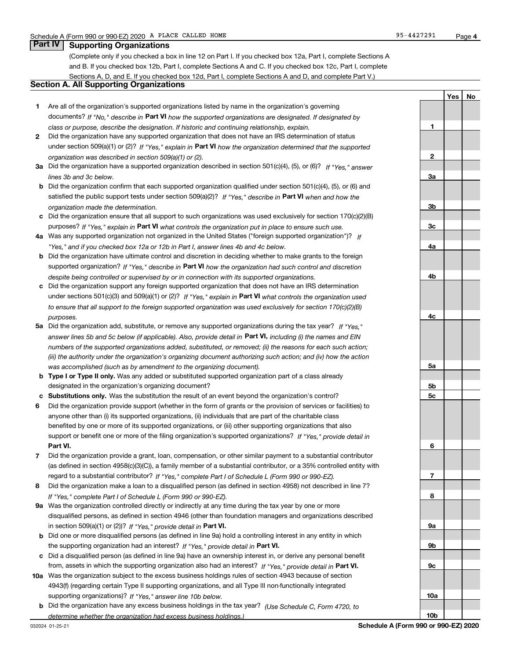**1**

**2**

**3a**

**3b**

**3c**

**4a**

**4b**

**4c**

**5a**

**5b5c**

**6**

**7**

**8**

**9a**

**9b**

**9c**

**10a**

**10b**

**YesNo**

## **Part IV Supporting Organizations**

(Complete only if you checked a box in line 12 on Part I. If you checked box 12a, Part I, complete Sections A and B. If you checked box 12b, Part I, complete Sections A and C. If you checked box 12c, Part I, complete Sections A, D, and E. If you checked box 12d, Part I, complete Sections A and D, and complete Part V.)

### **Section A. All Supporting Organizations**

- **1** Are all of the organization's supported organizations listed by name in the organization's governing documents? If "No," describe in **Part VI** how the supported organizations are designated. If designated by *class or purpose, describe the designation. If historic and continuing relationship, explain.*
- **2** Did the organization have any supported organization that does not have an IRS determination of status under section 509(a)(1) or (2)? If "Yes," explain in Part VI how the organization determined that the supported *organization was described in section 509(a)(1) or (2).*
- **3a** Did the organization have a supported organization described in section 501(c)(4), (5), or (6)? If "Yes," answer *lines 3b and 3c below.*
- **b** Did the organization confirm that each supported organization qualified under section 501(c)(4), (5), or (6) and satisfied the public support tests under section 509(a)(2)? If "Yes," describe in **Part VI** when and how the *organization made the determination.*
- **c**Did the organization ensure that all support to such organizations was used exclusively for section 170(c)(2)(B) purposes? If "Yes," explain in **Part VI** what controls the organization put in place to ensure such use.
- **4a***If* Was any supported organization not organized in the United States ("foreign supported organization")? *"Yes," and if you checked box 12a or 12b in Part I, answer lines 4b and 4c below.*
- **b** Did the organization have ultimate control and discretion in deciding whether to make grants to the foreign supported organization? If "Yes," describe in **Part VI** how the organization had such control and discretion *despite being controlled or supervised by or in connection with its supported organizations.*
- **c** Did the organization support any foreign supported organization that does not have an IRS determination under sections 501(c)(3) and 509(a)(1) or (2)? If "Yes," explain in **Part VI** what controls the organization used *to ensure that all support to the foreign supported organization was used exclusively for section 170(c)(2)(B) purposes.*
- **5a***If "Yes,"* Did the organization add, substitute, or remove any supported organizations during the tax year? answer lines 5b and 5c below (if applicable). Also, provide detail in **Part VI,** including (i) the names and EIN *numbers of the supported organizations added, substituted, or removed; (ii) the reasons for each such action; (iii) the authority under the organization's organizing document authorizing such action; and (iv) how the action was accomplished (such as by amendment to the organizing document).*
- **b** Type I or Type II only. Was any added or substituted supported organization part of a class already designated in the organization's organizing document?
- **cSubstitutions only.**  Was the substitution the result of an event beyond the organization's control?
- **6** Did the organization provide support (whether in the form of grants or the provision of services or facilities) to **Part VI.** *If "Yes," provide detail in* support or benefit one or more of the filing organization's supported organizations? anyone other than (i) its supported organizations, (ii) individuals that are part of the charitable class benefited by one or more of its supported organizations, or (iii) other supporting organizations that also
- **7**Did the organization provide a grant, loan, compensation, or other similar payment to a substantial contributor *If "Yes," complete Part I of Schedule L (Form 990 or 990-EZ).* regard to a substantial contributor? (as defined in section 4958(c)(3)(C)), a family member of a substantial contributor, or a 35% controlled entity with
- **8** Did the organization make a loan to a disqualified person (as defined in section 4958) not described in line 7? *If "Yes," complete Part I of Schedule L (Form 990 or 990-EZ).*
- **9a** Was the organization controlled directly or indirectly at any time during the tax year by one or more in section 509(a)(1) or (2))? If "Yes," *provide detail in* <code>Part VI.</code> disqualified persons, as defined in section 4946 (other than foundation managers and organizations described
- **b** Did one or more disqualified persons (as defined in line 9a) hold a controlling interest in any entity in which the supporting organization had an interest? If "Yes," provide detail in P**art VI**.
- **c**Did a disqualified person (as defined in line 9a) have an ownership interest in, or derive any personal benefit from, assets in which the supporting organization also had an interest? If "Yes," provide detail in P**art VI.**
- **10a** Was the organization subject to the excess business holdings rules of section 4943 because of section supporting organizations)? If "Yes," answer line 10b below. 4943(f) (regarding certain Type II supporting organizations, and all Type III non-functionally integrated
- **b** Did the organization have any excess business holdings in the tax year? (Use Schedule C, Form 4720, to *determine whether the organization had excess business holdings.)*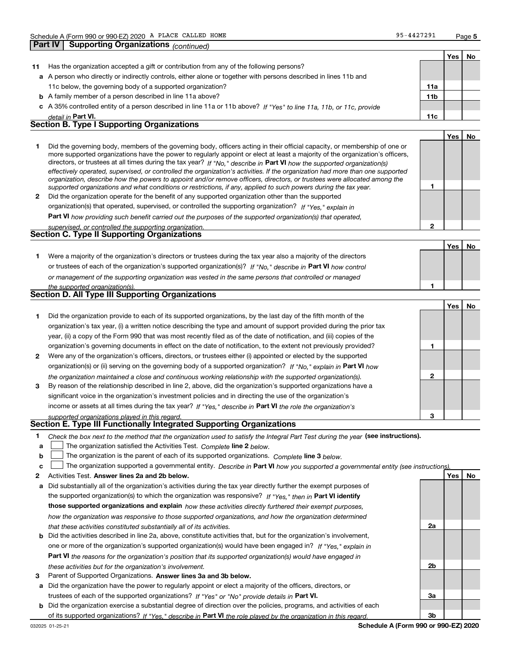**1**

**2**

|    |                                                                                                                            |                 | Yes | No |
|----|----------------------------------------------------------------------------------------------------------------------------|-----------------|-----|----|
| 11 | Has the organization accepted a gift or contribution from any of the following persons?                                    |                 |     |    |
|    | a A person who directly or indirectly controls, either alone or together with persons described in lines 11b and           |                 |     |    |
|    | 11c below, the governing body of a supported organization?                                                                 | 11a             |     |    |
|    | <b>b</b> A family member of a person described in line 11a above?                                                          | 11 <sub>b</sub> |     |    |
|    | c A 35% controlled entity of a person described in line 11a or 11b above? If "Yes" to line 11a, 11b, or 11c, provide       |                 |     |    |
|    | detail in Part VI.                                                                                                         | 11c             |     |    |
|    | <b>Section B. Type I Supporting Organizations</b>                                                                          |                 |     |    |
|    |                                                                                                                            |                 | Yes | No |
|    | Did the governing body, members of the governing body, officers acting in their official capacity, or membership of one or |                 |     |    |

|              | more supported organizations have the power to regularly appoint or elect at least a majority of the organization's officers,  |
|--------------|--------------------------------------------------------------------------------------------------------------------------------|
|              | directors, or trustees at all times during the tax year? If "No," describe in Part VI how the supported organization(s)        |
|              | effectively operated, supervised, or controlled the organization's activities. If the organization had more than one supported |
|              | organization, describe how the powers to appoint and/or remove officers, directors, or trustees were allocated among the       |
|              | supported organizations and what conditions or restrictions, if any, applied to such powers during the tax year.               |
| $\mathbf{2}$ | Did the organization operate for the benefit of any supported organization other than the supported                            |
|              | organization(s) that operated, supervised, or controlled the supporting organization? If "Yes," explain in                     |

**Part VI**  *how providing such benefit carried out the purposes of the supported organization(s) that operated,*

| supervised, or controlled the supporting organization. |  |
|--------------------------------------------------------|--|
| <b>Section C. Type II Supporting Organizations</b>     |  |

|                                                                                                                  |  | - No |
|------------------------------------------------------------------------------------------------------------------|--|------|
| Were a majority of the organization's directors or trustees during the tax year also a majority of the directors |  |      |
| or trustees of each of the organization's supported organization(s)? If "No," describe in Part VI how control    |  |      |
| or management of the supporting organization was vested in the same persons that controlled or managed           |  |      |
| the supported organization(s).                                                                                   |  |      |

|  | <b>Section D. All Type III Supporting Organizations</b> |  |
|--|---------------------------------------------------------|--|

|              |                                                                                                                        |   | Yes |  |
|--------------|------------------------------------------------------------------------------------------------------------------------|---|-----|--|
|              | Did the organization provide to each of its supported organizations, by the last day of the fifth month of the         |   |     |  |
|              | organization's tax year, (i) a written notice describing the type and amount of support provided during the prior tax  |   |     |  |
|              | year, (ii) a copy of the Form 990 that was most recently filed as of the date of notification, and (iii) copies of the |   |     |  |
|              | organization's governing documents in effect on the date of notification, to the extent not previously provided?       |   |     |  |
| $\mathbf{2}$ | Were any of the organization's officers, directors, or trustees either (i) appointed or elected by the supported       |   |     |  |
|              | organization(s) or (ii) serving on the governing body of a supported organization? If "No," explain in Part VI how     |   |     |  |
|              | the organization maintained a close and continuous working relationship with the supported organization(s).            | 2 |     |  |
| 3            | By reason of the relationship described in line 2, above, did the organization's supported organizations have a        |   |     |  |
|              | significant voice in the organization's investment policies and in directing the use of the organization's             |   |     |  |
|              | income or assets at all times during the tax year? If "Yes," describe in Part VI the role the organization's           |   |     |  |
|              | supported organizations played in this regard                                                                          | 3 |     |  |

# *supported organizations played in this regard.* **Section E. Type III Functionally Integrated Supporting Organizations**

- **1**Check the box next to the method that the organization used to satisfy the Integral Part Test during the year (see instructions).
- **alinupy** The organization satisfied the Activities Test. Complete line 2 below.
- **b**The organization is the parent of each of its supported organizations. *Complete* line 3 *below.*  $\mathcal{L}^{\text{max}}$

|  |  | $\mathbf{c}$ The organization supported a governmental entity. Describe in Part VI how you supported a governmental entity (see instructions). |  |  |  |  |  |
|--|--|------------------------------------------------------------------------------------------------------------------------------------------------|--|--|--|--|--|
|--|--|------------------------------------------------------------------------------------------------------------------------------------------------|--|--|--|--|--|

- **2Answer lines 2a and 2b below. Yes No** Activities Test.
- **a** Did substantially all of the organization's activities during the tax year directly further the exempt purposes of the supported organization(s) to which the organization was responsive? If "Yes," then in **Part VI identify those supported organizations and explain**  *how these activities directly furthered their exempt purposes, how the organization was responsive to those supported organizations, and how the organization determined that these activities constituted substantially all of its activities.*
- **b** Did the activities described in line 2a, above, constitute activities that, but for the organization's involvement, **Part VI**  *the reasons for the organization's position that its supported organization(s) would have engaged in* one or more of the organization's supported organization(s) would have been engaged in? If "Yes," e*xplain in these activities but for the organization's involvement.*
- **3** Parent of Supported Organizations. Answer lines 3a and 3b below.
- **a** Did the organization have the power to regularly appoint or elect a majority of the officers, directors, or trustees of each of the supported organizations? If "Yes" or "No" provide details in **Part VI.**
- **b** Did the organization exercise a substantial degree of direction over the policies, programs, and activities of each of its supported organizations? If "Yes," describe in Part VI the role played by the organization in this regard.

**2a**

**2b**

**3a**

**3b**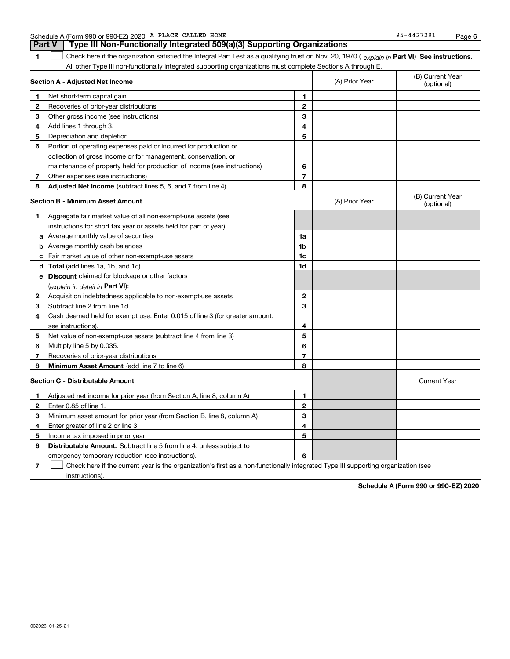| Schedule A | A (Form 990 or 990-EZ) 2020 $\,$ A $\,$ i |  | PLACE<br>CALLED | HOME | 127291<br>0F<br>$-442.$ | Page |  |
|------------|-------------------------------------------|--|-----------------|------|-------------------------|------|--|
|------------|-------------------------------------------|--|-----------------|------|-------------------------|------|--|

**1Part VI** Check here if the organization satisfied the Integral Part Test as a qualifying trust on Nov. 20, 1970 ( explain in Part **VI**). See instructions. All other Type III non-functionally integrated supporting organizations must complete Sections A through E. **Part V Type III Non-Functionally Integrated 509(a)(3) Supporting Organizations**   $\mathcal{L}^{\text{max}}$ 

|              | Section A - Adjusted Net Income                                             |                | (A) Prior Year | (B) Current Year<br>(optional) |
|--------------|-----------------------------------------------------------------------------|----------------|----------------|--------------------------------|
| 1            | Net short-term capital gain                                                 | 1              |                |                                |
| 2            | Recoveries of prior-year distributions                                      | $\overline{2}$ |                |                                |
| 3            | Other gross income (see instructions)                                       | 3              |                |                                |
| 4            | Add lines 1 through 3.                                                      | 4              |                |                                |
| 5            | Depreciation and depletion                                                  | 5              |                |                                |
| 6            | Portion of operating expenses paid or incurred for production or            |                |                |                                |
|              | collection of gross income or for management, conservation, or              |                |                |                                |
|              | maintenance of property held for production of income (see instructions)    | 6              |                |                                |
| 7            | Other expenses (see instructions)                                           | $\overline{7}$ |                |                                |
| 8            | Adjusted Net Income (subtract lines 5, 6, and 7 from line 4)                | 8              |                |                                |
|              | <b>Section B - Minimum Asset Amount</b>                                     |                | (A) Prior Year | (B) Current Year<br>(optional) |
| 1            | Aggregate fair market value of all non-exempt-use assets (see               |                |                |                                |
|              | instructions for short tax year or assets held for part of year):           |                |                |                                |
|              | <b>a</b> Average monthly value of securities                                | 1a             |                |                                |
|              | <b>b</b> Average monthly cash balances                                      | 1b             |                |                                |
|              | c Fair market value of other non-exempt-use assets                          | 1c             |                |                                |
|              | d Total (add lines 1a, 1b, and 1c)                                          | 1d             |                |                                |
|              | e Discount claimed for blockage or other factors                            |                |                |                                |
|              | (explain in detail in Part VI):                                             |                |                |                                |
| $\mathbf{2}$ | Acquisition indebtedness applicable to non-exempt-use assets                | $\mathbf{2}$   |                |                                |
| 3            | Subtract line 2 from line 1d.                                               | 3              |                |                                |
| 4            | Cash deemed held for exempt use. Enter 0.015 of line 3 (for greater amount, |                |                |                                |
|              | see instructions).                                                          | 4              |                |                                |
| 5            | Net value of non-exempt-use assets (subtract line 4 from line 3)            | 5              |                |                                |
| 6            | Multiply line 5 by 0.035.                                                   | 6              |                |                                |
| 7            | Recoveries of prior-year distributions                                      | $\overline{7}$ |                |                                |
| 8            | Minimum Asset Amount (add line 7 to line 6)                                 | 8              |                |                                |
|              | <b>Section C - Distributable Amount</b>                                     |                |                | <b>Current Year</b>            |
| 1            | Adjusted net income for prior year (from Section A, line 8, column A)       | 1              |                |                                |
| $\mathbf{2}$ | Enter 0.85 of line 1.                                                       | $\overline{2}$ |                |                                |
| З            | Minimum asset amount for prior year (from Section B, line 8, column A)      | 3              |                |                                |
| 4            | Enter greater of line 2 or line 3.                                          | 4              |                |                                |
| 5            | Income tax imposed in prior year                                            | 5              |                |                                |
| 6            | Distributable Amount. Subtract line 5 from line 4, unless subject to        |                |                |                                |
|              | emergency temporary reduction (see instructions).                           | 6              |                |                                |

**7**Check here if the current year is the organization's first as a non-functionally integrated Type III supporting organization (see instructions).

**Schedule A (Form 990 or 990-EZ) 2020**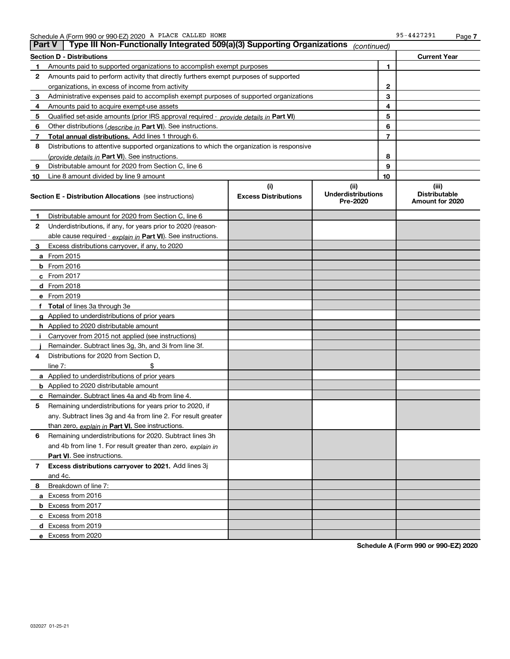| <b>Part V</b> | Type III Non-Functionally Integrated 509(a)(3) Supporting Organizations                    |                             | (continued)                           |    |                                         |
|---------------|--------------------------------------------------------------------------------------------|-----------------------------|---------------------------------------|----|-----------------------------------------|
|               | <b>Section D - Distributions</b>                                                           |                             |                                       |    | <b>Current Year</b>                     |
| 1             | Amounts paid to supported organizations to accomplish exempt purposes                      |                             |                                       | 1  |                                         |
| 2             | Amounts paid to perform activity that directly furthers exempt purposes of supported       |                             |                                       |    |                                         |
|               | organizations, in excess of income from activity                                           |                             | $\mathbf{2}$                          |    |                                         |
| 3             | Administrative expenses paid to accomplish exempt purposes of supported organizations      |                             | 3                                     |    |                                         |
| 4             | Amounts paid to acquire exempt-use assets                                                  |                             | 4                                     |    |                                         |
| 5             | Qualified set-aside amounts (prior IRS approval required - provide details in Part VI)     |                             | 5                                     |    |                                         |
| 6             | Other distributions ( <i>describe in</i> Part VI). See instructions.                       |                             | 6                                     |    |                                         |
| 7             | Total annual distributions. Add lines 1 through 6.                                         |                             |                                       | 7  |                                         |
| 8             | Distributions to attentive supported organizations to which the organization is responsive |                             |                                       |    |                                         |
|               | (provide details in Part VI). See instructions.                                            |                             |                                       | 8  |                                         |
| 9             | Distributable amount for 2020 from Section C, line 6                                       |                             |                                       | 9  |                                         |
| 10            | Line 8 amount divided by line 9 amount                                                     |                             |                                       | 10 |                                         |
|               |                                                                                            | (i)                         | (ii)                                  |    | (iii)                                   |
|               | <b>Section E - Distribution Allocations</b> (see instructions)                             | <b>Excess Distributions</b> | <b>Underdistributions</b><br>Pre-2020 |    | <b>Distributable</b><br>Amount for 2020 |
| 1             | Distributable amount for 2020 from Section C, line 6                                       |                             |                                       |    |                                         |
| 2             | Underdistributions, if any, for years prior to 2020 (reason-                               |                             |                                       |    |                                         |
|               | able cause required - explain in Part VI). See instructions.                               |                             |                                       |    |                                         |
| 3             | Excess distributions carryover, if any, to 2020                                            |                             |                                       |    |                                         |
|               | a From 2015                                                                                |                             |                                       |    |                                         |
|               | <b>b</b> From 2016                                                                         |                             |                                       |    |                                         |
|               | $c$ From 2017                                                                              |                             |                                       |    |                                         |
|               | d From 2018                                                                                |                             |                                       |    |                                         |
|               | e From 2019                                                                                |                             |                                       |    |                                         |
|               | f Total of lines 3a through 3e                                                             |                             |                                       |    |                                         |
|               | g Applied to underdistributions of prior years                                             |                             |                                       |    |                                         |
|               | <b>h</b> Applied to 2020 distributable amount                                              |                             |                                       |    |                                         |
|               | Carryover from 2015 not applied (see instructions)                                         |                             |                                       |    |                                         |
|               | Remainder. Subtract lines 3g, 3h, and 3i from line 3f.                                     |                             |                                       |    |                                         |
| 4             | Distributions for 2020 from Section D,                                                     |                             |                                       |    |                                         |
|               | line $7:$                                                                                  |                             |                                       |    |                                         |
|               | a Applied to underdistributions of prior years                                             |                             |                                       |    |                                         |
|               | <b>b</b> Applied to 2020 distributable amount                                              |                             |                                       |    |                                         |
|               | c Remainder. Subtract lines 4a and 4b from line 4.                                         |                             |                                       |    |                                         |
| 5.            | Remaining underdistributions for years prior to 2020, if                                   |                             |                                       |    |                                         |
|               | any. Subtract lines 3g and 4a from line 2. For result greater                              |                             |                                       |    |                                         |
|               | than zero, explain in Part VI. See instructions.                                           |                             |                                       |    |                                         |
| 6             | Remaining underdistributions for 2020. Subtract lines 3h                                   |                             |                                       |    |                                         |
|               | and 4b from line 1. For result greater than zero, explain in                               |                             |                                       |    |                                         |
|               | <b>Part VI.</b> See instructions.                                                          |                             |                                       |    |                                         |
| 7             | Excess distributions carryover to 2021. Add lines 3j                                       |                             |                                       |    |                                         |
|               | and 4c.                                                                                    |                             |                                       |    |                                         |
| 8             | Breakdown of line 7:                                                                       |                             |                                       |    |                                         |
|               | a Excess from 2016                                                                         |                             |                                       |    |                                         |
|               | <b>b</b> Excess from 2017                                                                  |                             |                                       |    |                                         |
|               | c Excess from 2018                                                                         |                             |                                       |    |                                         |
|               | d Excess from 2019                                                                         |                             |                                       |    |                                         |
|               | e Excess from 2020                                                                         |                             |                                       |    |                                         |

**Schedule A (Form 990 or 990-EZ) 2020**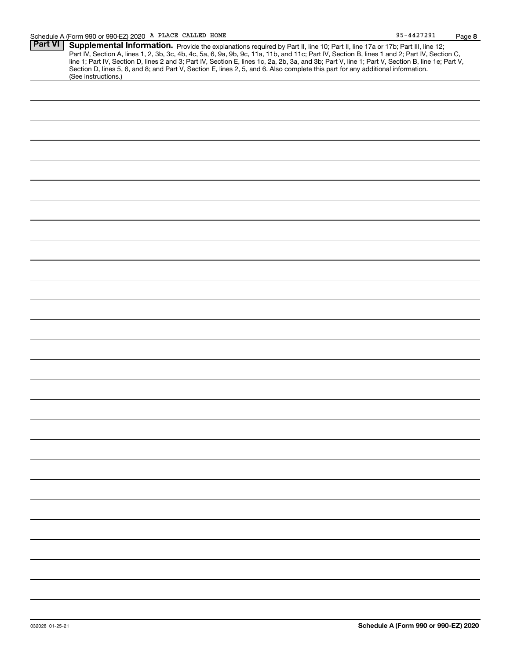|                | Schedule A (Form 990 or 990-EZ) 2020 A PLACE CALLED HOME                                                                                                                                                                                                                                                                                                                                                                                                                                                                                                                                    | 95-4427291 | Page 8 |
|----------------|---------------------------------------------------------------------------------------------------------------------------------------------------------------------------------------------------------------------------------------------------------------------------------------------------------------------------------------------------------------------------------------------------------------------------------------------------------------------------------------------------------------------------------------------------------------------------------------------|------------|--------|
| <b>Part VI</b> | Supplemental Information. Provide the explanations required by Part II, line 10; Part II, line 17a or 17b; Part III, line 12;<br>Part IV, Section A, lines 1, 2, 3b, 3c, 4b, 4c, 5a, 6, 9a, 9b, 9c, 11a, 11b, and 11c; Part IV, Section B, lines 1 and 2; Part IV, Section C,<br>line 1; Part IV, Section D, lines 2 and 3; Part IV, Section E, lines 1c, 2a, 2b, 3a, and 3b; Part V, line 1; Part V, Section B, line 1e; Part V,<br>Section D, lines 5, 6, and 8; and Part V, Section E, lines 2, 5, and 6. Also complete this part for any additional information.<br>(See instructions.) |            |        |
|                |                                                                                                                                                                                                                                                                                                                                                                                                                                                                                                                                                                                             |            |        |
|                |                                                                                                                                                                                                                                                                                                                                                                                                                                                                                                                                                                                             |            |        |
|                |                                                                                                                                                                                                                                                                                                                                                                                                                                                                                                                                                                                             |            |        |
|                |                                                                                                                                                                                                                                                                                                                                                                                                                                                                                                                                                                                             |            |        |
|                |                                                                                                                                                                                                                                                                                                                                                                                                                                                                                                                                                                                             |            |        |
|                |                                                                                                                                                                                                                                                                                                                                                                                                                                                                                                                                                                                             |            |        |
|                |                                                                                                                                                                                                                                                                                                                                                                                                                                                                                                                                                                                             |            |        |
|                |                                                                                                                                                                                                                                                                                                                                                                                                                                                                                                                                                                                             |            |        |
|                |                                                                                                                                                                                                                                                                                                                                                                                                                                                                                                                                                                                             |            |        |
|                |                                                                                                                                                                                                                                                                                                                                                                                                                                                                                                                                                                                             |            |        |
|                |                                                                                                                                                                                                                                                                                                                                                                                                                                                                                                                                                                                             |            |        |
|                |                                                                                                                                                                                                                                                                                                                                                                                                                                                                                                                                                                                             |            |        |
|                |                                                                                                                                                                                                                                                                                                                                                                                                                                                                                                                                                                                             |            |        |
|                |                                                                                                                                                                                                                                                                                                                                                                                                                                                                                                                                                                                             |            |        |
|                |                                                                                                                                                                                                                                                                                                                                                                                                                                                                                                                                                                                             |            |        |
|                |                                                                                                                                                                                                                                                                                                                                                                                                                                                                                                                                                                                             |            |        |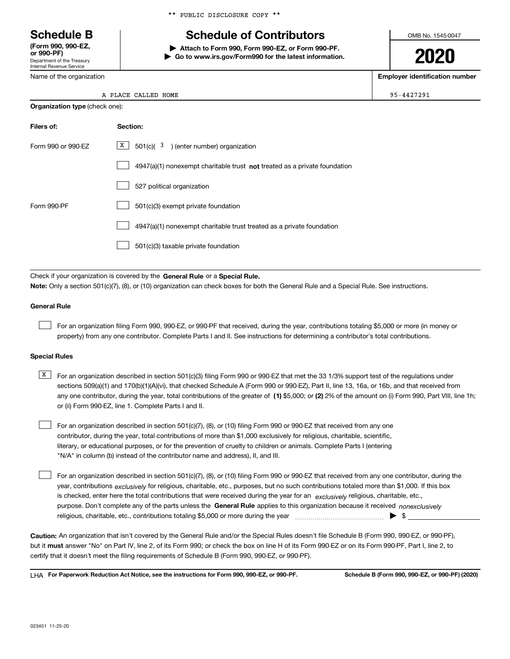Department of the Treasury Internal Revenue Service **(Form 990, 990-EZ, or 990-PF)**

Name of the organization

|  |  | ** PUBLIC DISCLOSURE COPY ** |  |  |
|--|--|------------------------------|--|--|
|--|--|------------------------------|--|--|

# **Schedule B Schedule of Contributors**

**| Attach to Form 990, Form 990-EZ, or Form 990-PF. | Go to www.irs.gov/Form990 for the latest information.** OMB No. 1545-0047

**2020**

**Employer identification number**

 $\begin{array}{|c|c|c|c|c|}\hline \text{E} & & & \text{95-4427291}\ \hline \end{array}$ 

|  | A PLACE CALLED HOME |  |
|--|---------------------|--|
|  |                     |  |

| <b>Organization type (check one):</b> |                                                                                    |  |  |
|---------------------------------------|------------------------------------------------------------------------------------|--|--|
| Filers of:                            | Section:                                                                           |  |  |
| Form 990 or 990-EZ                    | $\boxed{\text{X}}$ 501(c)( <sup>3</sup> ) (enter number) organization              |  |  |
|                                       | $4947(a)(1)$ nonexempt charitable trust <b>not</b> treated as a private foundation |  |  |
|                                       | 527 political organization                                                         |  |  |
| Form 990-PF                           | 501(c)(3) exempt private foundation                                                |  |  |
|                                       | 4947(a)(1) nonexempt charitable trust treated as a private foundation              |  |  |
|                                       | 501(c)(3) taxable private foundation                                               |  |  |

Check if your organization is covered by the **General Rule** or a **Special Rule. Note:**  Only a section 501(c)(7), (8), or (10) organization can check boxes for both the General Rule and a Special Rule. See instructions.

### **General Rule**

 $\mathcal{L}^{\text{max}}$ 

For an organization filing Form 990, 990-EZ, or 990-PF that received, during the year, contributions totaling \$5,000 or more (in money or property) from any one contributor. Complete Parts I and II. See instructions for determining a contributor's total contributions.

### **Special Rules**

any one contributor, during the year, total contributions of the greater of  $\,$  (1) \$5,000; or **(2)** 2% of the amount on (i) Form 990, Part VIII, line 1h;  $\overline{X}$  For an organization described in section 501(c)(3) filing Form 990 or 990-EZ that met the 33 1/3% support test of the regulations under sections 509(a)(1) and 170(b)(1)(A)(vi), that checked Schedule A (Form 990 or 990-EZ), Part II, line 13, 16a, or 16b, and that received from or (ii) Form 990-EZ, line 1. Complete Parts I and II.

For an organization described in section 501(c)(7), (8), or (10) filing Form 990 or 990-EZ that received from any one contributor, during the year, total contributions of more than \$1,000 exclusively for religious, charitable, scientific, literary, or educational purposes, or for the prevention of cruelty to children or animals. Complete Parts I (entering "N/A" in column (b) instead of the contributor name and address), II, and III.  $\mathcal{L}^{\text{max}}$ 

purpose. Don't complete any of the parts unless the **General Rule** applies to this organization because it received *nonexclusively* year, contributions <sub>exclusively</sub> for religious, charitable, etc., purposes, but no such contributions totaled more than \$1,000. If this box is checked, enter here the total contributions that were received during the year for an  $\;$ exclusively religious, charitable, etc., For an organization described in section 501(c)(7), (8), or (10) filing Form 990 or 990-EZ that received from any one contributor, during the religious, charitable, etc., contributions totaling \$5,000 or more during the year  $\Box$ — $\Box$   $\Box$  $\mathcal{L}^{\text{max}}$ 

**Caution:**  An organization that isn't covered by the General Rule and/or the Special Rules doesn't file Schedule B (Form 990, 990-EZ, or 990-PF),  **must** but it answer "No" on Part IV, line 2, of its Form 990; or check the box on line H of its Form 990-EZ or on its Form 990-PF, Part I, line 2, to certify that it doesn't meet the filing requirements of Schedule B (Form 990, 990-EZ, or 990-PF).

**For Paperwork Reduction Act Notice, see the instructions for Form 990, 990-EZ, or 990-PF. Schedule B (Form 990, 990-EZ, or 990-PF) (2020)** LHA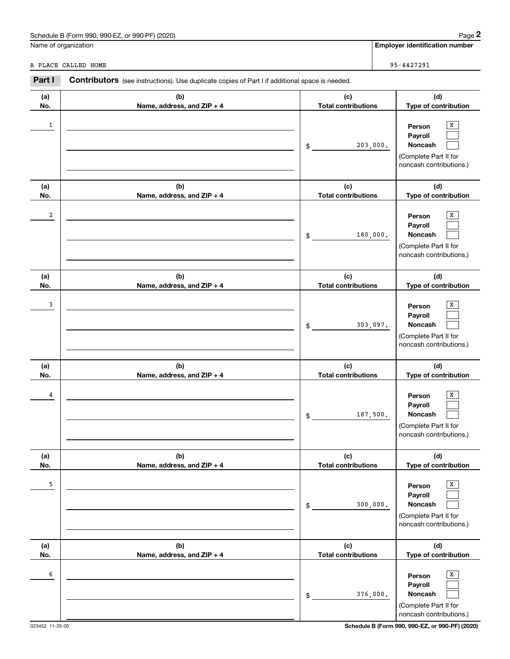| . 990-EZ.<br>Schedule B (Form 990,<br>or 990-PF) (2020) | Paɑe                                  |
|---------------------------------------------------------|---------------------------------------|
| Name of organization                                    | <b>Emplover identification number</b> |

|                      | Schedule B (Form 990, 990-EZ, or 990-PF) (2020)                                                       |                                   |          | Page 2                                                                                |
|----------------------|-------------------------------------------------------------------------------------------------------|-----------------------------------|----------|---------------------------------------------------------------------------------------|
| Name of organization |                                                                                                       |                                   |          | <b>Employer identification number</b>                                                 |
|                      | A PLACE CALLED HOME                                                                                   |                                   |          | 95-4427291                                                                            |
| Part I               | <b>Contributors</b> (see instructions). Use duplicate copies of Part I if additional space is needed. |                                   |          |                                                                                       |
| (a)<br>No.           | (b)<br>Name, address, and ZIP + 4                                                                     | (c)<br><b>Total contributions</b> |          | (d)<br>Type of contribution                                                           |
| $\mathbf{1}$         |                                                                                                       | \$                                | 203,000. | х<br>Person<br>Payroll<br>Noncash<br>(Complete Part II for<br>noncash contributions.) |
| (a)<br>No.           | (b)<br>Name, address, and ZIP + 4                                                                     | (c)<br><b>Total contributions</b> |          | (d)<br>Type of contribution                                                           |
| 2                    |                                                                                                       | \$                                | 180,000. | Х<br>Person<br>Payroll<br>Noncash<br>(Complete Part II for<br>noncash contributions.) |
| (a)<br>No.           | (b)<br>Name, address, and ZIP + 4                                                                     | (c)<br><b>Total contributions</b> |          | (d)<br>Type of contribution                                                           |
| 3                    |                                                                                                       | \$                                | 303,097. | х<br>Person<br>Payroll<br>Noncash<br>(Complete Part II for<br>noncash contributions.) |
| (a)<br>No.           | (b)<br>Name, address, and ZIP + 4                                                                     | (c)<br><b>Total contributions</b> |          | (d)<br>Type of contribution                                                           |
| 4                    |                                                                                                       | \$                                | 187,500. | х<br>Person<br>Payroll<br>Noncash<br>(Complete Part II for<br>noncash contributions.) |
| (a)<br>No.           | (b)<br>Name, address, and ZIP + 4                                                                     | (c)<br><b>Total contributions</b> |          | (d)<br>Type of contribution                                                           |
| 5                    |                                                                                                       | \$                                | 300,000. | Х<br>Person<br>Payroll<br>Noncash<br>(Complete Part II for<br>noncash contributions.) |
| (a)<br>No.           | (b)<br>Name, address, and ZIP + 4                                                                     | (c)<br><b>Total contributions</b> |          | (d)<br>Type of contribution                                                           |
| 6                    |                                                                                                       | \$                                | 376,000. | X<br>Person<br>Payroll<br>Noncash<br>(Complete Part II for<br>noncash contributions.) |

023452 11-25-20 **Schedule B (Form 990, 990-EZ, or 990-PF) (2020)**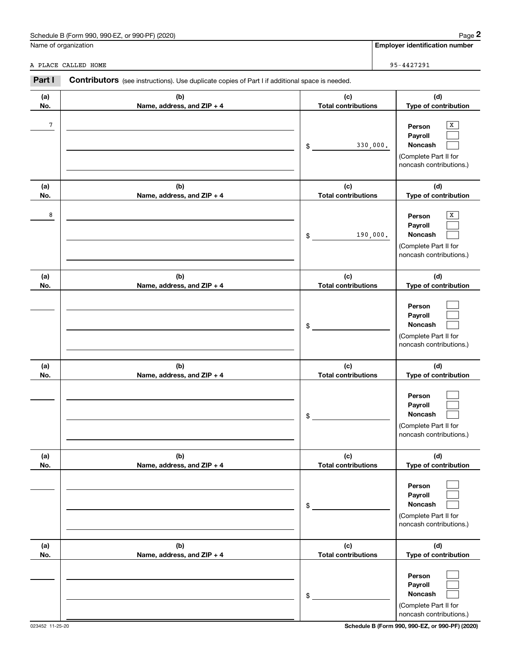| . 990-EZ.<br>Schedule B (Form 990,<br>or 990-PF) (2020) | Paɑe                                  |
|---------------------------------------------------------|---------------------------------------|
| Name of organization                                    | <b>Emplover identification number</b> |

|            | Schedule B (Form 990, 990-EZ, or 990-PF) (2020)                                                       |                                   | Page 2                                                                                            |
|------------|-------------------------------------------------------------------------------------------------------|-----------------------------------|---------------------------------------------------------------------------------------------------|
|            | Name of organization                                                                                  |                                   | <b>Employer identification number</b>                                                             |
|            | A PLACE CALLED HOME                                                                                   |                                   | 95-4427291                                                                                        |
| Part I     | <b>Contributors</b> (see instructions). Use duplicate copies of Part I if additional space is needed. |                                   |                                                                                                   |
| (a)<br>No. | (b)<br>Name, address, and ZIP + 4                                                                     | (c)<br><b>Total contributions</b> | (d)<br>Type of contribution                                                                       |
| 7          |                                                                                                       | \$                                | X<br>Person<br>Payroll<br>330,000.<br>Noncash<br>(Complete Part II for<br>noncash contributions.) |
| (a)<br>No. | (b)<br>Name, address, and ZIP + 4                                                                     | (c)<br><b>Total contributions</b> | (d)<br>Type of contribution                                                                       |
| 8          |                                                                                                       | \$                                | Х<br>Person<br>Payroll<br>190,000.<br>Noncash<br>(Complete Part II for<br>noncash contributions.) |
| (a)<br>No. | (b)<br>Name, address, and ZIP + 4                                                                     | (c)<br><b>Total contributions</b> | (d)<br>Type of contribution                                                                       |
|            |                                                                                                       | \$                                | Person<br>Payroll<br>Noncash<br>(Complete Part II for<br>noncash contributions.)                  |
| (a)<br>No. | (b)<br>Name, address, and ZIP + 4                                                                     | (c)<br><b>Total contributions</b> | (d)<br>Type of contribution                                                                       |
|            |                                                                                                       | \$                                | Person<br>Payroll<br>Noncash<br>(Complete Part II for<br>noncash contributions.)                  |
| (a)<br>No. | (b)<br>Name, address, and ZIP + 4                                                                     | (c)<br><b>Total contributions</b> | (d)<br>Type of contribution                                                                       |
|            |                                                                                                       | \$                                | Person<br>Payroll<br>Noncash<br>(Complete Part II for<br>noncash contributions.)                  |
| (a)<br>No. | (b)<br>Name, address, and ZIP + 4                                                                     | (c)<br><b>Total contributions</b> | (d)<br>Type of contribution                                                                       |
|            |                                                                                                       | \$                                | Person<br>Payroll<br>Noncash<br>(Complete Part II for<br>noncash contributions.)                  |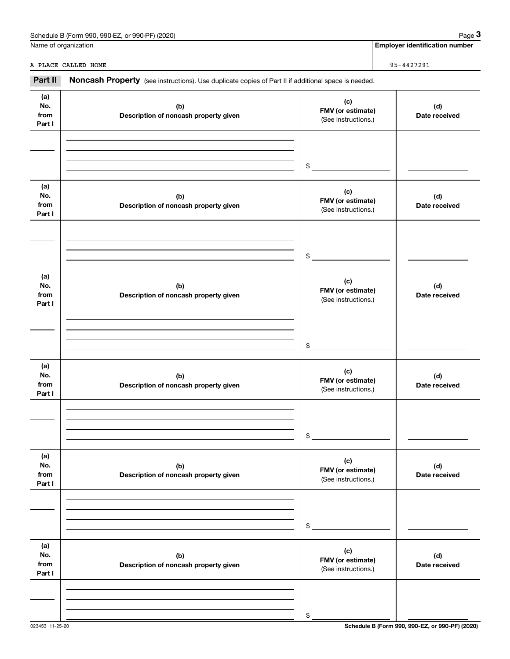|                              | Schedule B (Form 990, 990-EZ, or 990-PF) (2020)                                                     |                                                 | Page 3                                |
|------------------------------|-----------------------------------------------------------------------------------------------------|-------------------------------------------------|---------------------------------------|
|                              | Name of organization                                                                                |                                                 | <b>Employer identification number</b> |
|                              | A PLACE CALLED HOME                                                                                 |                                                 | 95-4427291                            |
| Part II                      | Noncash Property (see instructions). Use duplicate copies of Part II if additional space is needed. |                                                 |                                       |
| (a)<br>No.<br>from<br>Part I | (b)<br>Description of noncash property given                                                        | (c)<br>FMV (or estimate)<br>(See instructions.) | (d)<br>Date received                  |
|                              |                                                                                                     | \$                                              |                                       |
| (a)<br>No.<br>from<br>Part I | (b)<br>Description of noncash property given                                                        | (c)<br>FMV (or estimate)<br>(See instructions.) | (d)<br>Date received                  |
|                              |                                                                                                     | \$                                              |                                       |
| (a)<br>No.<br>from<br>Part I | (b)<br>Description of noncash property given                                                        | (c)<br>FMV (or estimate)<br>(See instructions.) | (d)<br>Date received                  |
|                              |                                                                                                     | \$                                              |                                       |
| (a)<br>No.<br>from<br>Part I | (b)<br>Description of noncash property given                                                        | (c)<br>FMV (or estimate)<br>(See instructions.) | (d)<br>Date received                  |
|                              |                                                                                                     | \$                                              |                                       |
| (a)<br>No.<br>from<br>Part I | (b)<br>Description of noncash property given                                                        | (c)<br>FMV (or estimate)<br>(See instructions.) | (d)<br>Date received                  |
|                              |                                                                                                     | \$                                              |                                       |
| (a)<br>No.<br>from<br>Part I | (b)<br>Description of noncash property given                                                        | (c)<br>FMV (or estimate)<br>(See instructions.) | (d)<br>Date received                  |
|                              |                                                                                                     | \$                                              |                                       |

# Schedule B (Form 990, 990-EZ, or 990-PF) (2020) Page 3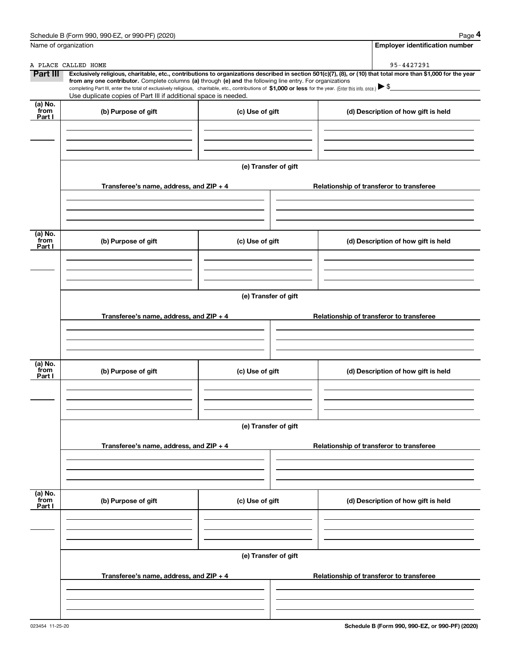|                           | Schedule B (Form 990, 990-EZ, or 990-PF) (2020)                                                                                                                                                                                 |                      | Page 4                                                                                                                                                         |
|---------------------------|---------------------------------------------------------------------------------------------------------------------------------------------------------------------------------------------------------------------------------|----------------------|----------------------------------------------------------------------------------------------------------------------------------------------------------------|
|                           | Name of organization                                                                                                                                                                                                            |                      | <b>Employer identification number</b>                                                                                                                          |
|                           | A PLACE CALLED HOME                                                                                                                                                                                                             |                      | 95-4427291                                                                                                                                                     |
| <b>Part III</b>           | from any one contributor. Complete columns (a) through (e) and the following line entry. For organizations                                                                                                                      |                      | Exclusively religious, charitable, etc., contributions to organizations described in section 501(c)(7), (8), or (10) that total more than \$1,000 for the year |
|                           | completing Part III, enter the total of exclusively religious, charitable, etc., contributions of \$1,000 or less for the year. (Enter this info. once.) \\$<br>Use duplicate copies of Part III if additional space is needed. |                      |                                                                                                                                                                |
| (a) No.<br>from<br>Part I | (b) Purpose of gift                                                                                                                                                                                                             | (c) Use of gift      | (d) Description of how gift is held                                                                                                                            |
|                           |                                                                                                                                                                                                                                 |                      |                                                                                                                                                                |
|                           |                                                                                                                                                                                                                                 |                      |                                                                                                                                                                |
|                           |                                                                                                                                                                                                                                 | (e) Transfer of gift |                                                                                                                                                                |
|                           | Transferee's name, address, and ZIP + 4                                                                                                                                                                                         |                      | Relationship of transferor to transferee                                                                                                                       |
|                           |                                                                                                                                                                                                                                 |                      |                                                                                                                                                                |
|                           |                                                                                                                                                                                                                                 |                      |                                                                                                                                                                |
| (a) No.<br>from<br>Part I | (b) Purpose of gift                                                                                                                                                                                                             | (c) Use of gift      | (d) Description of how gift is held                                                                                                                            |
|                           |                                                                                                                                                                                                                                 |                      |                                                                                                                                                                |
|                           |                                                                                                                                                                                                                                 |                      |                                                                                                                                                                |
|                           |                                                                                                                                                                                                                                 | (e) Transfer of gift |                                                                                                                                                                |
|                           | Transferee's name, address, and ZIP + 4                                                                                                                                                                                         |                      | Relationship of transferor to transferee                                                                                                                       |
|                           |                                                                                                                                                                                                                                 |                      |                                                                                                                                                                |
|                           |                                                                                                                                                                                                                                 |                      |                                                                                                                                                                |
| (a) No.<br>from<br>Part I | (b) Purpose of gift                                                                                                                                                                                                             | (c) Use of gift      | (d) Description of how gift is held                                                                                                                            |
|                           |                                                                                                                                                                                                                                 |                      |                                                                                                                                                                |
|                           |                                                                                                                                                                                                                                 |                      |                                                                                                                                                                |
|                           |                                                                                                                                                                                                                                 | (e) Transfer of gift |                                                                                                                                                                |
|                           | Transferee's name, address, and ZIP + 4                                                                                                                                                                                         |                      | Relationship of transferor to transferee                                                                                                                       |
|                           |                                                                                                                                                                                                                                 |                      |                                                                                                                                                                |
|                           |                                                                                                                                                                                                                                 |                      |                                                                                                                                                                |
| (a) No.<br>from<br>Part I | (b) Purpose of gift                                                                                                                                                                                                             | (c) Use of gift      | (d) Description of how gift is held                                                                                                                            |
|                           |                                                                                                                                                                                                                                 |                      |                                                                                                                                                                |
|                           |                                                                                                                                                                                                                                 |                      |                                                                                                                                                                |
|                           |                                                                                                                                                                                                                                 | (e) Transfer of gift |                                                                                                                                                                |
|                           | Transferee's name, address, and ZIP + 4                                                                                                                                                                                         |                      | Relationship of transferor to transferee                                                                                                                       |
|                           |                                                                                                                                                                                                                                 |                      |                                                                                                                                                                |
|                           |                                                                                                                                                                                                                                 |                      |                                                                                                                                                                |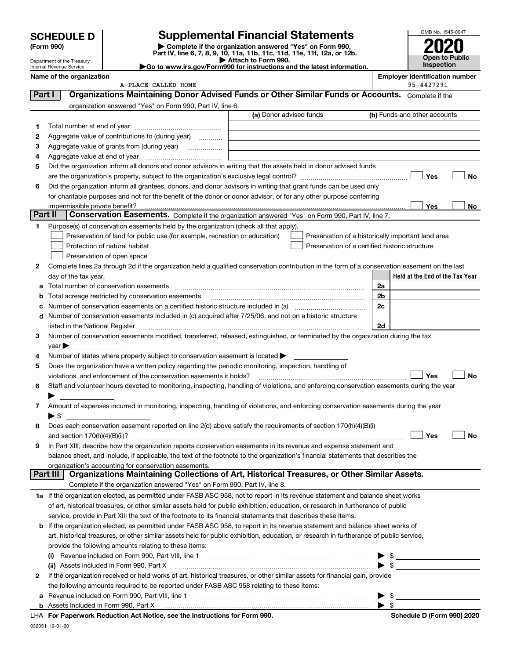| <b>SCHEDULE D</b> |  |
|-------------------|--|
|-------------------|--|

Department of the Treasury Internal Revenue Service

| (Form 990) |  |
|------------|--|
|------------|--|

# **SCHEDULE D Supplemental Financial Statements**

(Form 990)<br>
Pepartment of the Treasury<br>
Department of the Treasury<br>
Department of the Treasury<br>
Department of the Treasury<br> **Co to www.irs.gov/Form990 for instructions and the latest information.**<br> **Co to www.irs.gov/Form9** 



|         | Name of the organization<br>A PLACE CALLED HOME                                                                                                                                                                                         |                         |                                                | <b>Employer identification number</b><br>95-4427291 |
|---------|-----------------------------------------------------------------------------------------------------------------------------------------------------------------------------------------------------------------------------------------|-------------------------|------------------------------------------------|-----------------------------------------------------|
| Part I  | Organizations Maintaining Donor Advised Funds or Other Similar Funds or Accounts. Complete if the                                                                                                                                       |                         |                                                |                                                     |
|         | organization answered "Yes" on Form 990, Part IV, line 6.                                                                                                                                                                               |                         |                                                |                                                     |
|         |                                                                                                                                                                                                                                         | (a) Donor advised funds |                                                | (b) Funds and other accounts                        |
| 1.      |                                                                                                                                                                                                                                         |                         |                                                |                                                     |
| 2       | Aggregate value of contributions to (during year)                                                                                                                                                                                       |                         |                                                |                                                     |
|         |                                                                                                                                                                                                                                         |                         |                                                |                                                     |
| з       |                                                                                                                                                                                                                                         |                         |                                                |                                                     |
| 4       |                                                                                                                                                                                                                                         |                         |                                                |                                                     |
| 5       | Did the organization inform all donors and donor advisors in writing that the assets held in donor advised funds                                                                                                                        |                         |                                                | Yes<br><b>No</b>                                    |
|         |                                                                                                                                                                                                                                         |                         |                                                |                                                     |
| 6       | Did the organization inform all grantees, donors, and donor advisors in writing that grant funds can be used only<br>for charitable purposes and not for the benefit of the donor or donor advisor, or for any other purpose conferring |                         |                                                |                                                     |
|         |                                                                                                                                                                                                                                         |                         |                                                | Yes                                                 |
| Part II | impermissible private benefit?<br>Conservation Easements. Complete if the organization answered "Yes" on Form 990, Part IV, line 7.                                                                                                     |                         |                                                | No                                                  |
|         |                                                                                                                                                                                                                                         |                         |                                                |                                                     |
| 1       | Purpose(s) of conservation easements held by the organization (check all that apply).                                                                                                                                                   |                         |                                                |                                                     |
|         | Preservation of land for public use (for example, recreation or education)                                                                                                                                                              |                         |                                                | Preservation of a historically important land area  |
|         | Protection of natural habitat<br>Preservation of open space                                                                                                                                                                             |                         | Preservation of a certified historic structure |                                                     |
|         |                                                                                                                                                                                                                                         |                         |                                                |                                                     |
| 2       | Complete lines 2a through 2d if the organization held a qualified conservation contribution in the form of a conservation easement on the last                                                                                          |                         |                                                | Held at the End of the Tax Year                     |
|         | day of the tax year.<br>a Total number of conservation easements                                                                                                                                                                        |                         |                                                | 2a                                                  |
|         |                                                                                                                                                                                                                                         |                         |                                                | 2 <sub>b</sub>                                      |
| b       | Total acreage restricted by conservation easements                                                                                                                                                                                      |                         |                                                | 2c                                                  |
| c       | d Number of conservation easements included in (c) acquired after 7/25/06, and not on a historic structure                                                                                                                              |                         |                                                |                                                     |
|         |                                                                                                                                                                                                                                         |                         |                                                | 2d                                                  |
|         | Number of conservation easements modified, transferred, released, extinguished, or terminated by the organization during the tax                                                                                                        |                         |                                                |                                                     |
| 3       |                                                                                                                                                                                                                                         |                         |                                                |                                                     |
| 4       | $year \rightarrow$<br>Number of states where property subject to conservation easement is located >                                                                                                                                     |                         |                                                |                                                     |
| 5       | Does the organization have a written policy regarding the periodic monitoring, inspection, handling of                                                                                                                                  |                         |                                                |                                                     |
|         | violations, and enforcement of the conservation easements it holds?                                                                                                                                                                     |                         |                                                | Yes<br><b>No</b>                                    |
| 6       | Staff and volunteer hours devoted to monitoring, inspecting, handling of violations, and enforcing conservation easements during the year                                                                                               |                         |                                                |                                                     |
|         |                                                                                                                                                                                                                                         |                         |                                                |                                                     |
| 7       | Amount of expenses incurred in monitoring, inspecting, handling of violations, and enforcing conservation easements during the year                                                                                                     |                         |                                                |                                                     |
|         | $\blacktriangleright$ \$                                                                                                                                                                                                                |                         |                                                |                                                     |
| 8       | Does each conservation easement reported on line 2(d) above satisfy the requirements of section 170(h)(4)(B)(i)                                                                                                                         |                         |                                                |                                                     |
|         |                                                                                                                                                                                                                                         |                         |                                                | Yes<br>No                                           |
|         | In Part XIII, describe how the organization reports conservation easements in its revenue and expense statement and                                                                                                                     |                         |                                                |                                                     |
|         | balance sheet, and include, if applicable, the text of the footnote to the organization's financial statements that describes the                                                                                                       |                         |                                                |                                                     |
|         | organization's accounting for conservation easements.                                                                                                                                                                                   |                         |                                                |                                                     |
|         | Organizations Maintaining Collections of Art, Historical Treasures, or Other Similar Assets.<br>Part III                                                                                                                                |                         |                                                |                                                     |
|         | Complete if the organization answered "Yes" on Form 990, Part IV, line 8.                                                                                                                                                               |                         |                                                |                                                     |
|         | 1a If the organization elected, as permitted under FASB ASC 958, not to report in its revenue statement and balance sheet works                                                                                                         |                         |                                                |                                                     |
|         | of art, historical treasures, or other similar assets held for public exhibition, education, or research in furtherance of public                                                                                                       |                         |                                                |                                                     |
|         | service, provide in Part XIII the text of the footnote to its financial statements that describes these items.                                                                                                                          |                         |                                                |                                                     |
|         | <b>b</b> If the organization elected, as permitted under FASB ASC 958, to report in its revenue statement and balance sheet works of                                                                                                    |                         |                                                |                                                     |
|         | art, historical treasures, or other similar assets held for public exhibition, education, or research in furtherance of public service,                                                                                                 |                         |                                                |                                                     |
|         | provide the following amounts relating to these items:                                                                                                                                                                                  |                         |                                                |                                                     |
|         | (i)                                                                                                                                                                                                                                     |                         |                                                | $\frac{1}{2}$                                       |
|         | (ii) Assets included in Form 990, Part X                                                                                                                                                                                                |                         |                                                | $\frac{1}{2}$                                       |
| 2       | If the organization received or held works of art, historical treasures, or other similar assets for financial gain, provide                                                                                                            |                         |                                                |                                                     |
|         | the following amounts required to be reported under FASB ASC 958 relating to these items:                                                                                                                                               |                         |                                                |                                                     |
|         |                                                                                                                                                                                                                                         |                         |                                                | $\triangleright$ \$                                 |
|         |                                                                                                                                                                                                                                         |                         |                                                | $\blacktriangleright$ \$                            |
|         | $\mathbf{a}$ and $\mathbf{a}$ and $\mathbf{a}$ and $\mathbf{a}$                                                                                                                                                                         |                         |                                                |                                                     |

**For Paperwork Reduction Act Notice, see the Instructions for Form 990. Schedule D (Form 990) 2020** LHA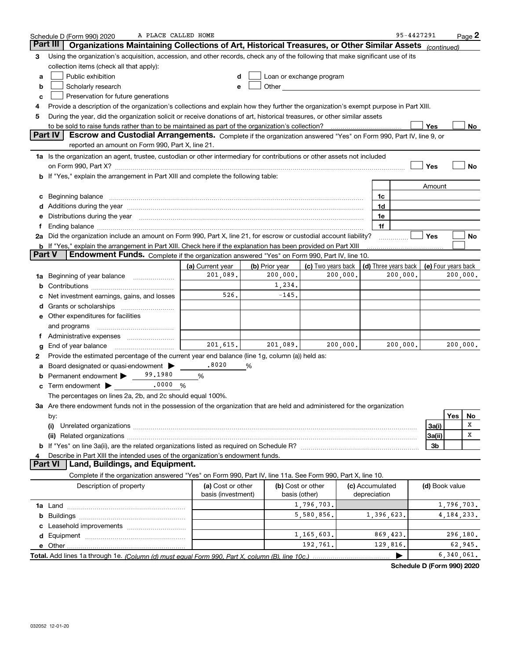| Part III<br>Organizations Maintaining Collections of Art, Historical Treasures, or Other Similar Assets (continued)<br>Using the organization's acquisition, accession, and other records, check any of the following that make significant use of its<br>3<br>collection items (check all that apply):<br>Public exhibition<br>Loan or exchange program<br>d<br>a<br>Scholarly research<br>Other and the contract of the contract of the contract of the contract of the contract of the contract of the contract of the contract of the contract of the contract of the contract of the contract of the contract of the<br>b<br>e<br>Preservation for future generations<br>c<br>Provide a description of the organization's collections and explain how they further the organization's exempt purpose in Part XIII.<br>4<br>During the year, did the organization solicit or receive donations of art, historical treasures, or other similar assets<br>5<br>Yes<br><b>Part IV</b><br>Escrow and Custodial Arrangements. Complete if the organization answered "Yes" on Form 990, Part IV, line 9, or<br>reported an amount on Form 990, Part X, line 21.<br>1a Is the organization an agent, trustee, custodian or other intermediary for contributions or other assets not included<br>Yes<br>on Form 990, Part X? [11] The Content of The Content of The Content of The Content of The Content of The Content of The Content of The Content of The Content of The Content of The Content of The Content of The Content of T<br><b>b</b> If "Yes," explain the arrangement in Part XIII and complete the following table:<br>Amount<br>c Beginning balance measurements and the contract of the contract of the contract of the contract of the contract of the contract of the contract of the contract of the contract of the contract of the contract of the contr<br>1c<br>d Additions during the year measurement contains and a container container and a container container and a container container and a container and a container container and a container container and a container container a<br>1d<br>e Distributions during the year measurement contained and all the year of Distributions during the year measurement of the state of the state of the state of the state of the state of the state of the state of the state of<br>1e<br>1f<br>f<br>2a Did the organization include an amount on Form 990, Part X, line 21, for escrow or custodial account liability?<br>Yes<br><b>b</b> If "Yes," explain the arrangement in Part XIII. Check here if the explanation has been provided on Part XIII<br>Part V<br>Endowment Funds. Complete if the organization answered "Yes" on Form 990, Part IV, line 10.<br>(b) Prior year<br>(c) Two years back<br>(d) Three years back   (e) Four years back<br>(a) Current year<br>201,089.<br>200,000.<br>200,000.<br>200,000.<br><b>1a</b> Beginning of year balance <i>manumumum</i><br>1,234.<br>526.<br>$-145.$<br>Net investment earnings, gains, and losses<br>c<br><b>e</b> Other expenditures for facilities<br>and programs<br>201,615.<br>200,000.<br>200,000.<br>201,089.<br>End of year balance<br>g<br>Provide the estimated percentage of the current year end balance (line 1g, column (a)) held as:<br>2 | No           |
|-------------------------------------------------------------------------------------------------------------------------------------------------------------------------------------------------------------------------------------------------------------------------------------------------------------------------------------------------------------------------------------------------------------------------------------------------------------------------------------------------------------------------------------------------------------------------------------------------------------------------------------------------------------------------------------------------------------------------------------------------------------------------------------------------------------------------------------------------------------------------------------------------------------------------------------------------------------------------------------------------------------------------------------------------------------------------------------------------------------------------------------------------------------------------------------------------------------------------------------------------------------------------------------------------------------------------------------------------------------------------------------------------------------------------------------------------------------------------------------------------------------------------------------------------------------------------------------------------------------------------------------------------------------------------------------------------------------------------------------------------------------------------------------------------------------------------------------------------------------------------------------------------------------------------------------------------------------------------------------------------------------------------------------------------------------------------------------------------------------------------------------------------------------------------------------------------------------------------------------------------------------------------------------------------------------------------------------------------------------------------------------------------------------------------------------------------------------------------------------------------------------------------------------------------------------------------------------------------------------------------------------------------------------------------------------------------------------------------------------------------------------------------------------------------------------------------------------------------------------------------------------------------------------------------------------------------------------------------------------------------------------------------------------------------------------------------------------------------------------------------------------------------------------------------------------------------------------------------------------------------------------------------------------------------|--------------|
|                                                                                                                                                                                                                                                                                                                                                                                                                                                                                                                                                                                                                                                                                                                                                                                                                                                                                                                                                                                                                                                                                                                                                                                                                                                                                                                                                                                                                                                                                                                                                                                                                                                                                                                                                                                                                                                                                                                                                                                                                                                                                                                                                                                                                                                                                                                                                                                                                                                                                                                                                                                                                                                                                                                                                                                                                                                                                                                                                                                                                                                                                                                                                                                                                                                                                                 |              |
|                                                                                                                                                                                                                                                                                                                                                                                                                                                                                                                                                                                                                                                                                                                                                                                                                                                                                                                                                                                                                                                                                                                                                                                                                                                                                                                                                                                                                                                                                                                                                                                                                                                                                                                                                                                                                                                                                                                                                                                                                                                                                                                                                                                                                                                                                                                                                                                                                                                                                                                                                                                                                                                                                                                                                                                                                                                                                                                                                                                                                                                                                                                                                                                                                                                                                                 |              |
|                                                                                                                                                                                                                                                                                                                                                                                                                                                                                                                                                                                                                                                                                                                                                                                                                                                                                                                                                                                                                                                                                                                                                                                                                                                                                                                                                                                                                                                                                                                                                                                                                                                                                                                                                                                                                                                                                                                                                                                                                                                                                                                                                                                                                                                                                                                                                                                                                                                                                                                                                                                                                                                                                                                                                                                                                                                                                                                                                                                                                                                                                                                                                                                                                                                                                                 |              |
|                                                                                                                                                                                                                                                                                                                                                                                                                                                                                                                                                                                                                                                                                                                                                                                                                                                                                                                                                                                                                                                                                                                                                                                                                                                                                                                                                                                                                                                                                                                                                                                                                                                                                                                                                                                                                                                                                                                                                                                                                                                                                                                                                                                                                                                                                                                                                                                                                                                                                                                                                                                                                                                                                                                                                                                                                                                                                                                                                                                                                                                                                                                                                                                                                                                                                                 | No           |
|                                                                                                                                                                                                                                                                                                                                                                                                                                                                                                                                                                                                                                                                                                                                                                                                                                                                                                                                                                                                                                                                                                                                                                                                                                                                                                                                                                                                                                                                                                                                                                                                                                                                                                                                                                                                                                                                                                                                                                                                                                                                                                                                                                                                                                                                                                                                                                                                                                                                                                                                                                                                                                                                                                                                                                                                                                                                                                                                                                                                                                                                                                                                                                                                                                                                                                 |              |
|                                                                                                                                                                                                                                                                                                                                                                                                                                                                                                                                                                                                                                                                                                                                                                                                                                                                                                                                                                                                                                                                                                                                                                                                                                                                                                                                                                                                                                                                                                                                                                                                                                                                                                                                                                                                                                                                                                                                                                                                                                                                                                                                                                                                                                                                                                                                                                                                                                                                                                                                                                                                                                                                                                                                                                                                                                                                                                                                                                                                                                                                                                                                                                                                                                                                                                 |              |
|                                                                                                                                                                                                                                                                                                                                                                                                                                                                                                                                                                                                                                                                                                                                                                                                                                                                                                                                                                                                                                                                                                                                                                                                                                                                                                                                                                                                                                                                                                                                                                                                                                                                                                                                                                                                                                                                                                                                                                                                                                                                                                                                                                                                                                                                                                                                                                                                                                                                                                                                                                                                                                                                                                                                                                                                                                                                                                                                                                                                                                                                                                                                                                                                                                                                                                 |              |
|                                                                                                                                                                                                                                                                                                                                                                                                                                                                                                                                                                                                                                                                                                                                                                                                                                                                                                                                                                                                                                                                                                                                                                                                                                                                                                                                                                                                                                                                                                                                                                                                                                                                                                                                                                                                                                                                                                                                                                                                                                                                                                                                                                                                                                                                                                                                                                                                                                                                                                                                                                                                                                                                                                                                                                                                                                                                                                                                                                                                                                                                                                                                                                                                                                                                                                 |              |
|                                                                                                                                                                                                                                                                                                                                                                                                                                                                                                                                                                                                                                                                                                                                                                                                                                                                                                                                                                                                                                                                                                                                                                                                                                                                                                                                                                                                                                                                                                                                                                                                                                                                                                                                                                                                                                                                                                                                                                                                                                                                                                                                                                                                                                                                                                                                                                                                                                                                                                                                                                                                                                                                                                                                                                                                                                                                                                                                                                                                                                                                                                                                                                                                                                                                                                 |              |
|                                                                                                                                                                                                                                                                                                                                                                                                                                                                                                                                                                                                                                                                                                                                                                                                                                                                                                                                                                                                                                                                                                                                                                                                                                                                                                                                                                                                                                                                                                                                                                                                                                                                                                                                                                                                                                                                                                                                                                                                                                                                                                                                                                                                                                                                                                                                                                                                                                                                                                                                                                                                                                                                                                                                                                                                                                                                                                                                                                                                                                                                                                                                                                                                                                                                                                 |              |
|                                                                                                                                                                                                                                                                                                                                                                                                                                                                                                                                                                                                                                                                                                                                                                                                                                                                                                                                                                                                                                                                                                                                                                                                                                                                                                                                                                                                                                                                                                                                                                                                                                                                                                                                                                                                                                                                                                                                                                                                                                                                                                                                                                                                                                                                                                                                                                                                                                                                                                                                                                                                                                                                                                                                                                                                                                                                                                                                                                                                                                                                                                                                                                                                                                                                                                 |              |
|                                                                                                                                                                                                                                                                                                                                                                                                                                                                                                                                                                                                                                                                                                                                                                                                                                                                                                                                                                                                                                                                                                                                                                                                                                                                                                                                                                                                                                                                                                                                                                                                                                                                                                                                                                                                                                                                                                                                                                                                                                                                                                                                                                                                                                                                                                                                                                                                                                                                                                                                                                                                                                                                                                                                                                                                                                                                                                                                                                                                                                                                                                                                                                                                                                                                                                 |              |
|                                                                                                                                                                                                                                                                                                                                                                                                                                                                                                                                                                                                                                                                                                                                                                                                                                                                                                                                                                                                                                                                                                                                                                                                                                                                                                                                                                                                                                                                                                                                                                                                                                                                                                                                                                                                                                                                                                                                                                                                                                                                                                                                                                                                                                                                                                                                                                                                                                                                                                                                                                                                                                                                                                                                                                                                                                                                                                                                                                                                                                                                                                                                                                                                                                                                                                 |              |
|                                                                                                                                                                                                                                                                                                                                                                                                                                                                                                                                                                                                                                                                                                                                                                                                                                                                                                                                                                                                                                                                                                                                                                                                                                                                                                                                                                                                                                                                                                                                                                                                                                                                                                                                                                                                                                                                                                                                                                                                                                                                                                                                                                                                                                                                                                                                                                                                                                                                                                                                                                                                                                                                                                                                                                                                                                                                                                                                                                                                                                                                                                                                                                                                                                                                                                 |              |
|                                                                                                                                                                                                                                                                                                                                                                                                                                                                                                                                                                                                                                                                                                                                                                                                                                                                                                                                                                                                                                                                                                                                                                                                                                                                                                                                                                                                                                                                                                                                                                                                                                                                                                                                                                                                                                                                                                                                                                                                                                                                                                                                                                                                                                                                                                                                                                                                                                                                                                                                                                                                                                                                                                                                                                                                                                                                                                                                                                                                                                                                                                                                                                                                                                                                                                 |              |
|                                                                                                                                                                                                                                                                                                                                                                                                                                                                                                                                                                                                                                                                                                                                                                                                                                                                                                                                                                                                                                                                                                                                                                                                                                                                                                                                                                                                                                                                                                                                                                                                                                                                                                                                                                                                                                                                                                                                                                                                                                                                                                                                                                                                                                                                                                                                                                                                                                                                                                                                                                                                                                                                                                                                                                                                                                                                                                                                                                                                                                                                                                                                                                                                                                                                                                 |              |
|                                                                                                                                                                                                                                                                                                                                                                                                                                                                                                                                                                                                                                                                                                                                                                                                                                                                                                                                                                                                                                                                                                                                                                                                                                                                                                                                                                                                                                                                                                                                                                                                                                                                                                                                                                                                                                                                                                                                                                                                                                                                                                                                                                                                                                                                                                                                                                                                                                                                                                                                                                                                                                                                                                                                                                                                                                                                                                                                                                                                                                                                                                                                                                                                                                                                                                 |              |
|                                                                                                                                                                                                                                                                                                                                                                                                                                                                                                                                                                                                                                                                                                                                                                                                                                                                                                                                                                                                                                                                                                                                                                                                                                                                                                                                                                                                                                                                                                                                                                                                                                                                                                                                                                                                                                                                                                                                                                                                                                                                                                                                                                                                                                                                                                                                                                                                                                                                                                                                                                                                                                                                                                                                                                                                                                                                                                                                                                                                                                                                                                                                                                                                                                                                                                 |              |
|                                                                                                                                                                                                                                                                                                                                                                                                                                                                                                                                                                                                                                                                                                                                                                                                                                                                                                                                                                                                                                                                                                                                                                                                                                                                                                                                                                                                                                                                                                                                                                                                                                                                                                                                                                                                                                                                                                                                                                                                                                                                                                                                                                                                                                                                                                                                                                                                                                                                                                                                                                                                                                                                                                                                                                                                                                                                                                                                                                                                                                                                                                                                                                                                                                                                                                 |              |
|                                                                                                                                                                                                                                                                                                                                                                                                                                                                                                                                                                                                                                                                                                                                                                                                                                                                                                                                                                                                                                                                                                                                                                                                                                                                                                                                                                                                                                                                                                                                                                                                                                                                                                                                                                                                                                                                                                                                                                                                                                                                                                                                                                                                                                                                                                                                                                                                                                                                                                                                                                                                                                                                                                                                                                                                                                                                                                                                                                                                                                                                                                                                                                                                                                                                                                 | No           |
|                                                                                                                                                                                                                                                                                                                                                                                                                                                                                                                                                                                                                                                                                                                                                                                                                                                                                                                                                                                                                                                                                                                                                                                                                                                                                                                                                                                                                                                                                                                                                                                                                                                                                                                                                                                                                                                                                                                                                                                                                                                                                                                                                                                                                                                                                                                                                                                                                                                                                                                                                                                                                                                                                                                                                                                                                                                                                                                                                                                                                                                                                                                                                                                                                                                                                                 |              |
|                                                                                                                                                                                                                                                                                                                                                                                                                                                                                                                                                                                                                                                                                                                                                                                                                                                                                                                                                                                                                                                                                                                                                                                                                                                                                                                                                                                                                                                                                                                                                                                                                                                                                                                                                                                                                                                                                                                                                                                                                                                                                                                                                                                                                                                                                                                                                                                                                                                                                                                                                                                                                                                                                                                                                                                                                                                                                                                                                                                                                                                                                                                                                                                                                                                                                                 |              |
|                                                                                                                                                                                                                                                                                                                                                                                                                                                                                                                                                                                                                                                                                                                                                                                                                                                                                                                                                                                                                                                                                                                                                                                                                                                                                                                                                                                                                                                                                                                                                                                                                                                                                                                                                                                                                                                                                                                                                                                                                                                                                                                                                                                                                                                                                                                                                                                                                                                                                                                                                                                                                                                                                                                                                                                                                                                                                                                                                                                                                                                                                                                                                                                                                                                                                                 |              |
|                                                                                                                                                                                                                                                                                                                                                                                                                                                                                                                                                                                                                                                                                                                                                                                                                                                                                                                                                                                                                                                                                                                                                                                                                                                                                                                                                                                                                                                                                                                                                                                                                                                                                                                                                                                                                                                                                                                                                                                                                                                                                                                                                                                                                                                                                                                                                                                                                                                                                                                                                                                                                                                                                                                                                                                                                                                                                                                                                                                                                                                                                                                                                                                                                                                                                                 | 200,000.     |
|                                                                                                                                                                                                                                                                                                                                                                                                                                                                                                                                                                                                                                                                                                                                                                                                                                                                                                                                                                                                                                                                                                                                                                                                                                                                                                                                                                                                                                                                                                                                                                                                                                                                                                                                                                                                                                                                                                                                                                                                                                                                                                                                                                                                                                                                                                                                                                                                                                                                                                                                                                                                                                                                                                                                                                                                                                                                                                                                                                                                                                                                                                                                                                                                                                                                                                 |              |
|                                                                                                                                                                                                                                                                                                                                                                                                                                                                                                                                                                                                                                                                                                                                                                                                                                                                                                                                                                                                                                                                                                                                                                                                                                                                                                                                                                                                                                                                                                                                                                                                                                                                                                                                                                                                                                                                                                                                                                                                                                                                                                                                                                                                                                                                                                                                                                                                                                                                                                                                                                                                                                                                                                                                                                                                                                                                                                                                                                                                                                                                                                                                                                                                                                                                                                 |              |
|                                                                                                                                                                                                                                                                                                                                                                                                                                                                                                                                                                                                                                                                                                                                                                                                                                                                                                                                                                                                                                                                                                                                                                                                                                                                                                                                                                                                                                                                                                                                                                                                                                                                                                                                                                                                                                                                                                                                                                                                                                                                                                                                                                                                                                                                                                                                                                                                                                                                                                                                                                                                                                                                                                                                                                                                                                                                                                                                                                                                                                                                                                                                                                                                                                                                                                 |              |
|                                                                                                                                                                                                                                                                                                                                                                                                                                                                                                                                                                                                                                                                                                                                                                                                                                                                                                                                                                                                                                                                                                                                                                                                                                                                                                                                                                                                                                                                                                                                                                                                                                                                                                                                                                                                                                                                                                                                                                                                                                                                                                                                                                                                                                                                                                                                                                                                                                                                                                                                                                                                                                                                                                                                                                                                                                                                                                                                                                                                                                                                                                                                                                                                                                                                                                 |              |
|                                                                                                                                                                                                                                                                                                                                                                                                                                                                                                                                                                                                                                                                                                                                                                                                                                                                                                                                                                                                                                                                                                                                                                                                                                                                                                                                                                                                                                                                                                                                                                                                                                                                                                                                                                                                                                                                                                                                                                                                                                                                                                                                                                                                                                                                                                                                                                                                                                                                                                                                                                                                                                                                                                                                                                                                                                                                                                                                                                                                                                                                                                                                                                                                                                                                                                 |              |
|                                                                                                                                                                                                                                                                                                                                                                                                                                                                                                                                                                                                                                                                                                                                                                                                                                                                                                                                                                                                                                                                                                                                                                                                                                                                                                                                                                                                                                                                                                                                                                                                                                                                                                                                                                                                                                                                                                                                                                                                                                                                                                                                                                                                                                                                                                                                                                                                                                                                                                                                                                                                                                                                                                                                                                                                                                                                                                                                                                                                                                                                                                                                                                                                                                                                                                 |              |
|                                                                                                                                                                                                                                                                                                                                                                                                                                                                                                                                                                                                                                                                                                                                                                                                                                                                                                                                                                                                                                                                                                                                                                                                                                                                                                                                                                                                                                                                                                                                                                                                                                                                                                                                                                                                                                                                                                                                                                                                                                                                                                                                                                                                                                                                                                                                                                                                                                                                                                                                                                                                                                                                                                                                                                                                                                                                                                                                                                                                                                                                                                                                                                                                                                                                                                 | 200,000.     |
|                                                                                                                                                                                                                                                                                                                                                                                                                                                                                                                                                                                                                                                                                                                                                                                                                                                                                                                                                                                                                                                                                                                                                                                                                                                                                                                                                                                                                                                                                                                                                                                                                                                                                                                                                                                                                                                                                                                                                                                                                                                                                                                                                                                                                                                                                                                                                                                                                                                                                                                                                                                                                                                                                                                                                                                                                                                                                                                                                                                                                                                                                                                                                                                                                                                                                                 |              |
| .8020<br>Board designated or quasi-endowment<br>%<br>a                                                                                                                                                                                                                                                                                                                                                                                                                                                                                                                                                                                                                                                                                                                                                                                                                                                                                                                                                                                                                                                                                                                                                                                                                                                                                                                                                                                                                                                                                                                                                                                                                                                                                                                                                                                                                                                                                                                                                                                                                                                                                                                                                                                                                                                                                                                                                                                                                                                                                                                                                                                                                                                                                                                                                                                                                                                                                                                                                                                                                                                                                                                                                                                                                                          |              |
| 99.1980<br><b>b</b> Permanent endowment $\blacktriangleright$<br>%                                                                                                                                                                                                                                                                                                                                                                                                                                                                                                                                                                                                                                                                                                                                                                                                                                                                                                                                                                                                                                                                                                                                                                                                                                                                                                                                                                                                                                                                                                                                                                                                                                                                                                                                                                                                                                                                                                                                                                                                                                                                                                                                                                                                                                                                                                                                                                                                                                                                                                                                                                                                                                                                                                                                                                                                                                                                                                                                                                                                                                                                                                                                                                                                                              |              |
| $.0000 \n%$<br>$\mathbf c$ Term endowment $\blacktriangleright$                                                                                                                                                                                                                                                                                                                                                                                                                                                                                                                                                                                                                                                                                                                                                                                                                                                                                                                                                                                                                                                                                                                                                                                                                                                                                                                                                                                                                                                                                                                                                                                                                                                                                                                                                                                                                                                                                                                                                                                                                                                                                                                                                                                                                                                                                                                                                                                                                                                                                                                                                                                                                                                                                                                                                                                                                                                                                                                                                                                                                                                                                                                                                                                                                                 |              |
| The percentages on lines 2a, 2b, and 2c should equal 100%.                                                                                                                                                                                                                                                                                                                                                                                                                                                                                                                                                                                                                                                                                                                                                                                                                                                                                                                                                                                                                                                                                                                                                                                                                                                                                                                                                                                                                                                                                                                                                                                                                                                                                                                                                                                                                                                                                                                                                                                                                                                                                                                                                                                                                                                                                                                                                                                                                                                                                                                                                                                                                                                                                                                                                                                                                                                                                                                                                                                                                                                                                                                                                                                                                                      |              |
| 3a Are there endowment funds not in the possession of the organization that are held and administered for the organization                                                                                                                                                                                                                                                                                                                                                                                                                                                                                                                                                                                                                                                                                                                                                                                                                                                                                                                                                                                                                                                                                                                                                                                                                                                                                                                                                                                                                                                                                                                                                                                                                                                                                                                                                                                                                                                                                                                                                                                                                                                                                                                                                                                                                                                                                                                                                                                                                                                                                                                                                                                                                                                                                                                                                                                                                                                                                                                                                                                                                                                                                                                                                                      |              |
| Yes<br>by:                                                                                                                                                                                                                                                                                                                                                                                                                                                                                                                                                                                                                                                                                                                                                                                                                                                                                                                                                                                                                                                                                                                                                                                                                                                                                                                                                                                                                                                                                                                                                                                                                                                                                                                                                                                                                                                                                                                                                                                                                                                                                                                                                                                                                                                                                                                                                                                                                                                                                                                                                                                                                                                                                                                                                                                                                                                                                                                                                                                                                                                                                                                                                                                                                                                                                      | No           |
| (i)<br>3a(i)                                                                                                                                                                                                                                                                                                                                                                                                                                                                                                                                                                                                                                                                                                                                                                                                                                                                                                                                                                                                                                                                                                                                                                                                                                                                                                                                                                                                                                                                                                                                                                                                                                                                                                                                                                                                                                                                                                                                                                                                                                                                                                                                                                                                                                                                                                                                                                                                                                                                                                                                                                                                                                                                                                                                                                                                                                                                                                                                                                                                                                                                                                                                                                                                                                                                                    | х            |
| 3a(ii)                                                                                                                                                                                                                                                                                                                                                                                                                                                                                                                                                                                                                                                                                                                                                                                                                                                                                                                                                                                                                                                                                                                                                                                                                                                                                                                                                                                                                                                                                                                                                                                                                                                                                                                                                                                                                                                                                                                                                                                                                                                                                                                                                                                                                                                                                                                                                                                                                                                                                                                                                                                                                                                                                                                                                                                                                                                                                                                                                                                                                                                                                                                                                                                                                                                                                          | х            |
| 3b                                                                                                                                                                                                                                                                                                                                                                                                                                                                                                                                                                                                                                                                                                                                                                                                                                                                                                                                                                                                                                                                                                                                                                                                                                                                                                                                                                                                                                                                                                                                                                                                                                                                                                                                                                                                                                                                                                                                                                                                                                                                                                                                                                                                                                                                                                                                                                                                                                                                                                                                                                                                                                                                                                                                                                                                                                                                                                                                                                                                                                                                                                                                                                                                                                                                                              |              |
| Describe in Part XIII the intended uses of the organization's endowment funds.<br>4                                                                                                                                                                                                                                                                                                                                                                                                                                                                                                                                                                                                                                                                                                                                                                                                                                                                                                                                                                                                                                                                                                                                                                                                                                                                                                                                                                                                                                                                                                                                                                                                                                                                                                                                                                                                                                                                                                                                                                                                                                                                                                                                                                                                                                                                                                                                                                                                                                                                                                                                                                                                                                                                                                                                                                                                                                                                                                                                                                                                                                                                                                                                                                                                             |              |
| Land, Buildings, and Equipment.<br><b>Part VI</b>                                                                                                                                                                                                                                                                                                                                                                                                                                                                                                                                                                                                                                                                                                                                                                                                                                                                                                                                                                                                                                                                                                                                                                                                                                                                                                                                                                                                                                                                                                                                                                                                                                                                                                                                                                                                                                                                                                                                                                                                                                                                                                                                                                                                                                                                                                                                                                                                                                                                                                                                                                                                                                                                                                                                                                                                                                                                                                                                                                                                                                                                                                                                                                                                                                               |              |
| Complete if the organization answered "Yes" on Form 990, Part IV, line 11a. See Form 990, Part X, line 10.                                                                                                                                                                                                                                                                                                                                                                                                                                                                                                                                                                                                                                                                                                                                                                                                                                                                                                                                                                                                                                                                                                                                                                                                                                                                                                                                                                                                                                                                                                                                                                                                                                                                                                                                                                                                                                                                                                                                                                                                                                                                                                                                                                                                                                                                                                                                                                                                                                                                                                                                                                                                                                                                                                                                                                                                                                                                                                                                                                                                                                                                                                                                                                                      |              |
| Description of property<br>(a) Cost or other<br>(b) Cost or other<br>(c) Accumulated<br>(d) Book value<br>basis (investment)<br>depreciation<br>basis (other)                                                                                                                                                                                                                                                                                                                                                                                                                                                                                                                                                                                                                                                                                                                                                                                                                                                                                                                                                                                                                                                                                                                                                                                                                                                                                                                                                                                                                                                                                                                                                                                                                                                                                                                                                                                                                                                                                                                                                                                                                                                                                                                                                                                                                                                                                                                                                                                                                                                                                                                                                                                                                                                                                                                                                                                                                                                                                                                                                                                                                                                                                                                                   |              |
| 1,796,703.                                                                                                                                                                                                                                                                                                                                                                                                                                                                                                                                                                                                                                                                                                                                                                                                                                                                                                                                                                                                                                                                                                                                                                                                                                                                                                                                                                                                                                                                                                                                                                                                                                                                                                                                                                                                                                                                                                                                                                                                                                                                                                                                                                                                                                                                                                                                                                                                                                                                                                                                                                                                                                                                                                                                                                                                                                                                                                                                                                                                                                                                                                                                                                                                                                                                                      | 1,796,703.   |
| 5,580,856.<br>1,396,623.                                                                                                                                                                                                                                                                                                                                                                                                                                                                                                                                                                                                                                                                                                                                                                                                                                                                                                                                                                                                                                                                                                                                                                                                                                                                                                                                                                                                                                                                                                                                                                                                                                                                                                                                                                                                                                                                                                                                                                                                                                                                                                                                                                                                                                                                                                                                                                                                                                                                                                                                                                                                                                                                                                                                                                                                                                                                                                                                                                                                                                                                                                                                                                                                                                                                        | 4, 184, 233. |
|                                                                                                                                                                                                                                                                                                                                                                                                                                                                                                                                                                                                                                                                                                                                                                                                                                                                                                                                                                                                                                                                                                                                                                                                                                                                                                                                                                                                                                                                                                                                                                                                                                                                                                                                                                                                                                                                                                                                                                                                                                                                                                                                                                                                                                                                                                                                                                                                                                                                                                                                                                                                                                                                                                                                                                                                                                                                                                                                                                                                                                                                                                                                                                                                                                                                                                 |              |
| 1,165,603.<br>869, 423.                                                                                                                                                                                                                                                                                                                                                                                                                                                                                                                                                                                                                                                                                                                                                                                                                                                                                                                                                                                                                                                                                                                                                                                                                                                                                                                                                                                                                                                                                                                                                                                                                                                                                                                                                                                                                                                                                                                                                                                                                                                                                                                                                                                                                                                                                                                                                                                                                                                                                                                                                                                                                                                                                                                                                                                                                                                                                                                                                                                                                                                                                                                                                                                                                                                                         | 296,180.     |
| 192,761.<br>129,816.                                                                                                                                                                                                                                                                                                                                                                                                                                                                                                                                                                                                                                                                                                                                                                                                                                                                                                                                                                                                                                                                                                                                                                                                                                                                                                                                                                                                                                                                                                                                                                                                                                                                                                                                                                                                                                                                                                                                                                                                                                                                                                                                                                                                                                                                                                                                                                                                                                                                                                                                                                                                                                                                                                                                                                                                                                                                                                                                                                                                                                                                                                                                                                                                                                                                            |              |
| 6,340,061.                                                                                                                                                                                                                                                                                                                                                                                                                                                                                                                                                                                                                                                                                                                                                                                                                                                                                                                                                                                                                                                                                                                                                                                                                                                                                                                                                                                                                                                                                                                                                                                                                                                                                                                                                                                                                                                                                                                                                                                                                                                                                                                                                                                                                                                                                                                                                                                                                                                                                                                                                                                                                                                                                                                                                                                                                                                                                                                                                                                                                                                                                                                                                                                                                                                                                      | 62,945.      |

**Schedule D (Form 990) 2020**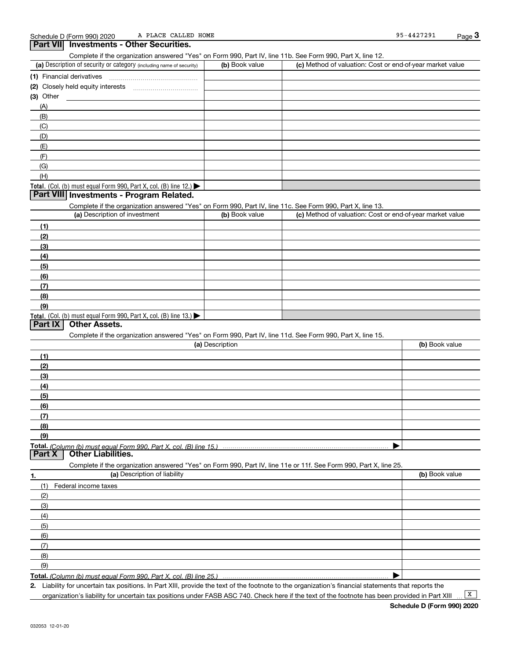| Complete if the organization answered "Yes" on Form 990, Part IV, line 11b. See Form 990, Part X, line 12.        |                 |                                                           |                |
|-------------------------------------------------------------------------------------------------------------------|-----------------|-----------------------------------------------------------|----------------|
| (a) Description of security or category (including name of security)                                              | (b) Book value  | (c) Method of valuation: Cost or end-of-year market value |                |
| (1) Financial derivatives                                                                                         |                 |                                                           |                |
| (2) Closely held equity interests                                                                                 |                 |                                                           |                |
| (3) Other                                                                                                         |                 |                                                           |                |
|                                                                                                                   |                 |                                                           |                |
| (A)                                                                                                               |                 |                                                           |                |
| (B)                                                                                                               |                 |                                                           |                |
| (C)                                                                                                               |                 |                                                           |                |
| (D)                                                                                                               |                 |                                                           |                |
| (E)                                                                                                               |                 |                                                           |                |
| (F)                                                                                                               |                 |                                                           |                |
| (G)                                                                                                               |                 |                                                           |                |
| (H)                                                                                                               |                 |                                                           |                |
| Total. (Col. (b) must equal Form 990, Part X, col. (B) line 12.)                                                  |                 |                                                           |                |
| Part VIII Investments - Program Related.                                                                          |                 |                                                           |                |
| Complete if the organization answered "Yes" on Form 990, Part IV, line 11c. See Form 990, Part X, line 13.        |                 |                                                           |                |
| (a) Description of investment                                                                                     | (b) Book value  | (c) Method of valuation: Cost or end-of-year market value |                |
| (1)                                                                                                               |                 |                                                           |                |
| (2)                                                                                                               |                 |                                                           |                |
| (3)                                                                                                               |                 |                                                           |                |
|                                                                                                                   |                 |                                                           |                |
| (4)                                                                                                               |                 |                                                           |                |
| (5)                                                                                                               |                 |                                                           |                |
| (6)                                                                                                               |                 |                                                           |                |
| (7)                                                                                                               |                 |                                                           |                |
| (8)                                                                                                               |                 |                                                           |                |
| (9)                                                                                                               |                 |                                                           |                |
| Total. (Col. (b) must equal Form 990, Part X, col. (B) line 13.)                                                  |                 |                                                           |                |
| <b>Other Assets.</b><br>Part IX                                                                                   |                 |                                                           |                |
| Complete if the organization answered "Yes" on Form 990, Part IV, line 11d. See Form 990, Part X, line 15.        |                 |                                                           |                |
|                                                                                                                   | (a) Description |                                                           | (b) Book value |
| (1)                                                                                                               |                 |                                                           |                |
| (2)                                                                                                               |                 |                                                           |                |
| (3)                                                                                                               |                 |                                                           |                |
| (4)                                                                                                               |                 |                                                           |                |
| (5)                                                                                                               |                 |                                                           |                |
| (6)                                                                                                               |                 |                                                           |                |
|                                                                                                                   |                 |                                                           |                |
| (7)                                                                                                               |                 |                                                           |                |
| (8)                                                                                                               |                 |                                                           |                |
| (9)                                                                                                               |                 |                                                           |                |
|                                                                                                                   |                 |                                                           |                |
|                                                                                                                   |                 |                                                           |                |
| <b>Other Liabilities.</b><br>Part X                                                                               |                 |                                                           |                |
| Complete if the organization answered "Yes" on Form 990, Part IV, line 11e or 11f. See Form 990, Part X, line 25. |                 |                                                           |                |
| (a) Description of liability<br>1.                                                                                |                 |                                                           | (b) Book value |
| (1)<br>Federal income taxes                                                                                       |                 |                                                           |                |
| (2)                                                                                                               |                 |                                                           |                |
| (3)                                                                                                               |                 |                                                           |                |
|                                                                                                                   |                 |                                                           |                |
| (4)                                                                                                               |                 |                                                           |                |
| (5)                                                                                                               |                 |                                                           |                |
| (6)                                                                                                               |                 |                                                           |                |
| (7)                                                                                                               |                 |                                                           |                |
| (8)                                                                                                               |                 |                                                           |                |
| (9)                                                                                                               |                 |                                                           |                |

**Total.**  *(Column (b) must equal Form 990, Part X, col. (B) line 25.)* 

**2.** Liability for uncertain tax positions. In Part XIII, provide the text of the footnote to the organization's financial statements that reports the

organization's liability for uncertain tax positions under FASB ASC 740. Check here if the text of the footnote has been provided in Part XIII

 $\boxed{\mathbf{X}}$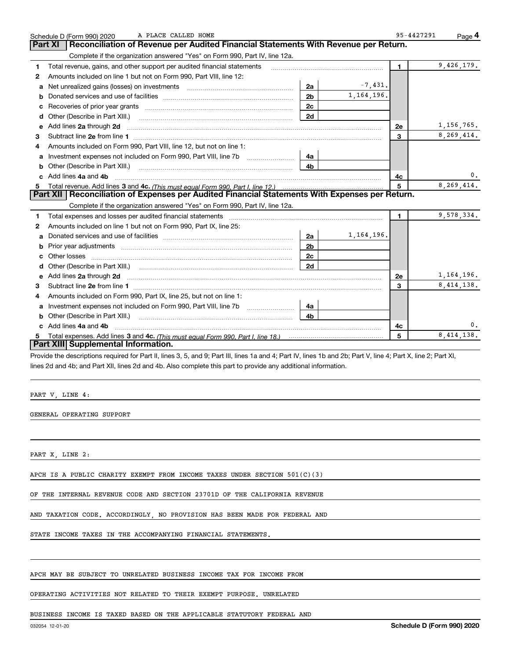|    | A PLACE CALLED HOME<br>Schedule D (Form 990) 2020                                                                                                                                                                                   |                |              | 95-4427291     | Page 4       |
|----|-------------------------------------------------------------------------------------------------------------------------------------------------------------------------------------------------------------------------------------|----------------|--------------|----------------|--------------|
|    | Reconciliation of Revenue per Audited Financial Statements With Revenue per Return.<br><b>Part XI</b>                                                                                                                               |                |              |                |              |
|    | Complete if the organization answered "Yes" on Form 990, Part IV, line 12a.                                                                                                                                                         |                |              |                |              |
| 1  | Total revenue, gains, and other support per audited financial statements                                                                                                                                                            |                |              | $\blacksquare$ | 9,426,179.   |
| 2  | Amounts included on line 1 but not on Form 990, Part VIII, line 12:                                                                                                                                                                 |                |              |                |              |
| a  |                                                                                                                                                                                                                                     | 2a             | $-7,431.$    |                |              |
|    |                                                                                                                                                                                                                                     | 2 <sub>b</sub> | 1, 164, 196. |                |              |
|    | Recoveries of prior year grants [11,111] Recoveries of prior year grants [11,111] Recoveries of prior year grants                                                                                                                   | 2c             |              |                |              |
| d  | Other (Describe in Part XIII.) <b>Construction Construction</b> Chern Construction Chern Chern Chern Chern Chern Chern                                                                                                              | 2d             |              |                |              |
| е  | Add lines 2a through 2d                                                                                                                                                                                                             |                |              | 2e             | 1, 156, 765. |
| 3  |                                                                                                                                                                                                                                     |                |              | $\overline{3}$ | 8,269,414.   |
| 4  | Amounts included on Form 990, Part VIII, line 12, but not on line 1:                                                                                                                                                                |                |              |                |              |
|    | Investment expenses not included on Form 990, Part VIII, line 7b [                                                                                                                                                                  | 4a             |              |                |              |
| b  | Other (Describe in Part XIII.) <b>Construction Contract Construction</b> Chemical Construction Chemical Chemical Chemical Chemical Chemical Chemical Chemical Chemical Chemical Chemical Chemical Chemical Chemical Chemical Chemic | 4 <sub>b</sub> |              |                |              |
| c. | Add lines 4a and 4b                                                                                                                                                                                                                 |                |              | 4с             | 0.           |
|    |                                                                                                                                                                                                                                     |                |              | 5              | 8,269,414.   |
|    | Part XII   Reconciliation of Expenses per Audited Financial Statements With Expenses per Return.                                                                                                                                    |                |              |                |              |
|    | Complete if the organization answered "Yes" on Form 990, Part IV, line 12a.                                                                                                                                                         |                |              |                |              |
| 1  | Total expenses and losses per audited financial statements [11, 11] manuscription control expenses and losses per audited financial statements [11] manuscription of the statements [11] manuscription of the statements [11]       |                |              | $\blacksquare$ | 9,578,334.   |
| 2  | Amounts included on line 1 but not on Form 990, Part IX, line 25:                                                                                                                                                                   |                |              |                |              |
| a  |                                                                                                                                                                                                                                     | 2a             | 1, 164, 196. |                |              |
| b  | Prior year adjustments material contents and content and content and content and content and content and content                                                                                                                    | 2 <sub>b</sub> |              |                |              |
| с  |                                                                                                                                                                                                                                     | 2 <sub>c</sub> |              |                |              |
|    |                                                                                                                                                                                                                                     | 2d             |              |                |              |
| е  | Add lines 2a through 2d <b>must be a constructed as the constant of the constant of the constant of the construction</b>                                                                                                            |                |              | <b>2e</b>      | 1, 164, 196. |
| З. |                                                                                                                                                                                                                                     |                |              | $\overline{3}$ | 8,414,138.   |
| 4  | Amounts included on Form 990, Part IX, line 25, but not on line 1:                                                                                                                                                                  |                |              |                |              |
|    | Investment expenses not included on Form 990, Part VIII, line 7b [1000000000000000000000000000000000                                                                                                                                | 4a             |              |                |              |
| b  | Other (Describe in Part XIII.)                                                                                                                                                                                                      | 4 <sub>b</sub> |              |                |              |
|    | Add lines 4a and 4b                                                                                                                                                                                                                 |                |              | 4c             | 0.           |
|    |                                                                                                                                                                                                                                     |                |              | 5              | 8, 414, 138. |
|    | Part XIII Supplemental Information.                                                                                                                                                                                                 |                |              |                |              |

Provide the descriptions required for Part II, lines 3, 5, and 9; Part III, lines 1a and 4; Part IV, lines 1b and 2b; Part V, line 4; Part X, line 2; Part XI, lines 2d and 4b; and Part XII, lines 2d and 4b. Also complete this part to provide any additional information.

|  | PART |  | NΚ<br>٠ |  |  |
|--|------|--|---------|--|--|
|--|------|--|---------|--|--|

GENERAL OPERATING SUPPORT

PART X, LINE 2:

APCH IS A PUBLIC CHARITY EXEMPT FROM INCOME TAXES UNDER SECTION 501(C)(3)

OF THE INTERNAL REVENUE CODE AND SECTION 23701D OF THE CALIFORNIA REVENUE

AND TAXATION CODE. ACCORDINGLY, NO PROVISION HAS BEEN MADE FOR FEDERAL AND

STATE INCOME TAXES IN THE ACCOMPANYING FINANCIAL STATEMENTS.

APCH MAY BE SUBJECT TO UNRELATED BUSINESS INCOME TAX FOR INCOME FROM

OPERATING ACTIVITIES NOT RELATED TO THEIR EXEMPT PURPOSE. UNRELATED

BUSINESS INCOME IS TAXED BASED ON THE APPLICABLE STATUTORY FEDERAL AND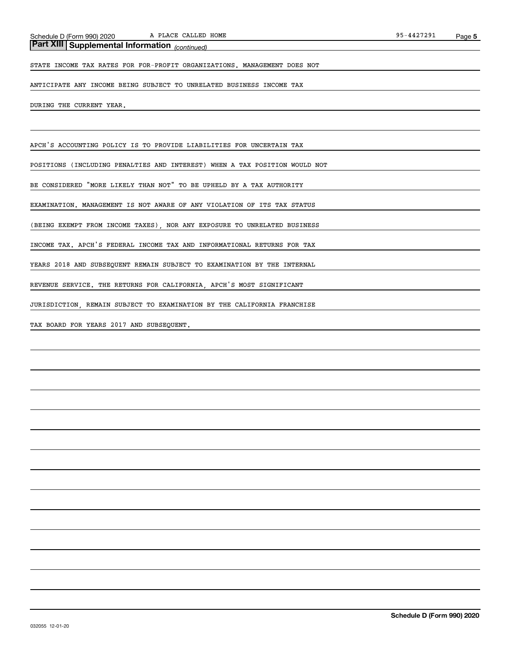*(continued)* **Part XIII Supplemental Information** 

STATE INCOME TAX RATES FOR FOR-PROFIT ORGANIZATIONS. MANAGEMENT DOES NOT

ANTICIPATE ANY INCOME BEING SUBJECT TO UNRELATED BUSINESS INCOME TAX

DURING THE CURRENT YEAR.

APCH'S ACCOUNTING POLICY IS TO PROVIDE LIABILITIES FOR UNCERTAIN TAX

POSITIONS (INCLUDING PENALTIES AND INTEREST) WHEN A TAX POSITION WOULD NOT

BE CONSIDERED "MORE LIKELY THAN NOT" TO BE UPHELD BY A TAX AUTHORITY

EXAMINATION. MANAGEMENT IS NOT AWARE OF ANY VIOLATION OF ITS TAX STATUS

(BEING EXEMPT FROM INCOME TAXES), NOR ANY EXPOSURE TO UNRELATED BUSINESS

INCOME TAX. APCH'S FEDERAL INCOME TAX AND INFORMATIONAL RETURNS FOR TAX

YEARS 2018 AND SUBSEQUENT REMAIN SUBJECT TO EXAMINATION BY THE INTERNAL

REVENUE SERVICE. THE RETURNS FOR CALIFORNIA, APCH'S MOST SIGNIFICANT

JURISDICTION, REMAIN SUBJECT TO EXAMINATION BY THE CALIFORNIA FRANCHISE

TAX BOARD FOR YEARS 2017 AND SUBSEQUENT.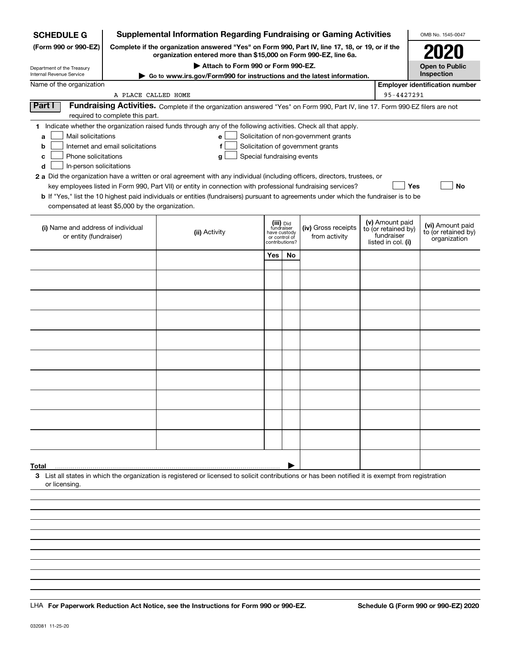| <b>SCHEDULE G</b>                                 |                                    | <b>Supplemental Information Regarding Fundraising or Gaming Activities</b>                                                                                          |                                                 |                         |                                       |  |                                        | OMB No. 1545-0047                     |
|---------------------------------------------------|------------------------------------|---------------------------------------------------------------------------------------------------------------------------------------------------------------------|-------------------------------------------------|-------------------------|---------------------------------------|--|----------------------------------------|---------------------------------------|
| (Form 990 or 990-EZ)                              |                                    | Complete if the organization answered "Yes" on Form 990, Part IV, line 17, 18, or 19, or if the<br>organization entered more than \$15,000 on Form 990-EZ, line 6a. |                                                 |                         |                                       |  |                                        | 2020                                  |
| Department of the Treasury                        | Attach to Form 990 or Form 990-EZ. |                                                                                                                                                                     |                                                 |                         |                                       |  |                                        | <b>Open to Public</b>                 |
| Internal Revenue Service                          |                                    | Go to www.irs.gov/Form990 for instructions and the latest information.                                                                                              |                                                 |                         |                                       |  |                                        | Inspection                            |
| Name of the organization                          | A PLACE CALLED HOME                |                                                                                                                                                                     |                                                 |                         |                                       |  | 95-4427291                             | <b>Employer identification number</b> |
| Part I                                            |                                    | Fundraising Activities. Complete if the organization answered "Yes" on Form 990, Part IV, line 17. Form 990-EZ filers are not                                       |                                                 |                         |                                       |  |                                        |                                       |
|                                                   | required to complete this part.    |                                                                                                                                                                     |                                                 |                         |                                       |  |                                        |                                       |
|                                                   |                                    | 1 Indicate whether the organization raised funds through any of the following activities. Check all that apply.                                                     |                                                 |                         |                                       |  |                                        |                                       |
| Mail solicitations<br>a                           |                                    | е                                                                                                                                                                   |                                                 |                         | Solicitation of non-government grants |  |                                        |                                       |
| b                                                 | Internet and email solicitations   | f                                                                                                                                                                   |                                                 |                         | Solicitation of government grants     |  |                                        |                                       |
| Phone solicitations<br>c                          |                                    | Special fundraising events<br>g                                                                                                                                     |                                                 |                         |                                       |  |                                        |                                       |
| In-person solicitations<br>d                      |                                    |                                                                                                                                                                     |                                                 |                         |                                       |  |                                        |                                       |
|                                                   |                                    | 2 a Did the organization have a written or oral agreement with any individual (including officers, directors, trustees, or                                          |                                                 |                         |                                       |  |                                        |                                       |
|                                                   |                                    | key employees listed in Form 990, Part VII) or entity in connection with professional fundraising services?                                                         |                                                 |                         |                                       |  | Yes                                    | No                                    |
| compensated at least \$5,000 by the organization. |                                    | b If "Yes," list the 10 highest paid individuals or entities (fundraisers) pursuant to agreements under which the fundraiser is to be                               |                                                 |                         |                                       |  |                                        |                                       |
|                                                   |                                    |                                                                                                                                                                     |                                                 |                         |                                       |  |                                        |                                       |
| (i) Name and address of individual                |                                    |                                                                                                                                                                     |                                                 | (iii) Did<br>fundraiser | (iv) Gross receipts                   |  | (v) Amount paid<br>to (or retained by) | (vi) Amount paid                      |
| or entity (fundraiser)                            |                                    | (ii) Activity                                                                                                                                                       | have custody<br>or control of<br>contributions? |                         | from activity                         |  | fundraiser                             | to (or retained by)<br>organization   |
|                                                   |                                    |                                                                                                                                                                     |                                                 |                         |                                       |  | listed in col. (i)                     |                                       |
|                                                   |                                    |                                                                                                                                                                     | Yes                                             | <b>No</b>               |                                       |  |                                        |                                       |
|                                                   |                                    |                                                                                                                                                                     |                                                 |                         |                                       |  |                                        |                                       |
|                                                   |                                    |                                                                                                                                                                     |                                                 |                         |                                       |  |                                        |                                       |
|                                                   |                                    |                                                                                                                                                                     |                                                 |                         |                                       |  |                                        |                                       |
|                                                   |                                    |                                                                                                                                                                     |                                                 |                         |                                       |  |                                        |                                       |
|                                                   |                                    |                                                                                                                                                                     |                                                 |                         |                                       |  |                                        |                                       |
|                                                   |                                    |                                                                                                                                                                     |                                                 |                         |                                       |  |                                        |                                       |
|                                                   |                                    |                                                                                                                                                                     |                                                 |                         |                                       |  |                                        |                                       |
|                                                   |                                    |                                                                                                                                                                     |                                                 |                         |                                       |  |                                        |                                       |
|                                                   |                                    |                                                                                                                                                                     |                                                 |                         |                                       |  |                                        |                                       |
|                                                   |                                    |                                                                                                                                                                     |                                                 |                         |                                       |  |                                        |                                       |
|                                                   |                                    |                                                                                                                                                                     |                                                 |                         |                                       |  |                                        |                                       |
|                                                   |                                    |                                                                                                                                                                     |                                                 |                         |                                       |  |                                        |                                       |
|                                                   |                                    |                                                                                                                                                                     |                                                 |                         |                                       |  |                                        |                                       |
|                                                   |                                    |                                                                                                                                                                     |                                                 |                         |                                       |  |                                        |                                       |
|                                                   |                                    |                                                                                                                                                                     |                                                 |                         |                                       |  |                                        |                                       |
|                                                   |                                    |                                                                                                                                                                     |                                                 |                         |                                       |  |                                        |                                       |
|                                                   |                                    |                                                                                                                                                                     |                                                 |                         |                                       |  |                                        |                                       |
| Total                                             |                                    |                                                                                                                                                                     |                                                 |                         |                                       |  |                                        |                                       |
| or licensing.                                     |                                    | 3 List all states in which the organization is registered or licensed to solicit contributions or has been notified it is exempt from registration                  |                                                 |                         |                                       |  |                                        |                                       |
|                                                   |                                    |                                                                                                                                                                     |                                                 |                         |                                       |  |                                        |                                       |
|                                                   |                                    |                                                                                                                                                                     |                                                 |                         |                                       |  |                                        |                                       |
|                                                   |                                    |                                                                                                                                                                     |                                                 |                         |                                       |  |                                        |                                       |
|                                                   |                                    |                                                                                                                                                                     |                                                 |                         |                                       |  |                                        |                                       |
|                                                   |                                    |                                                                                                                                                                     |                                                 |                         |                                       |  |                                        |                                       |

LHA For Paperwork Reduction Act Notice, see the Instructions for Form 990 or 990-EZ. Schedule G (Form 990 or 990-EZ) 2020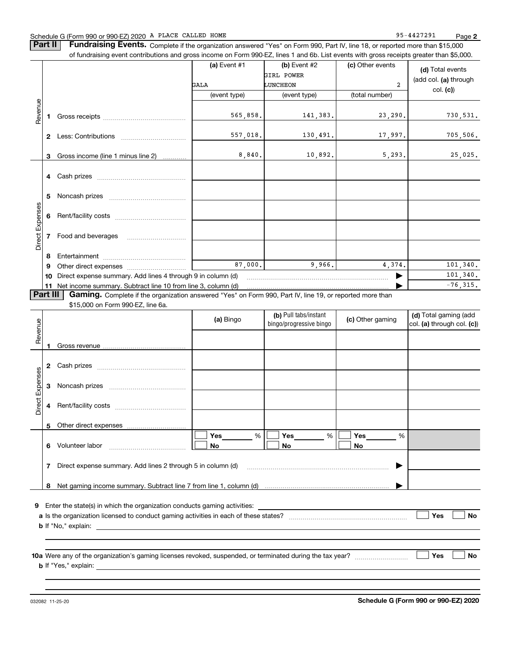### Schedule G (Form 990 or 990-EZ) 2020 Page A PLACE CALLED HOME 95-4427291

**Part II** | Fundraising Events. Complete if the organization answered "Yes" on Form 990, Part IV, line 18, or reported more than \$15,000

|                 |    | of fundraising event contributions and gross income on Form 990-EZ, lines 1 and 6b. List events with gross receipts greater than \$5,000. |                |                                                  |                  |                                                     |
|-----------------|----|-------------------------------------------------------------------------------------------------------------------------------------------|----------------|--------------------------------------------------|------------------|-----------------------------------------------------|
|                 |    |                                                                                                                                           | (a) Event $#1$ | $(b)$ Event #2                                   | (c) Other events | (d) Total events                                    |
|                 |    |                                                                                                                                           |                | GIRL POWER                                       |                  | (add col. (a) through                               |
|                 |    |                                                                                                                                           | GALA           | LUNCHEON                                         | $\overline{2}$   | col. (c)                                            |
|                 |    |                                                                                                                                           | (event type)   | (event type)                                     | (total number)   |                                                     |
| Revenue         |    |                                                                                                                                           |                |                                                  |                  |                                                     |
|                 | 1. |                                                                                                                                           | 565,858.       | 141,383.                                         | 23,290.          | 730, 531.                                           |
|                 |    |                                                                                                                                           | 557,018.       | 130,491.                                         | 17,997.          | 705,506.                                            |
|                 |    |                                                                                                                                           |                |                                                  |                  |                                                     |
|                 | 3  | Gross income (line 1 minus line 2)                                                                                                        | 8,840.         | 10,892.                                          | 5,293.           | 25,025.                                             |
|                 |    |                                                                                                                                           |                |                                                  |                  |                                                     |
|                 |    |                                                                                                                                           |                |                                                  |                  |                                                     |
|                 |    |                                                                                                                                           |                |                                                  |                  |                                                     |
|                 | 5  |                                                                                                                                           |                |                                                  |                  |                                                     |
| Direct Expenses |    |                                                                                                                                           |                |                                                  |                  |                                                     |
|                 | 6  |                                                                                                                                           |                |                                                  |                  |                                                     |
|                 | 7  | Food and beverages                                                                                                                        |                |                                                  |                  |                                                     |
|                 |    |                                                                                                                                           |                |                                                  |                  |                                                     |
|                 | 8  |                                                                                                                                           |                |                                                  |                  |                                                     |
|                 | 9  |                                                                                                                                           | 87,000.        | 9,966.                                           | 4,374.           | 101, 340.                                           |
|                 | 10 | Direct expense summary. Add lines 4 through 9 in column (d)                                                                               |                |                                                  |                  | 101,340.                                            |
|                 |    | 11 Net income summary. Subtract line 10 from line 3, column (d)                                                                           |                |                                                  |                  | $-76, 315.$                                         |
|                 |    | \$15,000 on Form 990-EZ, line 6a.                                                                                                         | (a) Bingo      | (b) Pull tabs/instant<br>bingo/progressive bingo | (c) Other gaming | (d) Total gaming (add<br>col. (a) through col. (c)) |
| Revenue         |    |                                                                                                                                           |                |                                                  |                  |                                                     |
|                 |    |                                                                                                                                           |                |                                                  |                  |                                                     |
|                 | 2  |                                                                                                                                           |                |                                                  |                  |                                                     |
| Expenses        | 3  |                                                                                                                                           |                |                                                  |                  |                                                     |
| Direct          | 4  |                                                                                                                                           |                |                                                  |                  |                                                     |
|                 |    |                                                                                                                                           |                |                                                  |                  |                                                     |
|                 |    | 5 Other direct expenses                                                                                                                   |                |                                                  |                  |                                                     |
|                 |    | 6 Volunteer labor                                                                                                                         | %<br>Yes       | %<br>Yes                                         | %<br>Yes         |                                                     |
|                 |    |                                                                                                                                           | No             | No                                               | No               |                                                     |
|                 | 7  | Direct expense summary. Add lines 2 through 5 in column (d)                                                                               |                |                                                  |                  |                                                     |
|                 | 8  |                                                                                                                                           |                |                                                  |                  |                                                     |
|                 |    |                                                                                                                                           |                |                                                  |                  |                                                     |
| 9               |    | Enter the state(s) in which the organization conducts gaming activities:                                                                  |                |                                                  |                  |                                                     |
|                 |    |                                                                                                                                           |                |                                                  |                  | Yes<br>No                                           |
|                 |    | <b>b</b> If "No," explain:<br><u> 1980 - Jan James Santan (j. 1980)</u>                                                                   |                |                                                  |                  |                                                     |
|                 |    |                                                                                                                                           |                |                                                  |                  |                                                     |
|                 |    |                                                                                                                                           |                |                                                  |                  | Yes<br>No                                           |

032082 11-25-20

**b** If "Yes," explain:

**Schedule G (Form 990 or 990-EZ) 2020**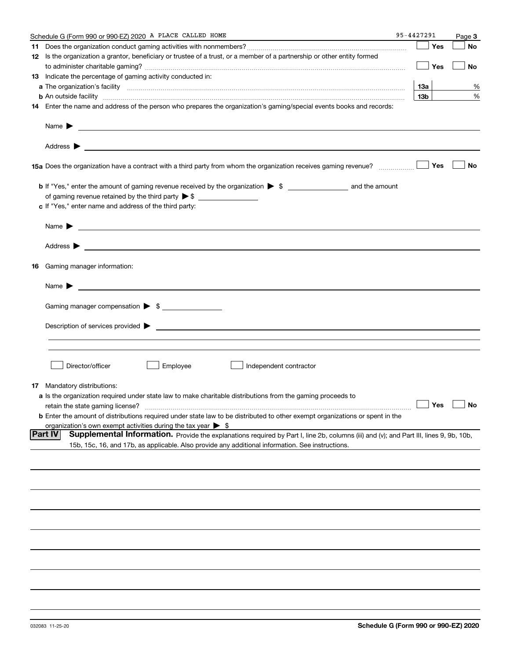|     | Schedule G (Form 990 or 990-EZ) 2020 A PLACE CALLED HOME                                                                                                                                                                                   | 95-4427291 |                 | Page 3            |
|-----|--------------------------------------------------------------------------------------------------------------------------------------------------------------------------------------------------------------------------------------------|------------|-----------------|-------------------|
|     |                                                                                                                                                                                                                                            |            | Yes             | No                |
|     | 12 Is the organization a grantor, beneficiary or trustee of a trust, or a member of a partnership or other entity formed                                                                                                                   |            |                 |                   |
|     |                                                                                                                                                                                                                                            |            | Yes             | No                |
|     | 13 Indicate the percentage of gaming activity conducted in:                                                                                                                                                                                |            |                 |                   |
|     |                                                                                                                                                                                                                                            |            | <u>13a</u>      | %                 |
|     | <b>b</b> An outside facility <i>www.communically.communically.communically.communically.communically.communically.communically.communically.communically.communically.communically.communically.communically.communically.communicall</i>  |            | 13 <sub>b</sub> | %                 |
|     | 14 Enter the name and address of the person who prepares the organization's gaming/special events books and records:                                                                                                                       |            |                 |                   |
|     |                                                                                                                                                                                                                                            |            |                 |                   |
|     | Name $\blacktriangleright$                                                                                                                                                                                                                 |            |                 |                   |
|     | 15a Does the organization have a contract with a third party from whom the organization receives gaming revenue?                                                                                                                           |            | Yes             | No                |
|     |                                                                                                                                                                                                                                            |            |                 |                   |
|     |                                                                                                                                                                                                                                            |            |                 |                   |
|     |                                                                                                                                                                                                                                            |            |                 |                   |
|     | c If "Yes," enter name and address of the third party:                                                                                                                                                                                     |            |                 |                   |
|     | Name $\blacktriangleright$<br><u> 1989 - Andrea Stadt Britain, amerikansk politiker (</u>                                                                                                                                                  |            |                 |                   |
|     | Address $\blacktriangleright$<br><u>and the contract of the contract of the contract of the contract of the contract of the contract of the contract of</u>                                                                                |            |                 |                   |
| 16  | Gaming manager information:                                                                                                                                                                                                                |            |                 |                   |
|     | Name $\blacktriangleright$                                                                                                                                                                                                                 |            |                 |                   |
|     |                                                                                                                                                                                                                                            |            |                 |                   |
|     | Gaming manager compensation > \$                                                                                                                                                                                                           |            |                 |                   |
|     | Description of services provided $\blacktriangleright$                                                                                                                                                                                     |            |                 |                   |
|     |                                                                                                                                                                                                                                            |            |                 |                   |
|     |                                                                                                                                                                                                                                            |            |                 |                   |
|     | Director/officer<br>Employee<br>Independent contractor                                                                                                                                                                                     |            |                 |                   |
|     |                                                                                                                                                                                                                                            |            |                 |                   |
| 17. | Mandatory distributions:                                                                                                                                                                                                                   |            |                 |                   |
|     | a Is the organization required under state law to make charitable distributions from the gaming proceeds to                                                                                                                                |            |                 | $\Box$ Yes $\Box$ |
|     | retain the state gaming license?                                                                                                                                                                                                           |            |                 |                   |
|     | <b>b</b> Enter the amount of distributions required under state law to be distributed to other exempt organizations or spent in the                                                                                                        |            |                 |                   |
|     | organization's own exempt activities during the tax year $\triangleright$ \$<br><b>Part IV</b>                                                                                                                                             |            |                 |                   |
|     | Supplemental Information. Provide the explanations required by Part I, line 2b, columns (iii) and (v); and Part III, lines 9, 9b, 10b,<br>15b, 15c, 16, and 17b, as applicable. Also provide any additional information. See instructions. |            |                 |                   |
|     |                                                                                                                                                                                                                                            |            |                 |                   |
|     |                                                                                                                                                                                                                                            |            |                 |                   |
|     |                                                                                                                                                                                                                                            |            |                 |                   |
|     |                                                                                                                                                                                                                                            |            |                 |                   |
|     |                                                                                                                                                                                                                                            |            |                 |                   |
|     |                                                                                                                                                                                                                                            |            |                 |                   |
|     |                                                                                                                                                                                                                                            |            |                 |                   |
|     |                                                                                                                                                                                                                                            |            |                 |                   |
|     |                                                                                                                                                                                                                                            |            |                 |                   |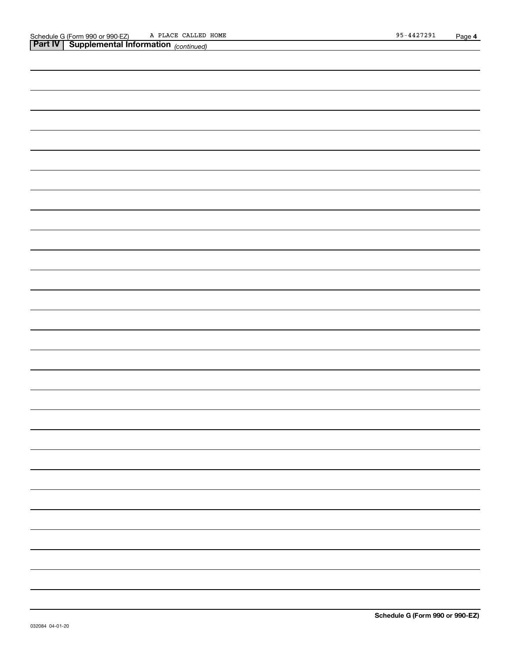| <b>Part IV   Supplemental Information</b> (continued) |  |  |  |  |  |  |  |  |  |
|-------------------------------------------------------|--|--|--|--|--|--|--|--|--|
|                                                       |  |  |  |  |  |  |  |  |  |
|                                                       |  |  |  |  |  |  |  |  |  |
|                                                       |  |  |  |  |  |  |  |  |  |
|                                                       |  |  |  |  |  |  |  |  |  |
|                                                       |  |  |  |  |  |  |  |  |  |
|                                                       |  |  |  |  |  |  |  |  |  |
|                                                       |  |  |  |  |  |  |  |  |  |
|                                                       |  |  |  |  |  |  |  |  |  |
|                                                       |  |  |  |  |  |  |  |  |  |
|                                                       |  |  |  |  |  |  |  |  |  |
|                                                       |  |  |  |  |  |  |  |  |  |
|                                                       |  |  |  |  |  |  |  |  |  |
|                                                       |  |  |  |  |  |  |  |  |  |
|                                                       |  |  |  |  |  |  |  |  |  |
|                                                       |  |  |  |  |  |  |  |  |  |
|                                                       |  |  |  |  |  |  |  |  |  |
|                                                       |  |  |  |  |  |  |  |  |  |
|                                                       |  |  |  |  |  |  |  |  |  |
|                                                       |  |  |  |  |  |  |  |  |  |
|                                                       |  |  |  |  |  |  |  |  |  |
|                                                       |  |  |  |  |  |  |  |  |  |
|                                                       |  |  |  |  |  |  |  |  |  |
|                                                       |  |  |  |  |  |  |  |  |  |
|                                                       |  |  |  |  |  |  |  |  |  |
|                                                       |  |  |  |  |  |  |  |  |  |
|                                                       |  |  |  |  |  |  |  |  |  |
|                                                       |  |  |  |  |  |  |  |  |  |
|                                                       |  |  |  |  |  |  |  |  |  |
|                                                       |  |  |  |  |  |  |  |  |  |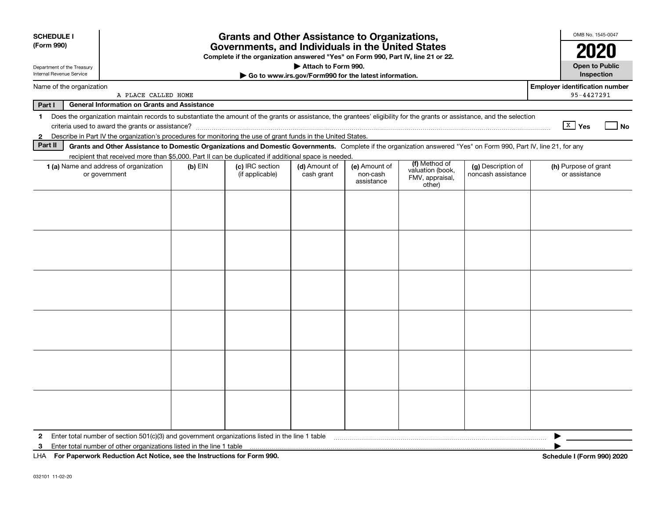| <b>SCHEDULE I</b><br>(Form 990)                        | <b>Grants and Other Assistance to Organizations,</b><br>Governments, and Individuals in the United States<br>Complete if the organization answered "Yes" on Form 990, Part IV, line 21 or 22. |           |                                    |                             |                                                       |                                               |                                          |                                                     |  |  |
|--------------------------------------------------------|-----------------------------------------------------------------------------------------------------------------------------------------------------------------------------------------------|-----------|------------------------------------|-----------------------------|-------------------------------------------------------|-----------------------------------------------|------------------------------------------|-----------------------------------------------------|--|--|
| Department of the Treasury<br>Internal Revenue Service |                                                                                                                                                                                               |           |                                    | Attach to Form 990.         | Go to www.irs.gov/Form990 for the latest information. |                                               |                                          | <b>Open to Public</b><br>Inspection                 |  |  |
| Name of the organization                               | A PLACE CALLED HOME                                                                                                                                                                           |           |                                    |                             |                                                       |                                               |                                          | <b>Employer identification number</b><br>95-4427291 |  |  |
| Part I                                                 | <b>General Information on Grants and Assistance</b>                                                                                                                                           |           |                                    |                             |                                                       |                                               |                                          |                                                     |  |  |
| 1.                                                     | Does the organization maintain records to substantiate the amount of the grants or assistance, the grantees' eligibility for the grants or assistance, and the selection                      |           |                                    |                             |                                                       |                                               |                                          | $\sqrt{\frac{X}{2}}$ Yes<br>No                      |  |  |
| $\mathbf{2}$                                           | Describe in Part IV the organization's procedures for monitoring the use of grant funds in the United States.                                                                                 |           |                                    |                             |                                                       |                                               |                                          |                                                     |  |  |
| Part II                                                | Grants and Other Assistance to Domestic Organizations and Domestic Governments. Complete if the organization answered "Yes" on Form 990, Part IV, line 21, for any                            |           |                                    |                             |                                                       |                                               |                                          |                                                     |  |  |
|                                                        | recipient that received more than \$5,000. Part II can be duplicated if additional space is needed.                                                                                           |           |                                    |                             |                                                       | (f) Method of                                 |                                          |                                                     |  |  |
|                                                        | 1 (a) Name and address of organization<br>or government                                                                                                                                       | $(b)$ EIN | (c) IRC section<br>(if applicable) | (d) Amount of<br>cash grant | (e) Amount of<br>non-cash<br>assistance               | valuation (book,<br>FMV, appraisal,<br>other) | (g) Description of<br>noncash assistance | (h) Purpose of grant<br>or assistance               |  |  |
|                                                        |                                                                                                                                                                                               |           |                                    |                             |                                                       |                                               |                                          |                                                     |  |  |
|                                                        |                                                                                                                                                                                               |           |                                    |                             |                                                       |                                               |                                          |                                                     |  |  |
|                                                        |                                                                                                                                                                                               |           |                                    |                             |                                                       |                                               |                                          |                                                     |  |  |
|                                                        |                                                                                                                                                                                               |           |                                    |                             |                                                       |                                               |                                          |                                                     |  |  |
|                                                        |                                                                                                                                                                                               |           |                                    |                             |                                                       |                                               |                                          |                                                     |  |  |
|                                                        |                                                                                                                                                                                               |           |                                    |                             |                                                       |                                               |                                          |                                                     |  |  |
|                                                        |                                                                                                                                                                                               |           |                                    |                             |                                                       |                                               |                                          |                                                     |  |  |
|                                                        |                                                                                                                                                                                               |           |                                    |                             |                                                       |                                               |                                          |                                                     |  |  |
|                                                        |                                                                                                                                                                                               |           |                                    |                             |                                                       |                                               |                                          |                                                     |  |  |
|                                                        |                                                                                                                                                                                               |           |                                    |                             |                                                       |                                               |                                          |                                                     |  |  |
|                                                        |                                                                                                                                                                                               |           |                                    |                             |                                                       |                                               |                                          |                                                     |  |  |
|                                                        |                                                                                                                                                                                               |           |                                    |                             |                                                       |                                               |                                          |                                                     |  |  |
| 2                                                      | Enter total number of section 501(c)(3) and government organizations listed in the line 1 table                                                                                               |           |                                    |                             |                                                       |                                               |                                          |                                                     |  |  |
| 3                                                      | Enter total number of other organizations listed in the line 1 table                                                                                                                          |           |                                    |                             |                                                       |                                               |                                          |                                                     |  |  |
| LHA                                                    | For Paperwork Reduction Act Notice, see the Instructions for Form 990.                                                                                                                        |           |                                    |                             |                                                       |                                               |                                          | Schedule I (Form 990) 2020                          |  |  |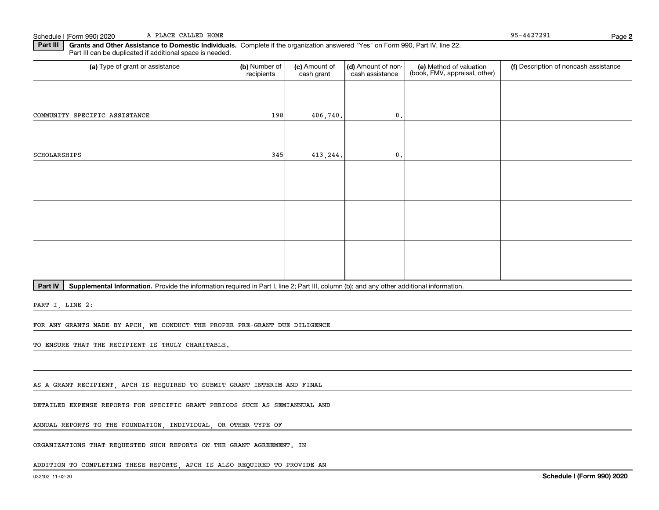**Part III** | Grants and Other Assistance to Domestic Individuals. Complete if the organization answered "Yes" on Form 990, Part IV, line 22. Part III can be duplicated if additional space is needed.

| (a) Type of grant or assistance | (b) Number of<br>recipients | (c) Amount of<br>cash grant | (d) Amount of non-<br>cash assistance | (e) Method of valuation<br>(book, FMV, appraisal, other) | (f) Description of noncash assistance |
|---------------------------------|-----------------------------|-----------------------------|---------------------------------------|----------------------------------------------------------|---------------------------------------|
|                                 |                             |                             |                                       |                                                          |                                       |
| COMMUNITY SPECIFIC ASSISTANCE   | 198                         | 406,740.                    | $\mathfrak o$ .                       |                                                          |                                       |
|                                 |                             |                             |                                       |                                                          |                                       |
| SCHOLARSHIPS                    | 345                         | 413,244.                    | $\mathbf{0}$ .                        |                                                          |                                       |
|                                 |                             |                             |                                       |                                                          |                                       |
|                                 |                             |                             |                                       |                                                          |                                       |
|                                 |                             |                             |                                       |                                                          |                                       |
|                                 |                             |                             |                                       |                                                          |                                       |
|                                 |                             |                             |                                       |                                                          |                                       |
|                                 |                             |                             |                                       |                                                          |                                       |

Part IV | Supplemental Information. Provide the information required in Part I, line 2; Part III, column (b); and any other additional information.

PART I, LINE 2:

FOR ANY GRANTS MADE BY APCH, WE CONDUCT THE PROPER PRE-GRANT DUE DILIGENCE

TO ENSURE THAT THE RECIPIENT IS TRULY CHARITABLE.

AS A GRANT RECIPIENT, APCH IS REQUIRED TO SUBMIT GRANT INTERIM AND FINAL

DETAILED EXPENSE REPORTS FOR SPECIFIC GRANT PERIODS SUCH AS SEMIANNUAL AND

ANNUAL REPORTS TO THE FOUNDATION, INDIVIDUAL, OR OTHER TYPE OF

ORGANIZATIONS THAT REQUESTED SUCH REPORTS ON THE GRANT AGREEMENT. IN

ADDITION TO COMPLETING THESE REPORTS, APCH IS ALSO REQUIRED TO PROVIDE AN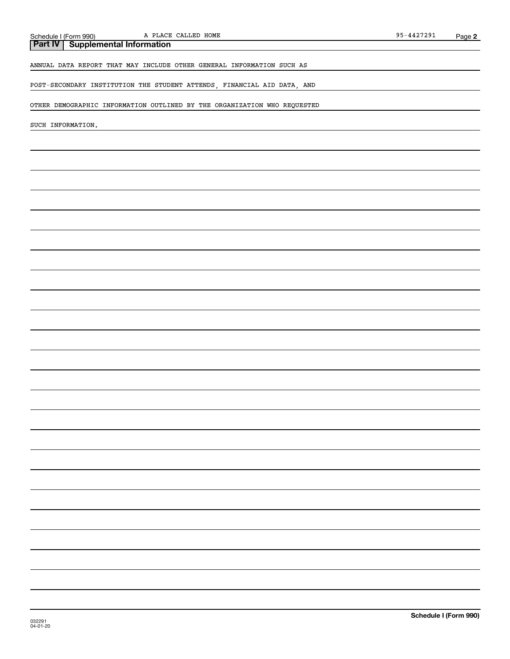# **Part IV Supplemental Information** ANNUAL DATA REPORT THAT MAY INCLUDE OTHER GENERAL INFORMATION SUCH AS POST-SECONDARY INSTITUTION THE STUDENT ATTENDS, FINANCIAL AID DATA, AND OTHER DEMOGRAPHIC INFORMATION OUTLINED BY THE ORGANIZATION WHO REQUESTED SUCH INFORMATION.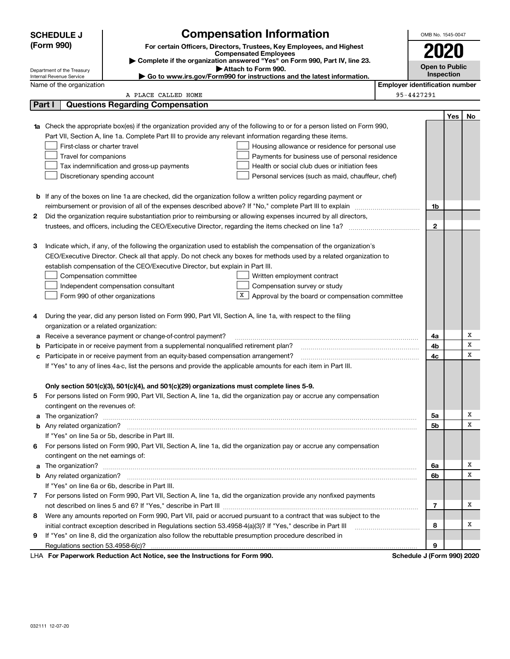|        | <b>SCHEDULE J</b>                                                   | <b>Compensation Information</b>                                                                                                                                                                                                      |                       |                                       | OMB No. 1545-0047 |     |    |
|--------|---------------------------------------------------------------------|--------------------------------------------------------------------------------------------------------------------------------------------------------------------------------------------------------------------------------------|-----------------------|---------------------------------------|-------------------|-----|----|
|        | (Form 990)                                                          | For certain Officers, Directors, Trustees, Key Employees, and Highest                                                                                                                                                                |                       |                                       |                   |     |    |
|        |                                                                     | <b>Compensated Employees</b><br>Complete if the organization answered "Yes" on Form 990, Part IV, line 23.                                                                                                                           |                       |                                       | 2020              |     |    |
|        | Department of the Treasury                                          |                                                                                                                                                                                                                                      | <b>Open to Public</b> |                                       |                   |     |    |
|        | Internal Revenue Service                                            |                                                                                                                                                                                                                                      | Inspection            |                                       |                   |     |    |
|        | Name of the organization                                            |                                                                                                                                                                                                                                      |                       | <b>Employer identification number</b> |                   |     |    |
|        |                                                                     | A PLACE CALLED HOME                                                                                                                                                                                                                  |                       | 95-4427291                            |                   |     |    |
| Part I |                                                                     | <b>Questions Regarding Compensation</b>                                                                                                                                                                                              |                       |                                       |                   |     |    |
|        |                                                                     |                                                                                                                                                                                                                                      |                       |                                       |                   | Yes | No |
|        |                                                                     | 1a Check the appropriate box(es) if the organization provided any of the following to or for a person listed on Form 990,                                                                                                            |                       |                                       |                   |     |    |
|        |                                                                     | Part VII, Section A, line 1a. Complete Part III to provide any relevant information regarding these items.                                                                                                                           |                       |                                       |                   |     |    |
|        | First-class or charter travel                                       | Housing allowance or residence for personal use                                                                                                                                                                                      |                       |                                       |                   |     |    |
|        | Travel for companions                                               | Payments for business use of personal residence<br>Health or social club dues or initiation fees                                                                                                                                     |                       |                                       |                   |     |    |
|        |                                                                     | Tax indemnification and gross-up payments<br>Personal services (such as maid, chauffeur, chef)                                                                                                                                       |                       |                                       |                   |     |    |
|        |                                                                     | Discretionary spending account                                                                                                                                                                                                       |                       |                                       |                   |     |    |
|        |                                                                     |                                                                                                                                                                                                                                      |                       |                                       |                   |     |    |
|        |                                                                     | <b>b</b> If any of the boxes on line 1a are checked, did the organization follow a written policy regarding payment or                                                                                                               |                       |                                       | 1b                |     |    |
| 2      |                                                                     | Did the organization require substantiation prior to reimbursing or allowing expenses incurred by all directors,                                                                                                                     |                       |                                       |                   |     |    |
|        |                                                                     |                                                                                                                                                                                                                                      |                       |                                       | 2                 |     |    |
|        |                                                                     |                                                                                                                                                                                                                                      |                       |                                       |                   |     |    |
| З      |                                                                     | Indicate which, if any, of the following the organization used to establish the compensation of the organization's                                                                                                                   |                       |                                       |                   |     |    |
|        |                                                                     | CEO/Executive Director. Check all that apply. Do not check any boxes for methods used by a related organization to                                                                                                                   |                       |                                       |                   |     |    |
|        |                                                                     | establish compensation of the CEO/Executive Director, but explain in Part III.                                                                                                                                                       |                       |                                       |                   |     |    |
|        | Compensation committee                                              | Written employment contract                                                                                                                                                                                                          |                       |                                       |                   |     |    |
|        | Compensation survey or study<br>Independent compensation consultant |                                                                                                                                                                                                                                      |                       |                                       |                   |     |    |
|        |                                                                     | X<br>Form 990 of other organizations<br>Approval by the board or compensation committee                                                                                                                                              |                       |                                       |                   |     |    |
|        |                                                                     |                                                                                                                                                                                                                                      |                       |                                       |                   |     |    |
| 4      |                                                                     | During the year, did any person listed on Form 990, Part VII, Section A, line 1a, with respect to the filing                                                                                                                         |                       |                                       |                   |     |    |
|        | organization or a related organization:                             |                                                                                                                                                                                                                                      |                       |                                       |                   |     |    |
| а      |                                                                     | Receive a severance payment or change-of-control payment?                                                                                                                                                                            |                       |                                       | 4a                |     | Х  |
| b      |                                                                     | Participate in or receive payment from a supplemental nonqualified retirement plan?                                                                                                                                                  |                       |                                       | 4b                |     | Х  |
| c      |                                                                     | Participate in or receive payment from an equity-based compensation arrangement?                                                                                                                                                     |                       |                                       | 4с                |     | X  |
|        |                                                                     | If "Yes" to any of lines 4a-c, list the persons and provide the applicable amounts for each item in Part III.                                                                                                                        |                       |                                       |                   |     |    |
|        |                                                                     |                                                                                                                                                                                                                                      |                       |                                       |                   |     |    |
|        |                                                                     | Only section 501(c)(3), 501(c)(4), and 501(c)(29) organizations must complete lines 5-9.                                                                                                                                             |                       |                                       |                   |     |    |
|        |                                                                     | For persons listed on Form 990, Part VII, Section A, line 1a, did the organization pay or accrue any compensation                                                                                                                    |                       |                                       |                   |     |    |
|        | contingent on the revenues of:                                      |                                                                                                                                                                                                                                      |                       |                                       |                   |     |    |
|        |                                                                     | a The organization? <b>Constitution</b> and the organization?                                                                                                                                                                        |                       |                                       | 5a                |     | x  |
|        |                                                                     |                                                                                                                                                                                                                                      |                       |                                       | 5b                |     | х  |
|        |                                                                     | If "Yes" on line 5a or 5b, describe in Part III.                                                                                                                                                                                     |                       |                                       |                   |     |    |
| 6.     |                                                                     | For persons listed on Form 990, Part VII, Section A, line 1a, did the organization pay or accrue any compensation                                                                                                                    |                       |                                       |                   |     |    |
|        | contingent on the net earnings of:                                  |                                                                                                                                                                                                                                      |                       |                                       |                   |     |    |
|        |                                                                     | a The organization? <b>With the contract of the contract of the contract of the contract of the contract of the contract of the contract of the contract of the contract of the contract of the contract of the contract of the </b> |                       |                                       | 6a                |     | х  |
|        | <b>b</b> Any related organization?                                  |                                                                                                                                                                                                                                      |                       |                                       | 6b                |     | х  |
|        |                                                                     | If "Yes" on line 6a or 6b, describe in Part III.                                                                                                                                                                                     |                       |                                       |                   |     |    |
|        |                                                                     | 7 For persons listed on Form 990, Part VII, Section A, line 1a, did the organization provide any nonfixed payments                                                                                                                   |                       |                                       |                   |     |    |
|        |                                                                     |                                                                                                                                                                                                                                      |                       |                                       | 7                 |     | х  |
| 8      |                                                                     | Were any amounts reported on Form 990, Part VII, paid or accrued pursuant to a contract that was subject to the                                                                                                                      |                       |                                       |                   |     |    |
|        |                                                                     | initial contract exception described in Regulations section 53.4958-4(a)(3)? If "Yes," describe in Part III                                                                                                                          |                       |                                       | 8                 |     | х  |
| 9      |                                                                     | If "Yes" on line 8, did the organization also follow the rebuttable presumption procedure described in                                                                                                                               |                       |                                       |                   |     |    |
|        |                                                                     |                                                                                                                                                                                                                                      |                       |                                       | 9                 |     |    |
|        |                                                                     | LHA For Paperwork Reduction Act Notice, see the Instructions for Form 990.                                                                                                                                                           |                       | Schedule J (Form 990) 2020            |                   |     |    |

032111 12-07-20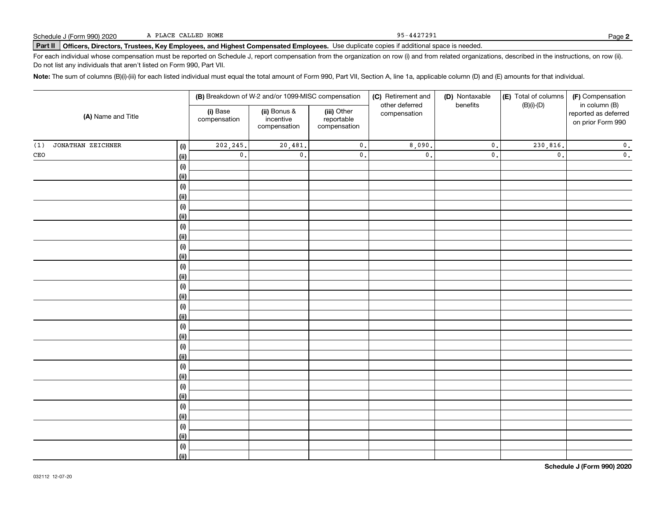**Part II Officers, Directors, Trustees, Key Employees, and Highest Compensated Employees.**  Schedule J (Form 990) 2020 Page Use duplicate copies if additional space is needed.

For each individual whose compensation must be reported on Schedule J, report compensation from the organization on row (i) and from related organizations, described in the instructions, on row (ii). Do not list any individuals that aren't listed on Form 990, Part VII.

**Note:**  The sum of columns (B)(i)-(iii) for each listed individual must equal the total amount of Form 990, Part VII, Section A, line 1a, applicable column (D) and (E) amounts for that individual.

|                          |                    | (B) Breakdown of W-2 and/or 1099-MISC compensation |                                           | (C) Retirement and                        | (D) Nontaxable                 | (E) Total of columns | (F) Compensation |                                                            |
|--------------------------|--------------------|----------------------------------------------------|-------------------------------------------|-------------------------------------------|--------------------------------|----------------------|------------------|------------------------------------------------------------|
| (A) Name and Title       |                    | (i) Base<br>compensation                           | (ii) Bonus &<br>incentive<br>compensation | (iii) Other<br>reportable<br>compensation | other deferred<br>compensation | benefits             | $(B)(i)-(D)$     | in column (B)<br>reported as deferred<br>on prior Form 990 |
| JONATHAN ZEICHNER<br>(1) | (i)                | 202,245.                                           | 20,481.                                   | $\mathbf 0$ .                             | 8,090.                         | $\mathfrak o$ .      | 230,816.         | $\mathbf 0$ .                                              |
| $\mathtt{CEO}$           | (ii)               | $\mathbf 0$ .                                      | $\mathsf{0}$ .                            | $\mathbf 0$ .                             | $\mathfrak o$ .                | $\mathfrak o$ .      | $\mathfrak{o}$ . | $\mathbf 0$ .                                              |
|                          | $(\sf{i})$         |                                                    |                                           |                                           |                                |                      |                  |                                                            |
|                          | (ii)               |                                                    |                                           |                                           |                                |                      |                  |                                                            |
|                          | $(\sf{i})$         |                                                    |                                           |                                           |                                |                      |                  |                                                            |
|                          | (ii)               |                                                    |                                           |                                           |                                |                      |                  |                                                            |
|                          | (i)                |                                                    |                                           |                                           |                                |                      |                  |                                                            |
|                          | (ii)               |                                                    |                                           |                                           |                                |                      |                  |                                                            |
|                          | (i)                |                                                    |                                           |                                           |                                |                      |                  |                                                            |
|                          | (ii)               |                                                    |                                           |                                           |                                |                      |                  |                                                            |
|                          | (i)                |                                                    |                                           |                                           |                                |                      |                  |                                                            |
|                          | (ii)               |                                                    |                                           |                                           |                                |                      |                  |                                                            |
|                          | (i)                |                                                    |                                           |                                           |                                |                      |                  |                                                            |
|                          | (ii)               |                                                    |                                           |                                           |                                |                      |                  |                                                            |
|                          | $(\sf{i})$<br>(ii) |                                                    |                                           |                                           |                                |                      |                  |                                                            |
|                          | $(\sf{i})$         |                                                    |                                           |                                           |                                |                      |                  |                                                            |
|                          | (ii)               |                                                    |                                           |                                           |                                |                      |                  |                                                            |
|                          | $(\sf{i})$         |                                                    |                                           |                                           |                                |                      |                  |                                                            |
|                          | (ii)               |                                                    |                                           |                                           |                                |                      |                  |                                                            |
|                          | (i)                |                                                    |                                           |                                           |                                |                      |                  |                                                            |
|                          | (ii)               |                                                    |                                           |                                           |                                |                      |                  |                                                            |
|                          | (i)                |                                                    |                                           |                                           |                                |                      |                  |                                                            |
|                          | (ii)               |                                                    |                                           |                                           |                                |                      |                  |                                                            |
|                          | (i)                |                                                    |                                           |                                           |                                |                      |                  |                                                            |
|                          | (ii)               |                                                    |                                           |                                           |                                |                      |                  |                                                            |
|                          | (i)                |                                                    |                                           |                                           |                                |                      |                  |                                                            |
|                          | (ii)               |                                                    |                                           |                                           |                                |                      |                  |                                                            |
|                          | (i)                |                                                    |                                           |                                           |                                |                      |                  |                                                            |
|                          | (ii)               |                                                    |                                           |                                           |                                |                      |                  |                                                            |
|                          | (i)                |                                                    |                                           |                                           |                                |                      |                  |                                                            |
|                          | (ii)               |                                                    |                                           |                                           |                                |                      |                  |                                                            |

95-4427291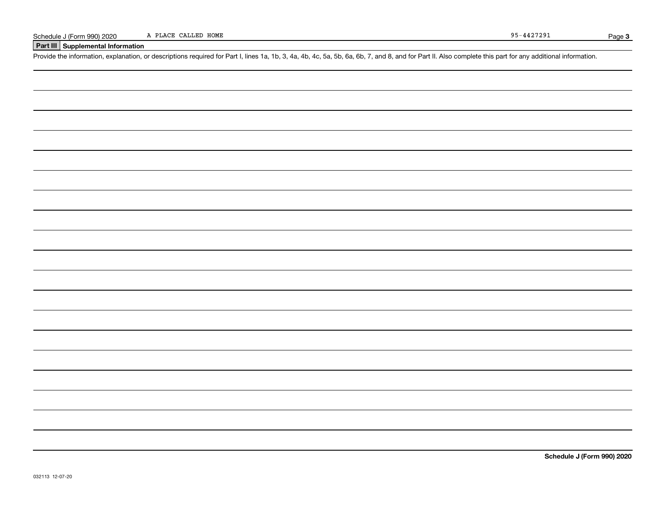## **Part III Supplemental Information**

Schedule J (Form 990) 2020 A PLACE CALLED HOME<br>Part III Supplemental Information<br>Provide the information, explanation, or descriptions required for Part I, lines 1a, 1b, 3, 4a, 4b, 4c, 5a, 5b, 6a, 6b, 7, and 8, and for Par

**Schedule J (Form 990) 2020**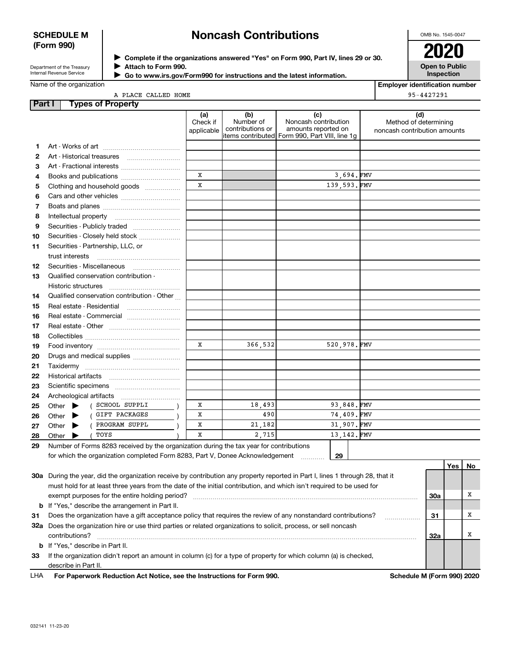### **SCHEDULE M (Form 990)**

# **Noncash Contributions**

OMB No. 1545-0047

| Department of the Treasury      |  |
|---------------------------------|--|
| <b>Internal Revenue Service</b> |  |

**Other** 

J $\blacktriangleright$  $\ddot{\phantom{1}}$ 

**Other** 

Other

**Complete if the organizations answered "Yes" on Form 990, Part IV, lines 29 or 30.** <sup>J</sup>**2020 Attach to Form 990.** J

 **Go to www.irs.gov/Form990 for instructions and the latest information.** J

**Open to Public Inspection**

|  | Name of the organization |
|--|--------------------------|

| <b>Employer identification number</b> |  |
|---------------------------------------|--|
|                                       |  |

|               | A PLACE CALLED HOME                                                                                                                                                                                                           | 95-4427291                    |                                      |                                                                                                       |                                                              |
|---------------|-------------------------------------------------------------------------------------------------------------------------------------------------------------------------------------------------------------------------------|-------------------------------|--------------------------------------|-------------------------------------------------------------------------------------------------------|--------------------------------------------------------------|
| <b>Part I</b> | <b>Types of Property</b>                                                                                                                                                                                                      |                               |                                      |                                                                                                       |                                                              |
|               |                                                                                                                                                                                                                               | (a)<br>Check if<br>applicable | (b)<br>Number of<br>contributions or | (c)<br>Noncash contribution<br>amounts reported on<br>litems contributed Form 990, Part VIII, line 1g | (d)<br>Method of determining<br>noncash contribution amounts |
| 1.            |                                                                                                                                                                                                                               |                               |                                      |                                                                                                       |                                                              |
| 2             |                                                                                                                                                                                                                               |                               |                                      |                                                                                                       |                                                              |
| З             |                                                                                                                                                                                                                               |                               |                                      |                                                                                                       |                                                              |
| 4             | Books and publications                                                                                                                                                                                                        | X                             |                                      | 3,694.FMV                                                                                             |                                                              |
| 5             | Clothing and household goods                                                                                                                                                                                                  | X                             |                                      | 139,593.FMV                                                                                           |                                                              |
| 6             |                                                                                                                                                                                                                               |                               |                                      |                                                                                                       |                                                              |
| 7             |                                                                                                                                                                                                                               |                               |                                      |                                                                                                       |                                                              |
| 8             | Intellectual property                                                                                                                                                                                                         |                               |                                      |                                                                                                       |                                                              |
| 9             |                                                                                                                                                                                                                               |                               |                                      |                                                                                                       |                                                              |
| 10            | Securities - Closely held stock                                                                                                                                                                                               |                               |                                      |                                                                                                       |                                                              |
| 11            | Securities - Partnership, LLC, or                                                                                                                                                                                             |                               |                                      |                                                                                                       |                                                              |
|               | trust interests                                                                                                                                                                                                               |                               |                                      |                                                                                                       |                                                              |
| 12            | Securities - Miscellaneous                                                                                                                                                                                                    |                               |                                      |                                                                                                       |                                                              |
| 13            | Qualified conservation contribution -                                                                                                                                                                                         |                               |                                      |                                                                                                       |                                                              |
|               | Historic structures                                                                                                                                                                                                           |                               |                                      |                                                                                                       |                                                              |
| 14            | Qualified conservation contribution - Other                                                                                                                                                                                   |                               |                                      |                                                                                                       |                                                              |
| 15            | Real estate - Residential                                                                                                                                                                                                     |                               |                                      |                                                                                                       |                                                              |
| 16            |                                                                                                                                                                                                                               |                               |                                      |                                                                                                       |                                                              |
| 17            |                                                                                                                                                                                                                               |                               |                                      |                                                                                                       |                                                              |
| 18            |                                                                                                                                                                                                                               |                               |                                      |                                                                                                       |                                                              |
| 19            |                                                                                                                                                                                                                               | X                             | 366.532                              | 520.978.FMV                                                                                           |                                                              |
| 20            | Drugs and medical supplies                                                                                                                                                                                                    |                               |                                      |                                                                                                       |                                                              |
| 21            | Taxidermy must be contained a state of the contained and the contact of the contact of the contact of the contact of the contact of the contact of the contact of the contact of the contact of the contact of the contact of |                               |                                      |                                                                                                       |                                                              |
| 22            |                                                                                                                                                                                                                               |                               |                                      |                                                                                                       |                                                              |
| 23            |                                                                                                                                                                                                                               |                               |                                      |                                                                                                       |                                                              |
| 24            |                                                                                                                                                                                                                               |                               |                                      |                                                                                                       |                                                              |
| 25            | Other (SCHOOL SUPPLI                                                                                                                                                                                                          | X                             | 18,493                               | 93,848.FMV                                                                                            |                                                              |

490

21,182

2,715

| 28 Other $\blacktriangleright$                                                | TOYS                                                                                       |  |  | 2.151 |  |
|-------------------------------------------------------------------------------|--------------------------------------------------------------------------------------------|--|--|-------|--|
|                                                                               | 29 Number of Forms 8283 received by the organization during the tax year for contributions |  |  |       |  |
| for which the organization completed Form 8283, Part V, Donee Acknowledgement |                                                                                            |  |  |       |  |

X

X

X

er  $\blacktriangleright$  ( <code>GIFT PACKAGES</code>  $\mid$ 

er  $\blacktriangleright$  ( <code>PROGRAM SUPPL</code>  $)$ 

 $\text{Pr}$  (  $\text{TOYS}$  )

|     |                                                                                                                            |                            | Yes l | No |
|-----|----------------------------------------------------------------------------------------------------------------------------|----------------------------|-------|----|
| 30a | During the year, did the organization receive by contribution any property reported in Part I, lines 1 through 28, that it |                            |       |    |
|     | must hold for at least three years from the date of the initial contribution, and which isn't required to be used for      |                            |       |    |
|     | exempt purposes for the entire holding period?                                                                             | 30a                        |       | A  |
|     | <b>b</b> If "Yes," describe the arrangement in Part II.                                                                    |                            |       |    |
| 31  | Does the organization have a gift acceptance policy that requires the review of any nonstandard contributions?             | 31                         |       | x  |
| 32a | Does the organization hire or use third parties or related organizations to solicit, process, or sell noncash              |                            |       |    |
|     | contributions?                                                                                                             | 32a                        |       |    |
|     | <b>b</b> If "Yes." describe in Part II.                                                                                    |                            |       |    |
| 33  | If the organization didn't report an amount in column (c) for a type of property for which column (a) is checked,          |                            |       |    |
|     | describe in Part II.                                                                                                       |                            |       |    |
| LHA | For Paperwork Reduction Act Notice, see the Instructions for Form 990.                                                     | Schedule M (Form 990) 2020 |       |    |
|     |                                                                                                                            |                            |       |    |

**29**

74,409. FMV

31,907. FMV

13,142. FMV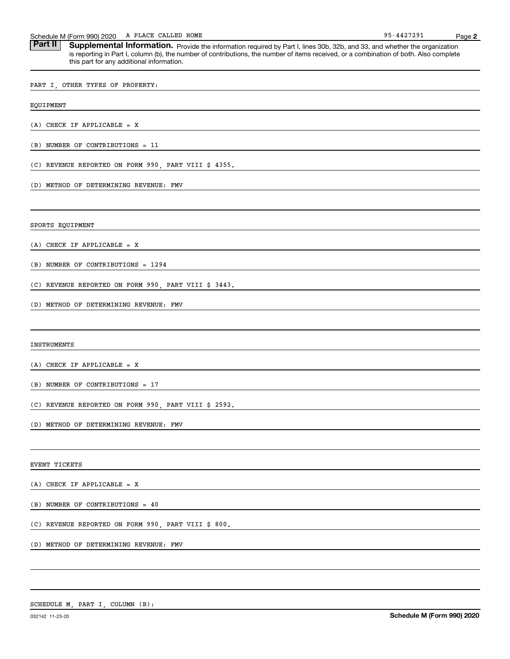| A PLACE CALLED HOME<br>Schedule M (Form 990) 2020                                                                                                                                                                                                                                                                                   | 95-4427291 | Page 2 |
|-------------------------------------------------------------------------------------------------------------------------------------------------------------------------------------------------------------------------------------------------------------------------------------------------------------------------------------|------------|--------|
| <b>Part II</b><br>Supplemental Information. Provide the information required by Part I, lines 30b, 32b, and 33, and whether the organization<br>is reporting in Part I, column (b), the number of contributions, the number of items received, or a combination of both. Also complete<br>this part for any additional information. |            |        |
| PART I, OTHER TYPES OF PROPERTY:                                                                                                                                                                                                                                                                                                    |            |        |
| EQUIPMENT                                                                                                                                                                                                                                                                                                                           |            |        |
| $(A)$ CHECK IF APPLICABLE = X                                                                                                                                                                                                                                                                                                       |            |        |
| $(B)$ NUMBER OF CONTRIBUTIONS = 11                                                                                                                                                                                                                                                                                                  |            |        |
| (C) REVENUE REPORTED ON FORM 990, PART VIII \$ 4355.                                                                                                                                                                                                                                                                                |            |        |
| (D) METHOD OF DETERMINING REVENUE: FMV                                                                                                                                                                                                                                                                                              |            |        |
| SPORTS EQUIPMENT                                                                                                                                                                                                                                                                                                                    |            |        |
| $(A)$ CHECK IF APPLICABLE = X                                                                                                                                                                                                                                                                                                       |            |        |
| (B) NUMBER OF CONTRIBUTIONS = 1294                                                                                                                                                                                                                                                                                                  |            |        |
| (C) REVENUE REPORTED ON FORM 990, PART VIII \$ 3443.                                                                                                                                                                                                                                                                                |            |        |
| (D) METHOD OF DETERMINING REVENUE: FMV                                                                                                                                                                                                                                                                                              |            |        |
| <b>INSTRUMENTS</b>                                                                                                                                                                                                                                                                                                                  |            |        |
| $(A)$ CHECK IF APPLICABLE = X                                                                                                                                                                                                                                                                                                       |            |        |
| $(B)$ NUMBER OF CONTRIBUTIONS = 17                                                                                                                                                                                                                                                                                                  |            |        |
| (C) REVENUE REPORTED ON FORM 990, PART VIII \$ 2592.                                                                                                                                                                                                                                                                                |            |        |
| (D) METHOD OF DETERMINING REVENUE: FMV                                                                                                                                                                                                                                                                                              |            |        |
| EVENT TICKETS                                                                                                                                                                                                                                                                                                                       |            |        |
| $(A)$ CHECK IF APPLICABLE = X                                                                                                                                                                                                                                                                                                       |            |        |
| (B) NUMBER OF CONTRIBUTIONS = 40                                                                                                                                                                                                                                                                                                    |            |        |
| (C) REVENUE REPORTED ON FORM 990, PART VIII \$ 800.                                                                                                                                                                                                                                                                                 |            |        |
| (D) METHOD OF DETERMINING REVENUE: FMV                                                                                                                                                                                                                                                                                              |            |        |
|                                                                                                                                                                                                                                                                                                                                     |            |        |
|                                                                                                                                                                                                                                                                                                                                     |            |        |
| SCHEDULE M, PART I, COLUMN (B):                                                                                                                                                                                                                                                                                                     |            |        |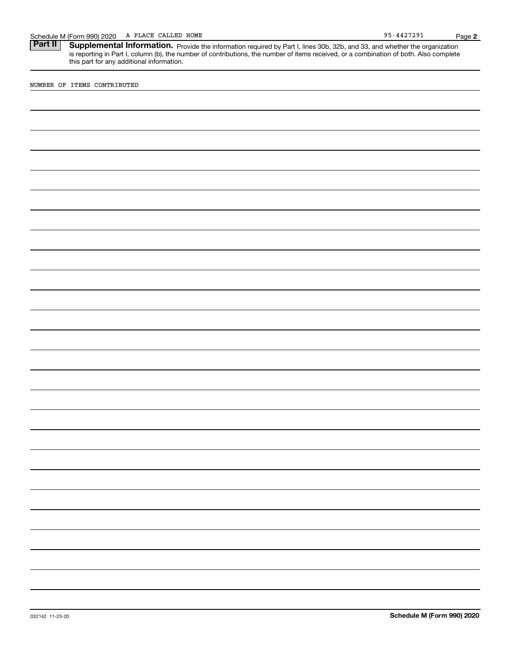Schedule M (Form 990) 2020 A PLACE CALLED HOME<br>**Part II** Supplemental Information. Provide the information required by Part I. lines 30b. 32b. and 33. and whether the c Part II | Supplemental Information. Provide the information required by Part I, lines 30b, 32b, and 33, and whether the organization is reporting in Part I, column (b), the number of contributions, the number of items received, or a combination of both. Also complete this part for any additional information.

NUMBER OF ITEMS CONTRIBUTED

**2**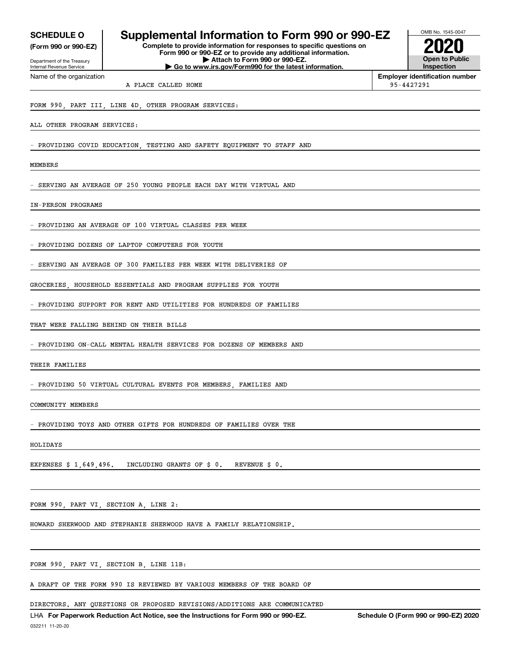**(Form 990 or 990-EZ)**

Department of the Treasury Internal Revenue Service Name of the organization

# **SCHEDULE O Supplemental Information to Form 990 or 990-EZ**

**Complete to provide information for responses to specific questions on Form 990 or 990-EZ or to provide any additional information. | Attach to Form 990 or 990-EZ. | Go to www.irs.gov/Form990 for the latest information.**



**Employer identification number**

A PLACE CALLED HOME 95-4427291

FORM 990, PART III, LINE 4D, OTHER PROGRAM SERVICES:

ALL OTHER PROGRAM SERVICES:

PROVIDING COVID EDUCATION, TESTING AND SAFETY EQUIPMENT TO STAFF AND

MEMBERS

- SERVING AN AVERAGE OF 250 YOUNG PEOPLE EACH DAY WITH VIRTUAL AND

IN-PERSON PROGRAMS

PROVIDING AN AVERAGE OF 100 VIRTUAL CLASSES PER WEEK

PROVIDING DOZENS OF LAPTOP COMPUTERS FOR YOUTH

SERVING AN AVERAGE OF 300 FAMILIES PER WEEK WITH DELIVERIES OF

GROCERIES, HOUSEHOLD ESSENTIALS AND PROGRAM SUPPLIES FOR YOUTH

PROVIDING SUPPORT FOR RENT AND UTILITIES FOR HUNDREDS OF FAMILIES

THAT WERE FALLING BEHIND ON THEIR BILLS

PROVIDING ON-CALL MENTAL HEALTH SERVICES FOR DOZENS OF MEMBERS AND

THEIR FAMILIES

PROVIDING 50 VIRTUAL CULTURAL EVENTS FOR MEMBERS, FAMILIES AND

COMMUNITY MEMBERS

PROVIDING TOYS AND OTHER GIFTS FOR HUNDREDS OF FAMILIES OVER THE

HOLIDAYS

EXPENSES \$ 1,649,496. INCLUDING GRANTS OF \$ 0. REVENUE \$ 0.

FORM 990, PART VI, SECTION A, LINE 2:

HOWARD SHERWOOD AND STEPHANIE SHERWOOD HAVE A FAMILY RELATIONSHIP.

FORM 990, PART VI, SECTION B, LINE 11B:

A DRAFT OF THE FORM 990 IS REVIEWED BY VARIOUS MEMBERS OF THE BOARD OF

DIRECTORS. ANY QUESTIONS OR PROPOSED REVISIONS/ADDITIONS ARE COMMUNICATED